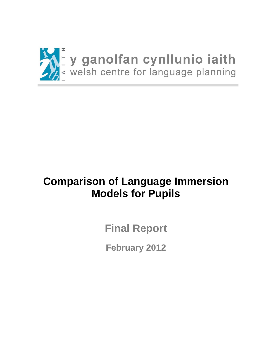

# **Comparison of Language Immersion Models for Pupils**

**Final Report**

<span id="page-0-0"></span>**February 2012**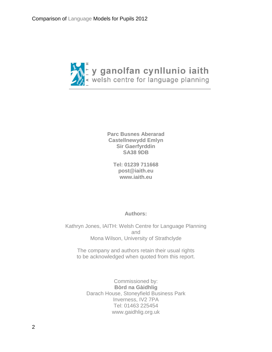

**Parc Busnes Aberarad Castellnewydd Emlyn Sir Gaerfyrddin SA38 9DB**

**Tel: 01239 711668 [post@iaith.eu](mailto:post@iaith.eu) [www.iaith.eu](http://www.iaith.eu/)**

### **Authors:**

Kathryn Jones, IAITH: Welsh Centre for Language Planning and Mona Wilson, University of Strathclyde

The company and authors retain their usual rights to be acknowledged when quoted from this report.

Commissioned by: **Bòrd na Gàidhlig** Darach House, Stoneyfield Business Park Inverness, IV2 7PA Tel: 01463 225454 www.gaidhlig.org.uk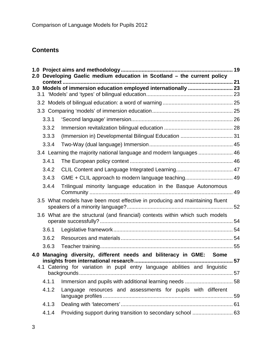## **Contents**

| 2.0 <sub>1</sub> |       | Developing Gaelic medium education in Scotland - the current policy                        |  |
|------------------|-------|--------------------------------------------------------------------------------------------|--|
|                  |       |                                                                                            |  |
|                  |       |                                                                                            |  |
|                  |       |                                                                                            |  |
|                  |       |                                                                                            |  |
|                  |       |                                                                                            |  |
|                  | 3.3.1 |                                                                                            |  |
|                  | 3.3.2 |                                                                                            |  |
|                  | 3.3.3 |                                                                                            |  |
|                  | 3.3.4 |                                                                                            |  |
|                  |       | 3.4 Learning the majority national language and modern languages  46                       |  |
|                  | 3.4.1 |                                                                                            |  |
|                  | 3.4.2 |                                                                                            |  |
|                  | 3.4.3 | GME + CLIL approach to modern language teaching 49                                         |  |
|                  | 3.4.4 | Trilingual minority language education in the Basque Autonomous                            |  |
|                  |       | 3.5 What models have been most effective in producing and maintaining fluent               |  |
|                  |       | 3.6 What are the structural (and financial) contexts within which such models              |  |
|                  | 3.6.1 |                                                                                            |  |
|                  | 3.6.2 |                                                                                            |  |
|                  | 3.6.3 |                                                                                            |  |
| 4.0              |       | Managing diversity, different needs and biliteracy in GME: Some                            |  |
|                  |       | 4.1 Catering for variation in pupil entry language abilities and linguistic<br>backgrounds |  |
|                  | 4.1.1 |                                                                                            |  |
|                  | 4.1.2 | Language resources and assessments for pupils with different                               |  |
|                  | 4.1.3 |                                                                                            |  |
|                  | 4.1.4 |                                                                                            |  |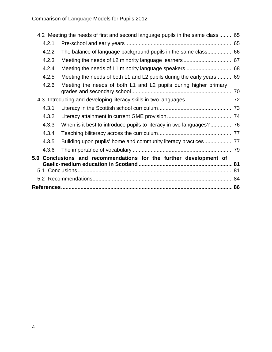|                                                                    | 4.2 Meeting the needs of first and second language pupils in the same class  65 |  |  |  |
|--------------------------------------------------------------------|---------------------------------------------------------------------------------|--|--|--|
| 4.2.1                                                              |                                                                                 |  |  |  |
| 4.2.2                                                              | The balance of language background pupils in the same class 66                  |  |  |  |
| 4.2.3                                                              |                                                                                 |  |  |  |
| 4.2.4                                                              |                                                                                 |  |  |  |
| 4.2.5                                                              | Meeting the needs of both L1 and L2 pupils during the early years 69            |  |  |  |
| 4.2.6                                                              | Meeting the needs of both L1 and L2 pupils during higher primary                |  |  |  |
|                                                                    |                                                                                 |  |  |  |
| 4.3.1                                                              |                                                                                 |  |  |  |
| 4.3.2                                                              |                                                                                 |  |  |  |
| 4.3.3                                                              |                                                                                 |  |  |  |
| 4.3.4                                                              |                                                                                 |  |  |  |
| 4.3.5                                                              |                                                                                 |  |  |  |
| 4.3.6                                                              |                                                                                 |  |  |  |
| 5.0 Conclusions and recommendations for the further development of |                                                                                 |  |  |  |
|                                                                    |                                                                                 |  |  |  |
|                                                                    |                                                                                 |  |  |  |
|                                                                    |                                                                                 |  |  |  |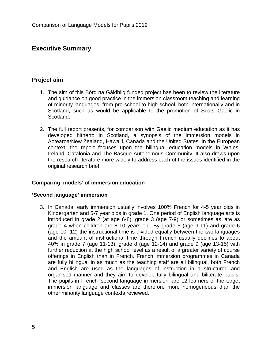### **Executive Summary**

### **Project aim**

- 1. The aim of this Bòrd na Gàidhlig funded project has been to review the literature and guidance on good practice in the immersion classroom teaching and learning of minority languages, from pre-school to high school, both internationally and in Scotland, such as would be applicable to the promotion of Scots Gaelic in Scotland.
- 2. The full report presents, for comparison with Gaelic medium education as it has developed hitherto in Scotland, a synopsis of the immersion models in Aotearoa/New Zealand, Hawai'i, Canada and the United States. In the European context, the report focuses upon the bilingual education models in Wales, Ireland, Catalonia and The Basque Autonomous Community. It also draws upon the research literature more widely to address each of the issues identified in the original research brief.

### **Comparing 'models' of immersion education**

#### **'Second language' immersion**

3. In Canada, early immersion usually involves 100% French for 4-5 year olds in Kindergarten and 5-7 year olds in grade 1. One period of English language arts is introduced in grade 2 (at age 6-8), grade 3 (age 7-9) or sometimes as late as grade 4 when children are 8-10 years old. By grade 5 (age 9-11) and grade 6 (age 10 -12) the instructional time is divided equally between the two languages and the amount of instructional time through French usually declines to about 40% in grade 7 (age 11-13), grade 8 (age 12-14) and grade 9 (age 13-15) with further reduction at the high school level as a result of a greater variety of course offerings in English than in French. French immersion programmes in Canada are fully bilingual in as much as the teaching staff are all bilingual, both French and English are used as the languages of instruction in a structured and organised manner and they aim to develop fully bilingual and biliterate pupils. The pupils in French 'second language immersion' are L2 learners of the target immersion language and classes are therefore more homogeneous than the other minority language contexts reviewed.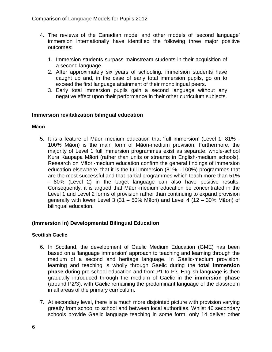- 4. The reviews of the Canadian model and other models of 'second language' immersion internationally have identified the following three major positive outcomes:
	- 1. Immersion students surpass mainstream students in their acquisition of a second language.
	- 2. After approximately six years of schooling, immersion students have caught up and, in the case of early total immersion pupils, go on to exceed the first language attainment of their monolingual peers.
	- 3. Early total immersion pupils gain a second language without any negative effect upon their performance in their other curriculum subjects.

### **Immersion revitalization bilingual education**

#### **Māori**

5. It is a feature of Māori-medium education that 'full immersion' (Level 1: 81% - 100% Māori) is the main form of Māori-medium provision. Furthermore, the majority of Level 1 full immersion programmes exist as separate, whole-school Kura Kaupapa Māori (rather than units or streams in English-medium schools). Research on Māori-medium education confirm the general findings of immersion education elsewhere, that it is the full immersion (81% - 100%) programmes that are the most successful and that partial programmes which teach more than 51% - 80% (Level 2) in the target language can also have positive results. Consequently, it is argued that Māori-medium education be concentrated in the Level 1 and Level 2 forms of provision rather than continuing to expand provision generally with lower Level 3 (31 – 50% Māori) and Level 4 (12 – 30% Māori) of bilingual education.

### **(Immersion in) Developmental Bilingual Education**

### **Scottish Gaelic**

- 6. In Scotland, the development of Gaelic Medium Education (GME) has been based on a 'language immersion' approach to teaching and learning through the medium of a second and heritage language. In Gaelic-medium provision, learning and teaching is wholly through Gaelic during the **total immersion phase** during pre-school education and from P1 to P3. English language is then gradually introduced through the medium of Gaelic in the **immersion phase**  (around P2/3), with Gaelic remaining the predominant language of the classroom in all areas of the primary curriculum.
- 7. At secondary level, there is a much more disjointed picture with provision varying greatly from school to school and between local authorities. Whilst 46 secondary schools provide Gaelic language teaching in some form, only 14 deliver other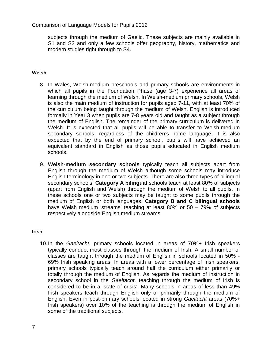subjects through the medium of Gaelic. These subjects are mainly available in S1 and S2 and only a few schools offer geography, history, mathematics and modern studies right through to S4.

#### **Welsh**

- 8. In Wales, Welsh-medium preschools and primary schools are environments in which all pupils in the Foundation Phase (age 3-7) experience all areas of learning through the medium of Welsh. In Welsh-medium primary schools, Welsh is also the main medium of instruction for pupils aged 7-11, with at least 70% of the curriculum being taught through the medium of Welsh. English is introduced formally in Year 3 when pupils are 7-8 years old and taught as a subject through the medium of English. The remainder of the primary curriculum is delivered in Welsh. It is expected that all pupils will be able to transfer to Welsh-medium secondary schools, regardless of the children's home language. It is also expected that by the end of primary school, pupils will have achieved an equivalent standard in English as those pupils educated in English medium schools.
- 9. **Welsh-medium secondary schools** typically teach all subjects apart from English through the medium of Welsh although some schools may introduce English terminology in one or two subjects. There are also three types of bilingual secondary schools: **Category A bilingual** schools teach at least 80% of subjects (apart from English and Welsh) through the medium of Welsh to all pupils. In these schools one or two subjects may be taught to some pupils through the medium of English or both languages. **Category B and C bilingual schools** have Welsh medium 'streams' teaching at least 80% or 50 – 79% of subjects respectively alongside English medium streams.

#### **Irish**

10.In the *Gaeltacht*, primary schools located in areas of 70%+ Irish speakers typically conduct most classes through the medium of Irish. A small number of classes are taught through the medium of English in schools located in 50% - 69% Irish speaking areas. In areas with a lower percentage of Irish speakers, primary schools typically teach around half the curriculum either primarily or totally through the medium of English. As regards the medium of instruction in secondary school in the *Gaeltacht*, teaching through the medium of Irish is considered to be in a 'state of crisis'. Many schools in areas of less than 49% Irish speakers teach through English only or primarily through the medium of English. Even in post-primary schools located in strong *Gaeltacht* areas (70%+ Irish speakers) over 10% of the teaching is through the medium of English in some of the traditional subjects.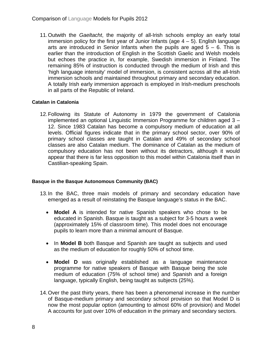11.Outwith the *Gaeltacht*, the majority of all-Irish schools employ an early total immersion policy for the first year of Junior Infants (age  $4 - 5$ ). English language arts are introduced in Senior Infants when the pupils are aged  $5 - 6$ . This is earlier than the introduction of English in the Scottish Gaelic and Welsh models but echoes the practice in, for example, Swedish immersion in Finland. The remaining 85% of instruction is conducted through the medium of Irish and this 'high language intensity' model of immersion, is consistent across all the all-Irish immersion schools and maintained throughout primary and secondary education. A totally Irish early immersion approach is employed in Irish-medium preschools in all parts of the Republic of Ireland.

### **Catalan in Catalonia**

12.Following its Statute of Autonomy in 1979 the government of Catalonia implemented an optional Linguistic Immersion Programme for children aged 3 – 12. Since 1983 Catalan has become a compulsory medium of education at all levels. Official figures indicate that in the primary school sector, over 90% of primary school classes are taught in Catalan and 49% of secondary school classes are also Catalan medium. The dominance of Catalan as the medium of compulsory education has not been without its detractors, although it would appear that there is far less opposition to this model within Catalonia itself than in Castilian-speaking Spain.

### **Basque in the Basque Autonomous Community (BAC)**

- 13.In the BAC, three main models of primary and secondary education have emerged as a result of reinstating the Basque language's status in the BAC.
	- **Model A** is intended for native Spanish speakers who chose to be educated in Spanish. Basque is taught as a subject for 3-5 hours a week (approximately 15% of classroom time). This model does not encourage pupils to learn more than a minimal amount of Basque.
	- In **Model B** both Basque and Spanish are taught as subjects and used as the medium of education for roughly 50% of school time.
	- **Model D** was originally established as a language maintenance programme for native speakers of Basque with Basque being the sole medium of education (75% of school time) and Spanish and a foreign language, typically English, being taught as subjects (25%).
- 14.Over the past thirty years, there has been a phenomenal increase in the number of Basque-medium primary and secondary school provision so that Model D is now the most popular option (amounting to almost 60% of provision) and Model A accounts for just over 10% of education in the primary and secondary sectors.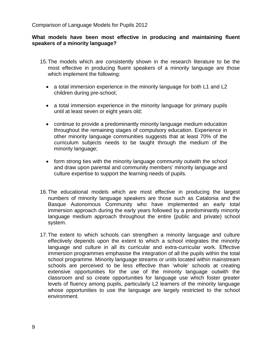### **What models have been most effective in producing and maintaining fluent speakers of a minority language?**

- 15.The models which are consistently shown in the research literature to be the most effective in producing fluent speakers of a minority language are those which implement the following:
	- a total immersion experience in the minority language for both L1 and L2 children during pre-school;
	- a total immersion experience in the minority language for primary pupils until at least seven or eight years old;
	- continue to provide a predominantly minority language medium education throughout the remaining stages of compulsory education. Experience in other minority language communities suggests that at least 70% of the curriculum subjects needs to be taught through the medium of the minority language;
	- form strong ties with the minority language community outwith the school and draw upon parental and community members' minority language and culture expertise to support the learning needs of pupils.
- 16.The educational models which are most effective in producing the largest numbers of minority language speakers are those such as Catalonia and the Basque Autonomous Community who have implemented an early total immersion approach during the early years followed by a predominantly minority language medium approach throughout the entire (public and private) school system.
- 17.The extent to which schools can strengthen a minority language and culture effectively depends upon the extent to which a school integrates the minority language and culture in all its curricular and extra-curricular work. Effective immersion programmes emphasise the integration of all the pupils within the total school programme. Minority language streams or units located within mainstream schools are perceived to be less effective than 'whole' schools at creating extensive opportunities for the use of the minority language outwith the classroom and so create opportunities for language use which foster greater levels of fluency among pupils, particularly L2 learners of the minority language whose opportunities to use the language are largely restricted to the school environment.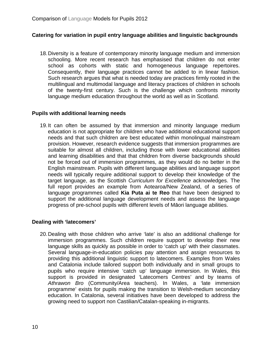### **Catering for variation in pupil entry language abilities and linguistic backgrounds**

18.Diversity is a feature of contemporary minority language medium and immersion schooling. More recent research has emphasised that children do not enter school as cohorts with static and homogeneous language repertoires. Consequently, their language practices cannot be added to in linear fashion. Such research argues that what is needed today are practices firmly rooted in the multilingual and multimodal language and literacy practices of children in schools of the twenty-first century. Such is the challenge which confronts minority language medium education throughout the world as well as in Scotland.

### **Pupils with additional learning needs**

19.It can often be assumed by that immersion and minority language medium education is not appropriate for children who have additional educational support needs and that such children are best educated within monolingual mainstream provision. However, research evidence suggests that immersion programmes are suitable for almost all children, including those with lower educational abilities and learning disabilities and that that children from diverse backgrounds should not be forced out of immersion programmes, as they would do no better in the English mainstream. Pupils with different language abilities and language support needs will typically require additional support to develop their knowledge of the target language, as the Scottish *Curriculum for Excellence* acknowledges. The full report provides an example from Aotearoa/New Zealand, of a series of language programmes called **Kia Puta ai te Reo** that have been designed to support the additional language development needs and assess the language progress of pre-school pupils with different levels of Māori language abilities.

### **Dealing with 'latecomers'**

20.Dealing with those children who arrive 'late' is also an additional challenge for immersion programmes. Such children require support to develop their new language skills as quickly as possible in order to 'catch up' with their classmates. Several language-in-education policies pay attention and assign resources to providing this additional linguistic support to latecomers. Examples from Wales and Catalonia include tailored support both individually and in small groups to pupils who require intensive 'catch up' language immersion. In Wales, this support is provided in designated 'Latecomers Centres' and by teams of *Athrawon Bro* (Community/Area teachers). In Wales, a 'late immersion programme' exists for pupils making the transition to Welsh-medium secondary education. In Catalonia, several initiatives have been developed to address the growing need to support non Castilian/Catalan-speaking in-migrants.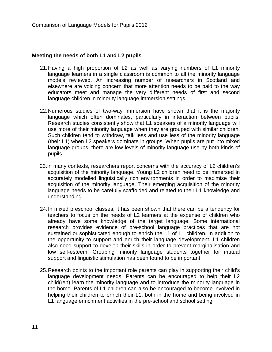#### **Meeting the needs of both L1 and L2 pupils**

- 21.Having a high proportion of L2 as well as varying numbers of L1 minority language learners in a single classroom is common to all the minority language models reviewed. An increasing number of researchers in Scotland and elsewhere are voicing concern that more attention needs to be paid to the way educators meet and manage the very different needs of first and second language children in minority language immersion settings.
- 22.Numerous studies of two-way immersion have shown that it is the majority language which often dominates, particularly in interaction between pupils. Research studies consistently show that L1 speakers of a minority language will use more of their minority language when they are grouped with similar children. Such children tend to withdraw, talk less and use less of the minority language (their L1) when L2 speakers dominate in groups. When pupils are put into mixed language groups, there are low levels of minority language use by both kinds of pupils.
- 23.In many contexts, researchers report concerns with the accuracy of L2 children's acquisition of the minority language. Young L2 children need to be immersed in accurately modelled linguistically rich environments in order to maximise their acquisition of the minority language. Their emerging acquisition of the minority language needs to be carefully scaffolded and related to their L1 knowledge and understanding.
- 24.In mixed preschool classes, it has been shown that there can be a tendency for teachers to focus on the needs of L2 learners at the expense of children who already have some knowledge of the target language. Some international research provides evidence of pre-school language practices that are not sustained or sophisticated enough to enrich the L1 of L1 children. In addition to the opportunity to support and enrich their language development, L1 children also need support to develop their skills in order to prevent marginalisation and low self-esteem. Grouping minority language students together for mutual support and linguistic stimulation has been found to be important.
- 25.Research points to the important role parents can play in supporting their child's language development needs. Parents can be encouraged to help their L2 child(ren) learn the minority language and to introduce the minority language in the home. Parents of L1 children can also be encouraged to become involved in helping their children to enrich their L1, both in the home and being involved in L1 language enrichment activities in the pre-school and school setting.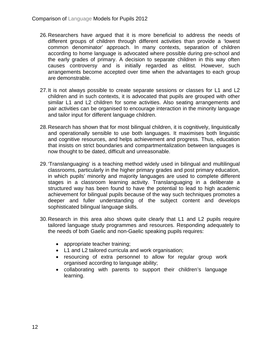- 26.Researchers have argued that it is more beneficial to address the needs of different groups of children through different activities than provide a 'lowest common denominator' approach. In many contexts, separation of children according to home language is advocated where possible during pre-school and the early grades of primary. A decision to separate children in this way often causes controversy and is initially regarded as elitist. However, such arrangements become accepted over time when the advantages to each group are demonstrable.
- 27.It is not always possible to create separate sessions or classes for L1 and L2 children and in such contexts, it is advocated that pupils are grouped with other similar L1 and L2 children for some activities. Also seating arrangements and pair activities can be organised to encourage interaction in the minority language and tailor input for different language children.
- 28.Research has shown that for most bilingual children, it is cognitively, linguistically and operationally sensible to use both languages. It maximises both linguistic and cognitive resources, and helps achievement and progress. Thus, education that insists on strict boundaries and compartmentalization between languages is now thought to be dated, difficult and unreasonable.
- 29.'Translanguaging' is a teaching method widely used in bilingual and multilingual classrooms, particularly in the higher primary grades and post primary education, in which pupils' minority and majority languages are used to complete different stages in a classroom learning activity. Translanguaging in a deliberate a structured way has been found to have the potential to lead to high academic achievement for bilingual pupils because of the way such techniques promotes a deeper and fuller understanding of the subject content and develops sophisticated bilingual language skills.
- 30.Research in this area also shows quite clearly that L1 and L2 pupils require tailored language study programmes and resources. Responding adequately to the needs of both Gaelic and non-Gaelic speaking pupils requires:
	- appropriate teacher training;
	- L1 and L2 tailored curricula and work organisation;
	- resourcing of extra personnel to allow for regular group work organised according to language ability;
	- collaborating with parents to support their children's language learning.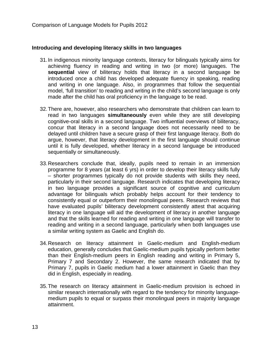#### **Introducing and developing literacy skills in two languages**

- 31.In indigenous minority language contexts, literacy for bilinguals typically aims for achieving fluency in reading and writing in two (or more) languages. The **sequential** view of biliteracy holds that literacy in a second language be introduced once a child has developed adequate fluency in speaking, reading and writing in one language. Also, in programmes that follow the sequential model, 'full transition' to reading and writing in the child's second language is only made after the child has oral proficiency in the language to be read.
- 32.There are, however, also researchers who demonstrate that children can learn to read in two languages **simultaneously** even while they are still developing cognitive-oral skills in a second language. Two influential overviews of biliteracy, concur that literacy in a second language does not necessarily need to be delayed until children have a secure grasp of their first language literacy. Both do argue, however, that literacy development in the first language should continue until it is fully developed, whether literacy in a second language be introduced sequentially or simultaneously.
- 33.Researchers conclude that, ideally, pupils need to remain in an immersion programme for 8 years (at least 6 yrs) in order to develop their literacy skills fully – shorter programmes typically do not provide students with skills they need, particularly in their second language. Research indicates that developing literacy in two language provides a significant source of cognitive and curriculum advantage for bilinguals which probably helps account for their tendency to consistently equal or outperform their monolingual peers. Research reviews that have evaluated pupils' biliteracy development consistently attest that acquiring literacy in one language will aid the development of literacy in another language and that the skills learned for reading and writing in one language will transfer to reading and writing in a second language, particularly when both languages use a similar writing system as Gaelic and English do.
- 34.Research on literacy attainment in Gaelic-medium and English-medium education, generally concludes that Gaelic-medium pupils typically perform better than their English-medium peers in English reading and writing in Primary 5, Primary 7 and Secondary 2. However, the same research indicated that by Primary 7, pupils in Gaelic medium had a lower attainment in Gaelic than they did in English, especially in reading.
- 35.The research on literacy attainment in Gaelic-medium provision is echoed in similar research internationally with regard to the tendency for minority languagemedium pupils to equal or surpass their monolingual peers in majority language attainment.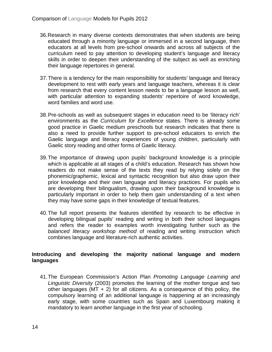- 36.Research in many diverse contexts demonstrates that when students are being educated through a minority language or immersed in a second language, then educators at all levels from pre-school onwards and across all subjects of the curriculum need to pay attention to developing student's language and literacy skills in order to deepen their understanding of the subject as well as enriching their language repertoires in general.
- 37.There is a tendency for the main responsibility for students' language and literacy development to rest with early years and language teachers, whereas it is clear from research that every content lesson needs to be a language lesson as well, with particular attention to expanding students' repertoire of word knowledge, word families and word use.
- 38.Pre-schools as well as subsequent stages in education need to be 'literacy rich' environments as the *Curriculum for Excellence* states. There is already some good practice in Gaelic medium preschools but research indicates that there is also a need to provide further support to pre-school educators to enrich the Gaelic language and literacy experiences of young children, particularly with Gaelic story reading and other forms of Gaelic literacy.
- 39.The importance of drawing upon pupils' background knowledge is a principle which is applicable at all stages of a child's education. Research has shown how readers do not make sense of the texts they read by relying solely on the phonemic/graphemic, lexical and syntactic recognition but also draw upon their prior knowledge and their own language and literacy practices. For pupils who are developing their bilingualism, drawing upon their background knowledge is particularly important in order to help them gain understanding of a text when they may have some gaps in their knowledge of textual features.
- 40.The full report presents the features identified by research to be effective in developing bilingual pupils' reading and writing in both their school languages and refers the reader to examples worth investigating further such as the *balanced literacy workshop method* of reading and writing instruction which combines language and literature-rich authentic activities.

### **Introducing and developing the majority national language and modern languages**

41.The European Commission's Action Plan *Promoting Language Learning and Linguistic Diversity* (2003) promotes the learning of the mother tongue and two other languages (MT  $+$  2) for all citizens. As a consequence of this policy, the compulsory learning of an additional language is happening at an increasingly early stage, with some countries such as Spain and Luxembourg making it mandatory to learn another language in the first year of schooling.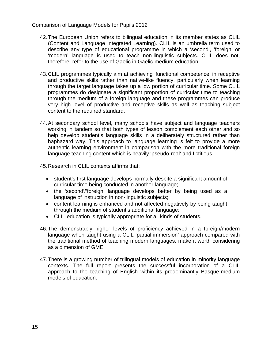- 42.The European Union refers to bilingual education in its member states as CLIL (Content and Language Integrated Learning). CLIL is an umbrella term used to describe any type of educational programme in which a 'second', 'foreign' or 'modern' language is used to teach non-linguistic subjects. CLIL does not, therefore, refer to the use of Gaelic in Gaelic-medium education.
- 43.CLIL programmes typically aim at achieving 'functional competence' in receptive and productive skills rather than native-like fluency, particularly when learning through the target language takes up a low portion of curricular time. Some CLIL programmes do designate a significant proportion of curricular time to teaching through the medium of a foreign language and these programmes can produce very high level of productive and receptive skills as well as teaching subject content to the required standard.
- 44.At secondary school level, many schools have subject and language teachers working in tandem so that both types of lesson complement each other and so help develop student's language skills in a deliberately structured rather than haphazard way. This approach to language learning is felt to provide a more authentic learning environment in comparison with the more traditional foreign language teaching content which is heavily 'pseudo-real' and fictitious.
- 45.Research in CLIL contexts affirms that:
	- student's first language develops normally despite a significant amount of curricular time being conducted in another language;
	- the 'second'/'foreign' language develops better by being used as a language of instruction in non-linguistic subjects;
	- content learning is enhanced and not affected negatively by being taught through the medium of student's additional language;
	- CLIL education is typically appropriate for all kinds of students.
- 46.The demonstrably higher levels of proficiency achieved in a foreign/modern language when taught using a CLIL 'partial immersion' approach compared with the traditional method of teaching modern languages, make it worth considering as a dimension of GME.
- 47.There is a growing number of trilingual models of education in minority language contexts. The full report presents the successful incorporation of a CLIL approach to the teaching of English within its predominantly Basque-medium models of education.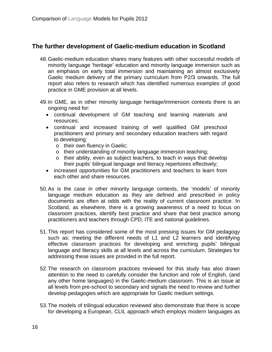### **The further development of Gaelic-medium education in Scotland**

- 48.Gaelic-medium education shares many features with other successful models of minority language 'heritage' education and minority language immersion such as an emphasis on early total immersion and maintaining an almost exclusively Gaelic medium delivery of the primary curriculum from P2/3 onwards. The full report also refers to research which has identified numerous examples of good practice in GME provision at all levels.
- 49.In GME, as in other minority language heritage/immersion contexts there is an ongoing need for:
	- continual development of GM teaching and learning materials and resources;
	- continual and increased training of well qualified GM preschool practitioners and primary and secondary education teachers with regard to developing:
		- o their own fluency in Gaelic;
		- o their understanding of minority language immersion teaching;
		- o their ability, even as subject teachers, to teach in ways that develop their pupils' bilingual language and literacy repertoires effectively;
	- increased opportunities for GM practitioners and teachers to learn from each other and share resources.
- 50.As is the case in other minority language contexts, the 'models' of minority language medium education as they are defined and prescribed in policy documents are often at odds with the reality of current classroom practice. In Scotland, as elsewhere, there is a growing awareness of a need to focus on classroom practices, identify best practice and share that best practice among practitioners and teachers through CPD, ITE and national guidelines.
- 51.This report has considered some of the most pressing issues for GM pedagogy such as: meeting the different needs of L1 and L2 learners and identifying effective classroom practices for developing and enriching pupils' bilingual language and literacy skills at all levels and across the curriculum. Strategies for addressing these issues are provided in the full report.
- 52.The research on classroom practices reviewed for this study has also drawn attention to the need to carefully consider the function and role of English, (and any other home languages) in the Gaelic-medium classroom. This is an issue at all levels from pre-school to secondary and signals the need to review and further develop pedagogies which are appropriate for Gaelic medium settings.
- 53.The models of trilingual education reviewed also demonstrate that there is scope for developing a European, CLIL approach which employs modern languages as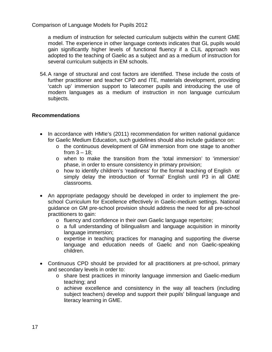a medium of instruction for selected curriculum subjects within the current GME model. The experience in other language contexts indicates that GL pupils would gain significantly higher levels of functional fluency if a CLIL approach was adopted to the teaching of Gaelic as a subject and as a medium of instruction for several curriculum subjects in EM schools.

54.A range of structural and cost factors are identified. These include the costs of further practitioner and teacher CPD and ITE, materials development, providing 'catch up' immersion support to latecomer pupils and introducing the use of modern languages as a medium of instruction in non language curriculum subjects.

### **Recommendations**

- In accordance with HMIe's (2011) recommendation for written national guidance for Gaelic Medium Education, such guidelines should also include guidance on:
	- o the continuous development of GM immersion from one stage to another from  $3 - 18$ ;
	- o when to make the transition from the 'total immersion' to 'immersion' phase, in order to ensure consistency in primary provision;
	- o how to identify children's 'readiness' for the formal teaching of English or simply delay the introduction of 'formal' English until P3 in all GME classrooms.
- An appropriate pedagogy should be developed in order to implement the preschool Curriculum for Excellence effectively in Gaelic-medium settings. National guidance on GM pre-school provision should address the need for all pre-school practitioners to gain:
	- o fluency and confidence in their own Gaelic language repertoire;
	- o a full understanding of bilingualism and language acquisition in minority language immersion;
	- o expertise in teaching practices for managing and supporting the diverse language and education needs of Gaelic and non Gaelic-speaking children.
- Continuous CPD should be provided for all practitioners at pre-school, primary and secondary levels in order to:
	- o share best practices in minority language immersion and Gaelic-medium teaching; and
	- o achieve excellence and consistency in the way all teachers (including subject teachers) develop and support their pupils' bilingual language and literacy learning in GME.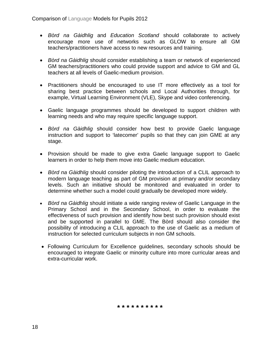- *Bòrd na Gàidhlig* and *Education Scotland* should collaborate to actively encourage more use of networks such as GLOW to ensure all GM teachers/practitioners have access to new resources and training.
- *Bòrd na Gàidhlig* should consider establishing a team or network of experienced GM teachers/practitioners who could provide support and advice to GM and GL teachers at all levels of Gaelic-medium provision.
- Practitioners should be encouraged to use IT more effectively as a tool for sharing best practice between schools and Local Authorities through, for example, Virtual Learning Environment (VLE), Skype and video conferencing.
- Gaelic language programmes should be developed to support children with learning needs and who may require specific language support.
- *Bòrd na Gàidhlig* should consider how best to provide Gaelic language instruction and support to 'latecomer' pupils so that they can join GME at any stage.
- Provision should be made to give extra Gaelic language support to Gaelic learners in order to help them move into Gaelic medium education.
- *Bòrd na Gàidhlig* should consider piloting the introduction of a CLIL approach to modern language teaching as part of GM provision at primary and/or secondary levels. Such an initiative should be monitored and evaluated in order to determine whether such a model could gradually be developed more widely.
- *Bòrd na Gàidhlig* should initiate a wide ranging review of Gaelic Language in the Primary School and in the Secondary School, in order to evaluate the effectiveness of such provision and identify how best such provision should exist and be supported in parallel to GME. The Bòrd should also consider the possibility of introducing a CLIL approach to the use of Gaelic as a medium of instruction for selected curriculum subjects in non GM schools.
- Following Curriculum for Excellence guidelines, secondary schools should be encouraged to integrate Gaelic or minority culture into more curricular areas and extra-curricular work.

**\* \* \* \* \* \* \* \* \* \***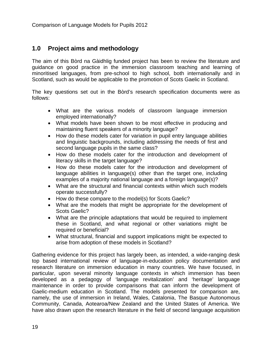### <span id="page-18-0"></span>**1.0 Project aims and methodology**

The aim of this Bòrd na Gàidhlig funded project has been to review the literature and guidance on good practice in the immersion classroom teaching and learning of minoritised languages, from pre-school to high school, both internationally and in Scotland, such as would be applicable to the promotion of Scots Gaelic in Scotland.

The key questions set out in the Bòrd's research specification documents were as follows:

- What are the various models of classroom language immersion employed internationally?
- What models have been shown to be most effective in producing and maintaining fluent speakers of a minority language?
- How do these models cater for variation in pupil entry language abilities and linguistic backgrounds, including addressing the needs of first and second language pupils in the same class?
- How do these models cater for the introduction and development of literacy skills in the target language?
- How do these models cater for the introduction and development of language abilities in language(s) other than the target one, including examples of a majority national language and a foreign language(s)?
- What are the structural and financial contexts within which such models operate successfully?
- How do these compare to the model(s) for Scots Gaelic?
- What are the models that might be appropriate for the development of Scots Gaelic?
- What are the principle adaptations that would be required to implement these in Scotland, and what regional or other variations might be required or beneficial?
- What structural, financial and support implications might be expected to arise from adoption of these models in Scotland?

Gathering evidence for this project has largely been, as intended, a wide-ranging desk top based international review of language-in-education policy documentation and research literature on immersion education in many countries. We have focused, in particular, upon several minority language contexts in which immersion has been developed as a pedagogy of 'language revitalization' and 'heritage' language maintenance in order to provide comparisons that can inform the development of Gaelic-medium education in Scotland. The models presented for comparison are, namely, the use of immersion in Ireland, Wales, Catalonia, The Basque Autonomous Community, Canada, Aotearoa/New Zealand and the United States of America. We have also drawn upon the research literature in the field of second language acquisition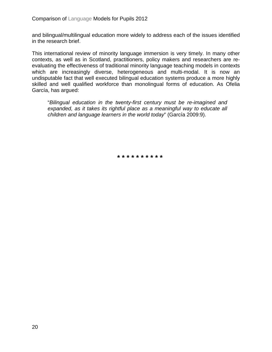and bilingual/multilingual education more widely to address each of the issues identified in the research brief.

This international review of minority language immersion is very timely. In many other contexts, as well as in Scotland, practitioners, policy makers and researchers are reevaluating the effectiveness of traditional minority language teaching models in contexts which are increasingly diverse, heterogeneous and multi-modal. It is now an undisputable fact that well executed bilingual education systems produce a more highly skilled and well qualified workforce than monolingual forms of education. As Ofelia García, has argued:

"*Bilingual education in the twenty-first century must be re-imagined and expanded, as it takes its rightful place as a meaningful way to educate all children and language learners in the world today*" (García 2009:9).

**\* \* \* \* \* \* \* \* \* \***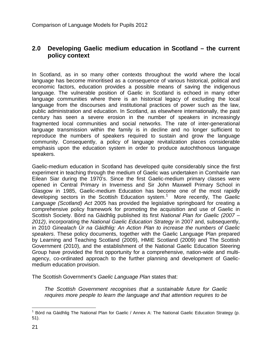### <span id="page-20-0"></span>**2.0 Developing Gaelic medium education in Scotland – the current policy context**

In Scotland, as in so many other contexts throughout the world where the local language has become minoritised as a consequence of various historical, political and economic factors, education provides a possible means of saving the indigenous language. The vulnerable position of Gaelic in Scotland is echoed in many other language communities where there is an historical legacy of excluding the local language from the discourses and institutional practices of power such as the law, public administration and education. In Scotland, as elsewhere internationally, the past century has seen a severe erosion in the number of speakers in increasingly fragmented local communities and social networks. The rate of inter-generational language transmission within the family is in decline and no longer sufficient to reproduce the numbers of speakers required to sustain and grow the language community. Consequently, a policy of language revitalization places considerable emphasis upon the education system in order to produce autochthonous language speakers.

Gaelic-medium education in Scotland has developed quite considerably since the first experiment in teaching through the medium of Gaelic was undertaken in Comhairle nan Eilean Siar during the 1970's. Since the first Gaelic-medium primary classes were opened in Central Primary in Inverness and Sir John Maxwell Primary School in Glasgow in 1985, Gaelic-medium Education has become one of the most rapidly developing sectors in the Scottish Education system.[1](#page-0-0) More recently, The *Gaelic Language (Scotland) Act* 2005 has provided the legislative springboard for creating a comprehensive policy framework for promoting the acquisition and use of Gaelic in Scottish Society. Bòrd na Gàidhlig published its first *National Plan for Gaelic (2007 – 2012)*, incorporating the *National Gaelic Education Strategy* in 2007 and, subsequently, in 2010 *Ginealach Ùr na Gàidhlig: An Action Plan to increase the numbers of Gaelic speakers*. These policy documents, together with the Gaelic Language Plan prepared by Learning and Teaching Scotland (2009), HMIE Scotland (2009) and The Scottish Government (2010), and the establishment of the National Gaelic Education Steering Group have provided the first opportunity for a comprehensive, nation-wide and multiagency, co-ordinated approach to the further planning and development of Gaelicmedium education provision.

<span id="page-20-1"></span>The Scottish Government's *Gaelic Language Plan* states that:

*The Scottish Government recognises that a sustainable future for Gaelic requires more people to learn the language and that attention requires to be* 

 $1$  Bòrd na Gàidhlig The National Plan for Gaelic / Annex A: The National Gaelic Education Strategy (p. 51).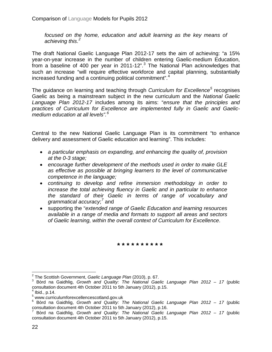*focused on the home, education and adult learning as the key means of achieving this*. *[2](#page-20-1)*

The draft National Gaelic Language Plan 2012-17 sets the aim of achieving: "a 15% year-on-year increase in the number of children entering Gaelic-medium Education, from a baseline of 400 per year in 2011-12".<sup>[3](#page-21-0)</sup> The National Plan acknowledges that such an increase "will require effective workforce and capital planning, substantially increased funding and a continuing political commitment".<sup>[4](#page-21-1)</sup>

The guidance on learning and teaching through *Curriculum for Excellence[5](#page-21-2)* recognises Gaelic as being a mainstream subject in the new curriculum and the *National Gaelic Language Plan 2012-17* includes among its aims: "*ensure that the principles and practices of Curriculum for Excellence are implemented fully in Gaelic and Gaelicmedium education at all levels".[6](#page-21-3)*

Central to the new National Gaelic Language Plan is its commitment "to enhance delivery and assessment of Gaelic education and learning". This includes:

- *a particular emphasis on expanding, and enhancing the quality of, provision at the 0-3 stage;*
- *encourage further development of the methods used in order to make GLE as effective as possible at bringing learners to the level of communicative competence in the language;*
- *continuing to develop and refine immersion methodology in order to increase the total achieving fluency in Gaelic and in particular to enhance the standard of their Gaelic in terms of range of vocabulary and grammatical accuracy*; *[7](#page-21-4)* and
- supporting the "*extended range of Gaelic Education and learning resources available in a range of media and formats to support all areas and sectors of Gaelic learning, within the overall context of Curriculum for Excellence*.

**\* \* \* \* \* \* \* \* \* \***

<span id="page-21-0"></span><sup>&</sup>lt;sup>2</sup> The Scottish Government, *Gaelic Language Plan* (2010), p. 67.<br><sup>3</sup> Bòrd na Gaidhlig, *Growth and Quality: The National Gaelic Language Plan 2012 – 17* (public consultation document 4th October 2011 to 5th January (2012), p.15.

 $<sup>4</sup>$  Ibid., p.14.</sup>

<span id="page-21-2"></span><span id="page-21-1"></span><sup>5</sup> www.curriculumforexcellencescotland.gov.uk

<span id="page-21-5"></span><span id="page-21-3"></span><sup>6</sup> Bòrd na Gaidhlig, *Growth and Quality: The National Gaelic Language Plan 2012 – 17* (public consultation document 4th October 2011 to 5th January (2012), p.16.

<span id="page-21-4"></span><sup>7</sup> Bòrd na Gaidhlig, *Growth and Quality: The National Gaelic Language Plan 2012 – 17* (public consultation document 4th October 2011 to 5th January (2012), p.15.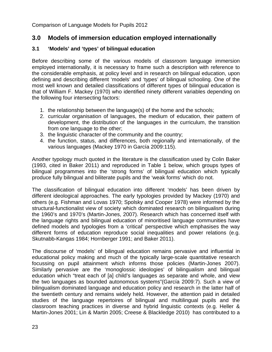### <span id="page-22-0"></span>**3.0 Models of immersion education employed internationally**

### <span id="page-22-1"></span>**3.1 'Models' and 'types' of bilingual education**

Before describing some of the various models of classroom language immersion employed internationally, it is necessary to frame such a description with reference to the considerable emphasis, at policy level and in research on bilingual education, upon defining and describing different 'models' and 'types' of bilingual schooling. One of the most well known and detailed classifications of different types of bilingual education is that of William F. Mackey (1970) who identified ninety different variables depending on the following four intersecting factors:

- 1. the relationship between the language(s) of the home and the schools;
- 2. curricular organisation of languages, the medium of education, their pattern of development, the distribution of the languages in the curriculum, the transition from one language to the other;
- 3. the linguistic character of the community and the country;
- 4. the function, status, and differences, both regionally and internationally, of the various languages (Mackey 1970 in García 2009:115).

Another typology much quoted in the literature is the classification used by Colin Baker (1993, cited in Baker 2011) and reproduced in Table 1 below, which groups types of bilingual programmes into the 'strong forms' of bilingual education which typically produce fully bilingual and biliterate pupils and the 'weak forms' which do not.

The classification of bilingual education into different 'models' has been driven by different ideological approaches. The early typologies provided by Mackey (1970) and others (e.g. Fishman and Lovas 1970; Spolsky and Cooper 1978) were informed by the structural-functionalist view of society which dominated research on bilingualism during the 1960's and 1970's (Martin-Jones, 2007). Research which has concerned itself with the language rights and bilingual education of minoritised language communities have defined models and typologies from a 'critical' perspective which emphasises the way different forms of education reproduce social inequalities and power relations (e.g. Skutnabb-Kangas 1984; Hornberger 1991; and Baker 2011).

The discourse of 'models' of bilingual education remains pervasive and influential in educational policy making and much of the typically large-scale quantitative research focussing on pupil attainment which informs those policies (Martin-Jones 2007). Similarly pervasive are the 'monoglossic ideologies' of bilingualism and bilingual education which "treat each of [a] child's languages as separate and whole, and view the two languages as bounded autonomous systems"(García 2009:7). Such a view of bilingualism dominated language and education policy and research in the latter half of the twentieth century and remains widely held. However, the attention paid in detailed studies of the language repertoires of bilingual and multilingual pupils and the classroom teaching practices in diverse and hybrid linguistic contexts (e.g. Heller & Martin-Jones 2001; Lin & Martin 2005; Creese & Blackledge 2010) has contributed to a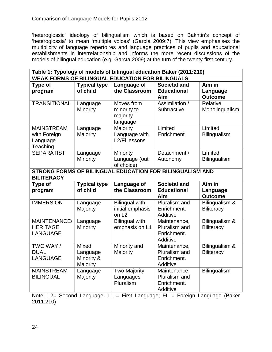'heteroglossic' ideology of bilingualism which is based on Bakhtin's concept of 'heteroglossia' to mean 'multiple voices' (García 2009:7). This view emphasises the multiplicity of language repertoires and language practices of pupils and educational establishments in interrelationship and informs the more recent discussions of the models of bilingual education (e.g. García 2009) at the turn of the twenty-first century.

| Table 1: Typology of models of bilingual education Baker (2011:210) |                      |                                                          |                               |                     |  |  |
|---------------------------------------------------------------------|----------------------|----------------------------------------------------------|-------------------------------|---------------------|--|--|
| <b>WEAK FORMS OF BILINGUAL EDUCATION FOR BILINGUALS</b>             |                      |                                                          |                               |                     |  |  |
| Type of                                                             | <b>Typical type</b>  | Language of                                              | <b>Societal and</b>           | Aim in              |  |  |
| program                                                             | of child             | the Classroom                                            | <b>Educational</b>            | Language            |  |  |
|                                                                     |                      |                                                          | Aim                           | <b>Outcome</b>      |  |  |
| <b>TRANSITIONAL</b>                                                 | Language<br>Minority | Moves from                                               | Assimilation /<br>Subtractive | Relative            |  |  |
|                                                                     |                      | minority to<br>majority                                  |                               | Monolingualism      |  |  |
|                                                                     |                      | language                                                 |                               |                     |  |  |
| <b>MAINSTREAM</b>                                                   | Language             | Majority                                                 | Limited                       | Limited             |  |  |
| with Foreign                                                        | Majority             | Language with                                            | Enrichment                    | <b>Bilingualism</b> |  |  |
| Language                                                            |                      | L2/FI lessons                                            |                               |                     |  |  |
| Teaching                                                            |                      |                                                          |                               |                     |  |  |
| <b>SEPARATIST</b>                                                   | Language             | Minority                                                 | Detachment /                  | Limited             |  |  |
|                                                                     | Minority             | Language (out                                            | Autonomy                      | <b>Bilingualism</b> |  |  |
|                                                                     |                      | of choice)                                               |                               |                     |  |  |
|                                                                     |                      | STRONG FORMS OF BILINGUAL EDUCATION FOR BILINGUALISM AND |                               |                     |  |  |
| <b>BILITERACY</b>                                                   |                      |                                                          |                               |                     |  |  |
|                                                                     |                      |                                                          |                               |                     |  |  |
| Type of                                                             | <b>Typical type</b>  | Language of                                              | <b>Societal and</b>           | Aim in              |  |  |
| program                                                             | of child             | the Classroom                                            | <b>Educational</b>            | Language            |  |  |
|                                                                     |                      |                                                          | Aim                           | <b>Outcome</b>      |  |  |
| <b>IMMERSION</b>                                                    | Language             | <b>Bilingual with</b>                                    | Pluralism and                 | Bilingualism &      |  |  |
|                                                                     | Majority             | initial emphasis                                         | Enrichment.                   | <b>Biliteracy</b>   |  |  |
|                                                                     |                      | on L <sub>2</sub>                                        | Additive                      |                     |  |  |
| MAINTENANCE/<br><b>HERITAGE</b>                                     | Language             | Bilingual with                                           | Maintenance,<br>Pluralism and | Bilingualism &      |  |  |
| <b>LANGUAGE</b>                                                     | Minority             | emphasis on L1                                           | Enrichment.                   | <b>Biliteracy</b>   |  |  |
|                                                                     |                      |                                                          | Additive                      |                     |  |  |
| TWO WAY /                                                           | <b>Mixed</b>         | Minority and                                             | Maintenance,                  | Bilingualism &      |  |  |
| <b>DUAL</b>                                                         | Language             | Majority                                                 | Pluralism and                 | <b>Biliteracy</b>   |  |  |
| <b>LANGUAGE</b>                                                     | Minority &           |                                                          | Enrichment.                   |                     |  |  |
|                                                                     | Majority             |                                                          | Additive                      |                     |  |  |
| <b>MAINSTREAM</b>                                                   | Language             | <b>Two Majority</b>                                      | Maintenance,                  | <b>Bilingualism</b> |  |  |
| <b>BILINGUAL</b>                                                    | Majority             | Languages                                                | Pluralism and                 |                     |  |  |
|                                                                     |                      | Pluralism                                                | Enrichment.<br>Additive       |                     |  |  |

Note: L2= Second Language; L1 = First Language; FL = Foreign Language (Baker 2011:210)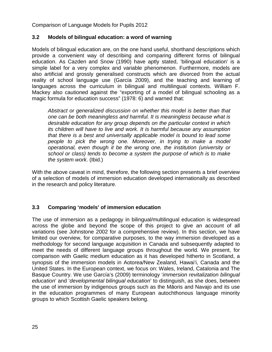### <span id="page-24-0"></span>**3.2 Models of bilingual education: a word of warning**

Models of bilingual education are, on the one hand useful, shorthand descriptions which provide a convenient way of describing and comparing different forms of bilingual education. As Cazden and Snow (1990) have aptly stated, 'bilingual education' is a simple label for a very complex and variable phenomenon. Furthermore, models are also artificial and grossly generalised constructs which are divorced from the actual reality of school language use (García 2009), and the teaching and learning of languages across the curriculum in bilingual and multilingual contexts. William F. Mackey also cautioned against the "exporting of a model of bilingual schooling as a magic formula for education success" (1978: 6) and warned that:

*Abstract or generalized discussion on whether this model is better than that one can be both meaningless and harmful. It is meaningless because what is desirable education for any group depends on the particular context in which its children will have to live and work. It is harmful because any assumption that there is a best and universally applicable model is bound to lead some people to pick the wrong one. Moreover, in trying to make a model operational, even though it be the wrong one, the institution (university or school or class) tends to become a system the purpose of which is to make the system work*. (Ibid.)

With the above caveat in mind, therefore, the following section presents a brief overview of a selection of models of immersion education developed internationally as described in the research and policy literature.

### <span id="page-24-1"></span>**3.3 Comparing 'models' of immersion education**

The use of immersion as a pedagogy in bilingual/multilingual education is widespread across the globe and beyond the scope of this project to give an account of all variations (see Johnstone 2002 for a comprehensive review). In this section, we have limited our overview, for comparative purposes, to the way immersion developed as a methodology for second language acquisition in Canada and subsequently adapted to meet the needs of different language groups throughout the world. We present, for comparison with Gaelic medium education as it has developed hitherto in Scotland, a synopsis of the immersion models in Aotorea/New Zealand, Hawai'i, Canada and the United States. In the European context, we focus on: Wales, Ireland, Catalonia and The Basque Country. We use García's (2009) terminology '*immersion revitalization bilingual education*' and '*developmental bilingual education*' to distinguish, as she does, between the use of immersion by indigenous groups such as the Māoris and Navajo and its use in the education programmes of many European autochthonous language minority groups to which Scottish Gaelic speakers belong.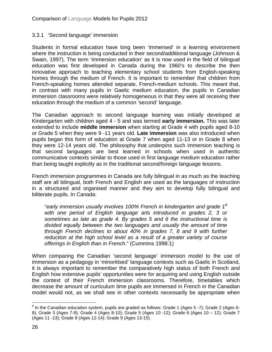### <span id="page-25-0"></span>3.3.1 'Second language' immersion

Students in formal education have long been 'immersed' in a learning environment where the instruction is being conducted in their second/additional language (Johnson & Swain, 1997). The term 'immersion education' as it is now used in the field of bilingual education was first developed in Canada during the 1960's to describe the then innovative approach to teaching elementary school students from English-speaking homes through the medium of French. It is important to remember that children from French-speaking homes attended separate, French-medium schools. This meant that, in contrast with many pupils in Gaelic medium education, the pupils in Canadian immersion classrooms were relatively homogeneous in that they were all receiving their education through the medium of a common 'second' language.

The Canadian approach to second language learning was initially developed at Kindergarten with children aged 4 - 5 and was termed **early immersion.** This was later extended to include **middle immersion** when starting at Grade 4 with pupils aged 8-10 or Grade 5 when they were 9 -11 years old. **Late immersion** was also introduced when pupils began this form of education at Grade 7 when aged 11-13 or in Grade 8 when they were 12-14 years old. The philosophy that underpins such immersion teaching is that second languages are best learned in schools when used in authentic communicative contexts similar to those used in first language medium education rather than being taught explicitly as in the traditional second/foreign language lessons.

French immersion programmes in Canada are fully bilingual in as much as the teaching staff are all bilingual, both French and English are used as the languages of instruction in a structured and organised manner and they aim to develop fully bilingual and biliterate pupils. In Canada:

"*early immersion usually involves 100% French in kindergarten and grade 1[8](#page-21-5) with one period of English language arts introduced in grades 2, 3 or sometimes as late as grade 4. By grades 5 and 6 the instructional time is divided equally between the two languages and usually the amount of time through French declines to about 40% in grades 7, 8 and 9 with further reduction at the high school level as a result of a greater variety of course offerings in English than in French*." (Cummins 1998:1)

When comparing the Canadian 'second language' immersion model to the use of immersion as a pedagogy in 'minoritised' language contexts such as Gaelic in Scotland, it is always important to remember the comparatively high status of both French and English how extensive pupils' opportunities were for acquiring and using English outside the context of their French immersion classrooms. Therefore, timetables which decrease the amount of curriculum time pupils are immersed in French in the Canadian model would not, as we shall see in other contexts necessarily be appropriate when

<span id="page-25-1"></span><sup>&</sup>lt;sup>8</sup> In the Canadian education system, pupils are graded as follows: Grade 1 (Ages 5 -7); Grade 2 (Ages 6-8); Grade 3 (Ages 7-9); Grade 4 (Ages 8-10); Grade 5 (Ages 10 -12); Grade 6 (Ages 10 – 12); Grade 7 (Ages 11 -13); Grade 8 (Ages 12-14); Grade 9 (Ages 13-15).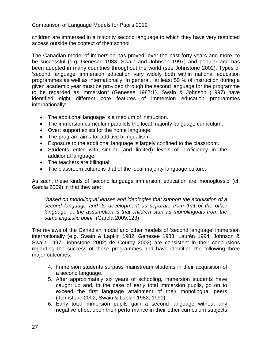children are immersed in a minority second language to which they have very restricted access outside the context of their school.

The Canadian model of immersion has proved, over the past forty years and more, to be successful (e.g. Genesee 1983; Swain and Johnson 1997) and popular and has been adopted in many countries throughout the world (see Johnstone 2002). Types of 'second language' immersion education vary widely both within national education programmes as well as internationally. In general, "at least 50 % of instruction during a given academic year must be provided through the second language for the programme to be regarded as immersion*"* (Genesee 1987:1). Swain & Johnson (1997) have identified eight different core features of immersion education programmes internationally:

- The additional language is a medium of instruction.
- The immersion curriculum parallels the local majority language curriculum.
- Overt support exists for the home language.
- The program aims for additive bilingualism.
- Exposure to the additional language is largely confined to the classroom.
- Students enter with similar (and limited) levels of proficiency in the additional language.
- The teachers are bilingual.
- The classroom culture is that of the local majority-language culture.

As such, these kinds of 'second language immersion' education are 'monoglossic' (cf. García 2009) in that they are:

"*based on monolingual lenses and ideologies that support the acquisition of a second language and its development as separate from that of the other language. ... the assumption is that children start as monolinguals from the same linguistic point*" (García 2009:123)

The reviews of the Canadian model and other models of 'second language' immersion internationally (e.g. Swain & Lapkin 1982; Genesee 1983; Laurén 1994; Johnson & Swain 1997; Johnstone 2002; de Courcy 2002) are consistent in their conclusions regarding the success of these programmes and have identified the following three major outcomes:

- 4. Immersion students surpass mainstream students in their acquisition of a second language.
- 5. After approximately six years of schooling, immersion students have caught up and, in the case of early total immersion pupils, go on to exceed the first language attainment of their monolingual peers (Johnstone 2002; Swain & Lapkin 1982, 1991).
- 6. Early total immersion pupils gain a second language without any negative effect upon their performance in their other curriculum subjects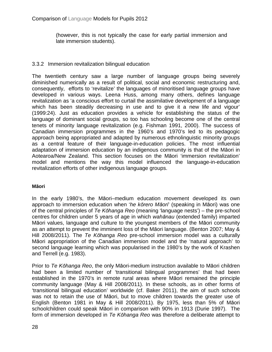(however, this is not typically the case for early partial immersion and late immersion students).

### <span id="page-27-0"></span>3.3.2 Immersion revitalization bilingual education

The twentieth century saw a large number of language groups being severely diminished numerically as a result of political, social and economic restructuring and, consequently, efforts to 'revitalize' the languages of minoritised language groups have developed in various ways. Leena Huss, among many others, defines language revitalization as 'a conscious effort to curtail the assimilative development of a language which has been steadily decreasing in use and to give it a new life and vigour' (1999:24). Just as education provides a vehicle for establishing the status of the language of dominant social groups, so too has schooling become one of the central tenets of minority language revitalization (e.g. Fishman 1991, 2000). The success of Canadian immersion programmes in the 1960's and 1970's led to its pedagogic approach being appropriated and adapted by numerous ethnolinguistic minority groups as a central feature of their language-in-education policies. The most influential adaptation of immersion education by an indigenous community is that of the Māori in Aotearoa/New Zealand. This section focuses on the Māori 'immersion revitalization' model and mentions the way this model influenced the language-in-education revitalization efforts of other indigenous language groups.

### **Māori**

In the early 1980's, the Māori–medium education movement developed its own approach to immersion education when '*he kōrero Māori*' (speaking in Māori) was one of the central principles of *Te Kōhanga Reo* (meaning 'language nests') – the pre-school centres for children under 5 years of age in which *wahānau* (extended family) imparted Māori values, language and culture to the youngest members of the Māori community as an attempt to prevent the imminent loss of the Māori language. (Benton 2007; May & Hill 2008/2011). The *Te Kōhanga Reo* pre-school immersion model was a culturally Māori appropriation of the Canadian immersion model and the 'natural approach' to second language learning which was popularised in the 1980's by the work of Krashen and Terrell (e.g. 1983).

Prior to *Te Kōhanga Reo*, the only Māori-medium instruction available to Māori children had been a limited number of 'transitional bilingual programmes' that had been established in the 1970's in remote rural areas where Māori remained the principle community language (May & Hill 2008/2011). In these schools, as in other forms of 'transitional bilingual education' worldwide (cf. Baker 2011), the aim of such schools was not to retain the use of Māori, but to move children towards the greater use of English (Benton 1981 in May & Hill 2008/2011). By 1975, less than 5% of Māori schoolchildren could speak Māori in comparison with 90% in 1913 (Durie 1997). The form of immersion developed in *Te Kōhanga Reo* was therefore a deliberate attempt to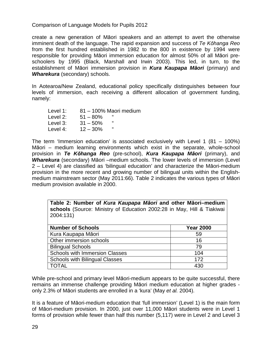create a new generation of Māori speakers and an attempt to avert the otherwise imminent death of the language. The rapid expansion and success of *Te Kōhanga Reo* from the first hundred established in 1982 to the 800 in existence by 1994 were responsible for providing Māori immersion education for almost 50% of all Māori preschoolers by 1995 (Black, Marshall and Irwin 2003). This led, in turn, to the establishment of Māori immersion provision in *Kura Kaupapa Māori* (primary) and *Wharekura* (secondary) schools.

In Aotearoa/New Zealand, educational policy specifically distinguishes between four levels of immersion, each receiving a different allocation of government funding, namely:

Level 1: 81 – 100% Maori medium Level 2:  $51 - 80\%$  " Level 3:  $31 - 50\%$  " Level 4:  $12 - 30\%$ 

The term 'Immersion education' is associated exclusively with Level 1 (81 – 100%) Māori – medium learning environments which exist in the separate, whole-school provision in *Te Kōhanga Reo* (pre-school), *Kura Kaupapa Māori* (primary), and *Wharekura* (secondary) Māori –medium schools. The lower levels of immersion (Level 2 – Level 4) are classified as 'bilingual education' and characterize the Māori-medium provision in the more recent and growing number of bilingual units within the Englishmedium mainstream sector (May 2011:66). Table 2 indicates the various types of Māori medium provision available in 2000.

**Table 2: Number of** *Kura Kaupapa Māori* **and other Māori–medium schools** (Source: Ministry of Education 2002:28 in May, Hill & Tiakiwai 2004:131)

| <b>Number of Schools</b>              | <b>Year 2000</b> |
|---------------------------------------|------------------|
| Kura Kaupapa Māori                    | 59               |
| Other immersion schools               | 16               |
| <b>Bilingual Schools</b>              | 79               |
| <b>Schools with Immersion Classes</b> | 104              |
| <b>Schools with Bilingual Classes</b> | 172              |
| <b>TOTAL</b>                          | 430              |

While pre-school and primary level Māori-medium appears to be quite successful, there remains an immense challenge providing Māori medium education at higher grades only 2.3% of Māori students are enrolled in a 'kura' (May *et al.* 2004).

It is a feature of Māori-medium education that 'full immersion' (Level 1) is the main form of Māori-medium provision. In 2000, just over 11,000 Māori students were in Level 1 forms of provision while fewer than half this number (5,117) were in Level 2 and Level 3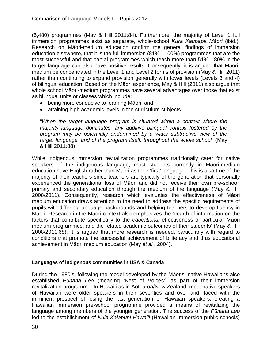(5,480) programmes (May & Hill 2011:84). Furthermore, the majority of Level 1 full immersion programmes exist as separate, whole-school *Kura Kaupapa Māori* (ibid.). Research on Māori-medium education confirm the general findings of immersion education elsewhere, that it is the full immersion (81% - 100%) programmes that are the most successful and that partial programmes which teach more than 51% - 80% in the target language can also have positive results. Consequently, it is argued that Māorimedium be concentrated in the Level 1 and Level 2 forms of provision (May & Hill 2011) rather than continuing to expand provision generally with lower levels (Levels 3 and 4) of bilingual education. Based on the Māori experience, May & Hill (2011) also argue that whole school Māori-medium programmes have several advantages over those that exist as bilingual units or classes which include:

- being more conducive to learning Māori, and
- attaining high academic levels in the curriculum subjects.

"*When the target language program is situated within a context where the majority language dominates, any additive bilingual context fostered by the program may be potentially undermined by a wider subtractive view of the target language, and of the program itself, throughout the whole school*" (May & Hill 2011:88)

While indigenous immersion revitalization programmes traditionally cater for native speakers of the indigenous language, most students currently in Māori-medium education have English rather than Māori as their 'first' language. This is also true of the majority of their teachers since teachers are typically of the generation that personally experienced the generational loss of Māori and did not receive their own pre-school, primary and secondary education through the medium of the language (May & Hill 2008/2011). Consequently, research which evaluates the effectiveness of Māori medium education draws attention to the need to address the specific requirements of pupils with differing language backgrounds and helping teachers to develop fluency in Māori. Research in the Māori context also emphasizes the 'dearth of information on the factors that contribute specifically to the *educational* effectiveness of particular Māori medium programmes, and the related academic outcomes of their students' (May & Hill 2008/2011:68). It is argued that more research is needed, particularly with regard to conditions that promote the successful achievement of biliteracy and thus educational achievement in Māori medium education (May *et al.*. 2004).

### **Languages of indigenous communities in USA & Canada**

During the 1980's, following the model developed by the Māoris, native Hawaiians also established *Pūnana Leo* (meaning 'Nest of Voices') as part of their immersion revitalization programme. In Hawai'i as in Aotearoa/New Zealand, most native speakers of Hawaiian were older speakers in their seventies and over and, faced with the imminent prospect of losing the last generation of Hawaian speakers, creating a Hawaiian immersion pre-school programme provided a means of revitalizing the language among members of the younger generation. The success of the *Pūnana Leo* led to the establishment of *Kula Kaiapuni Hawai'i* (Hawaiian Immersion public schools)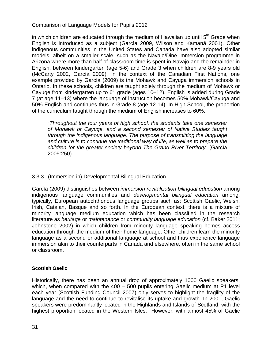in which children are educated through the medium of Hawaiian up until  $5<sup>th</sup>$  Grade when English is introduced as a subject (Garcìa 2009, Wilson and Kamanā 2001). Other indigenous communities in the United States and Canada have also adopted similar models, albeit on a smaller scale, such as the Navajo/Diné immersion programme in Arizona where more than half of classroom time is spent in Navajo and the remainder in English, between kindergarten (age 5-6) and Grade 3 when children are 8-9 years old (McCarty 2002, Garcìa 2009). In the context of the Canadian First Nations, one example provided by Garcìa (2009) is the Mohawk and Cayuga immersion schools in Ontario. In these schools, children are taught solely through the medium of Mohawk or Cayuge from kindergarten up to  $6<sup>th</sup>$  grade (ages 10–12). English is added during Grade 7 (at age 11–13) where the language of instruction becomes 50% Mohawk/Cayuga and 50% English and continues thus in Grade 8 (age 12-14). In High School, the proportion of the curriculum taught through the medium of English increases to 60%.

"*Throughout the four years of high school, the students take one semester of Mohawk or Cayuga, and a second semester of Native Studies taught through the indigenous language. The purpose of transmitting the language and culture is to continue the traditional way of life, as well as to prepare the children for the greater society beyond The Grand River Territory*" (Garcìa 2009:250)

### <span id="page-30-0"></span>3.3.3 (Immersion in) Developmental Bilingual Education

Garcìa (2009) distinguishes between *immersion revitalization bilingual education* among indigenous language communities and *developmental bilingual education* among, typically, European autochthonous language groups such as: Scottish Gaelic, Welsh, Irish, Catalan, Basque and so forth. In the European context, there is a mixture of minority language medium education which has been classified in the research literature as *heritage* or *maintenance* or *community language education* (cf. Baker 2011; Johnstone 2002) in which children from minority language speaking homes access education through the medium of their home language. Other children learn the minority language as a second or additional language at school and thus experience language immersion akin to their counterparts in Canada and elsewhere, often in the same school or classroom.

### **Scottish Gaelic**

Historically, there has been an annual drop of approximately 1000 Gaelic speakers, which, when compared with the 400 – 500 pupils entering Gaelic medium at P1 level each year (Scottish Funding Council 2007) only serves to highlight the fragility of the language and the need to continue to revitalise its uptake and growth. In 2001, Gaelic speakers were predominantly located in the Highlands and Islands of Scotland, with the highest proportion located in the Western Isles. However, with almost 45% of Gaelic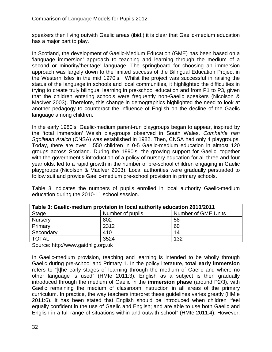speakers then living outwith Gaelic areas (ibid.) it is clear that Gaelic-medium education has a major part to play.

In Scotland, the development of Gaelic-Medium Education (GME) has been based on a 'language immersion' approach to teaching and learning through the medium of a second or minority/'heritage' language. The springboard for choosing an immersion approach was largely down to the limited success of the Bilingual Education Project in the Western Isles in the mid 1970's. Whilst the project was successful in raising the status of the language in schools and local communities, it highlighted the difficulties in trying to create truly bilingual learning in pre-school education and from P1 to P3, given that the children entering schools were frequently non-Gaelic speakers (Nicolson & MacIver 2003). Therefore, this change in demographics highlighted the need to look at another pedagogy to counteract the influence of English on the decline of the Gaelic language among children.

In the early 1980's, Gaelic-medium parent-run playgroups began to appear, inspired by the 'total immersion' Welsh playgroups observed in South Wales. *Comhairle nan Sgoiltean Araich* (CNSA) was established in 1982. Then, CNSA had only 4 playgroups. Today, there are over 1,550 children in 0-5 Gaelic-medium education in almost 120 groups across Scotland. During the 1990's, the growing support for Gaelic, together with the government's introduction of a policy of nursery education for all three and four year olds, led to a rapid growth in the number of pre-school children engaging in Gaelic playgroups (Nicolson & MacIver 2003). Local authorities were gradually persuaded to follow suit and provide Gaelic-medium pre-school provision in primary schools.

Table 3 indicates the numbers of pupils enrolled in local authority Gaelic-medium education during the 2010-11 school session.

| Table 3: Gaelic-medium provision in local authority education 2010/2011 |                  |                            |  |  |
|-------------------------------------------------------------------------|------------------|----------------------------|--|--|
| <b>Stage</b>                                                            | Number of pupils | <b>Number of GME Units</b> |  |  |
| <b>Nursery</b>                                                          | 802              | 58                         |  |  |
| Primary                                                                 | 2312             | 60                         |  |  |
| Secondary                                                               | 410              | 14                         |  |  |
| <b>TOTAL</b>                                                            | 3524             | 132                        |  |  |

Source: http://www.gaidhlig.org.uk

In Gaelic-medium provision, teaching and learning is intended to be wholly through Gaelic during pre-school and Primary 1. In the policy literature, **total early immersion** refers to "[t]he early stages of learning through the medium of Gaelic and where no other language is used" (HMIe 2011:3). English as a subject is then gradually introduced through the medium of Gaelic in the **immersion phase** (around P2/3), with Gaelic remaining the medium of classroom instruction in all areas of the primary curriculum. In practice, the way teachers interpret these guidelines varies greatly (HMIe 2011:6). It has been stated that English should be introduced when children "feel equally confident in the use of Gaelic and English; and are able to use both Gaelic and English in a full range of situations within and outwith school" (HMIe 2011:4). However,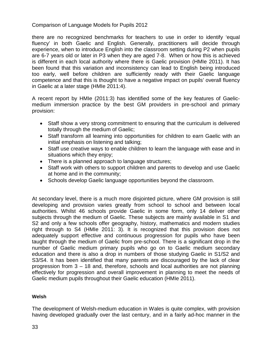there are no recognized benchmarks for teachers to use in order to identify 'equal fluency' in both Gaelic and English. Generally, practitioners will decide through experience, when to introduce English into the classroom setting during P2 when pupils are 6-7 years old or later in P3 when they are aged 7-8. When or how this is achieved is different in each local authority where there is Gaelic provision (HMIe 2011). It has been found that this variation and inconsistency can lead to English being introduced too early, well before children are sufficiently ready with their Gaelic language competence and that this is thought to have a negative impact on pupils' overall fluency in Gaelic at a later stage (HMIe 2011:4).

A recent report by HMIe (2011:3) has identified some of the key features of Gaelicmedium immersion practice by the best GM providers in pre-school and primary provision:

- Staff show a very strong commitment to ensuring that the curriculum is delivered totally through the medium of Gaelic;
- Staff transform all learning into opportunities for children to earn Gaelic with an initial emphasis on listening and talking;
- Staff use creative ways to enable children to learn the language with ease and in situations which they enjoy;
- There is a planned approach to language structures;
- Staff work with others to support children and parents to develop and use Gaelic at home and in the community;
- Schools develop Gaelic language opportunities beyond the classroom.

At secondary level, there is a much more disjointed picture, where GM provision is still developing and provision varies greatly from school to school and between local authorities. Whilst 46 schools provide Gaelic in some form, only 14 deliver other subjects through the medium of Gaelic. These subjects are mainly available in S1 and S2 and only a few schools offer geography, history, mathematics and modern studies right through to S4 (HMIe 2011: 3). It is recognized that this provision does not adequately support effective and continuous progression for pupils who have been taught through the medium of Gaelic from pre-school. There is a significant drop in the number of Gaelic medium primary pupils who go on to Gaelic medium secondary education and there is also a drop in numbers of those studying Gaelic in S1/S2 and S3/S4. It has been identified that many parents are discouraged by the lack of clear progression from 3 – 18 and, therefore, schools and local authorities are not planning effectively for progression and overall improvement in planning to meet the needs of Gaelic medium pupils throughout their Gaelic education (HMIe 2011).

### **Welsh**

The development of Welsh-medium education in Wales is quite complex, with provision having developed gradually over the last century, and in a fairly ad-hoc manner in the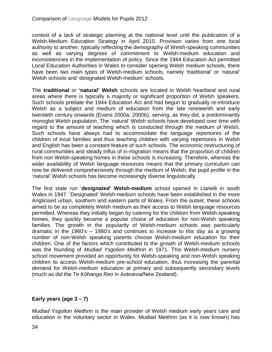context of a lack of strategic planning at the national level until the publication of a Welsh-Medium Education Strategy in April 2010. Provision varies from one local authority to another, typically reflecting the demography of Welsh-speaking communities as well as varying degrees of commitment to Welsh-medium education and inconsistencies in the implementation of policy. Since the 1944 Education Act permitted Local Education Authorities in Wales to consider opening Welsh medium schools, there have been two main types of Welsh-medium schools, namely 'traditional' or 'natural' Welsh schools and 'designated Welsh-medium' schools.

The **traditional** or **'natural' Welsh** schools are located in Welsh heartland and rural areas where there is typically a majority or significant proportion of Welsh speakers. Such schools predate the 1944 Education Act and had begun to gradually re-introduce Welsh as a subject and medium of education from the late nineteenth and early twentieth century onwards (Evans 2000a; 2000b), serving, as they did, a predominantly monoglot Welsh population. The 'natural' Welsh schools have developed over time with regard to the amount of teaching which is conducted through the medium of Welsh. Such schools have always had to accommodate the language repertoires of the children of local families and thus teaching children with varying repertoires in Welsh and English has been a constant feature of such schools. The economic restructuring of rural communities and steady influx of in-migration means that the proportion of children from non Welsh-speaking homes in these schools is increasing. Therefore, whereas the wider availability of Welsh language resources means that the primary curriculum can now be delivered comprehensively through the medium of Welsh, the pupil profile in the 'natural' Welsh schools has become increasingly diverse linguistically.

The first state run '**designated' Welsh-medium** school opened in Llanelli in south Wales in 1947. 'Designated' Welsh-medium schools have been established in the more Anglicised urban, southern and eastern parts of Wales. From the outset, these schools aimed to be as completely Welsh medium as their access to Welsh language resources permitted. Whereas they initially began by catering for the children from Welsh-speaking homes, they quickly became a popular choice of education for non-Welsh speaking families. The growth in the popularity of Welsh-medium schools was particularly dramatic in the 1960's – 1980's and continues to increase to this day as a growing number of non-Welsh speaking parents choose Welsh-medium education for their children. One of the factors which contributed to the growth of Welsh-medium schools was the founding of *Mudiad Ysgolion Meithrin* in 1971. This Welsh-medium nursery school movement provided an opportunity for Welsh-speaking and non-Welsh speaking children to access Welsh-medium pre-school education, thus increasing the parental demand for Welsh-medium education at primary and subsequently secondary levels (much as did the *Te Kōhanga Reo* in Aotearoa/New Zealand).

### **Early years (age 3 – 7)**

*Mudiad Ysgolion Meithrin* is the main provider of Welsh medium early years care and education in the voluntary sector in Wales. Mudiad Meithrin (as it is now known) has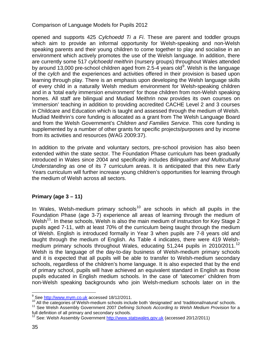opened and supports 425 *Cylchoedd Ti a Fi*. These are parent and toddler groups which aim to provide an informal opportunity for Welsh-speaking and non-Welsh speaking parents and their young children to come together to play and socialise in an environment which actively promotes the use of the Welsh language. In addition, there are currently some 517 *cylchoedd meithrin* (nursery groups) throughout Wales attended by around 13,000 pre-school children aged from 2.5-4 years old<sup>[9](#page-25-1)</sup>. Welsh is the language of the *cylch* and the experiences and activities offered in their provision is based upon learning through play. There is an emphasis upon developing the Welsh language skills of every child in a naturally Welsh medium environment for Welsh-speaking children and in a 'total early immersion environment' for those children from non-Welsh speaking homes. All staff are bilingual and Mudiad Meithrin now provides its own courses on 'immersion' teaching in addition to providing accredited CACHE Level 2 and 3 courses in Childcare and Education which is taught and assessed through the medium of Welsh. Mudiad Meithrin's core funding is allocated as a grant from The Welsh Language Board and from the Welsh Government's *Children and Families Service*. This core funding is supplemented by a number of other grants for specific projects/purposes and by income from its activities and resources (WAG 2009:37).

In addition to the private and voluntary sectors, pre-school provision has also been extended within the state sector. The Foundation Phase curriculum has been gradually introduced in Wales since 2004 and specifically includes *Bilingualism and Multicultural Understanding* as one of its 7 curriculum areas. It is anticipated that this new Early Years curriculum will further increase young children's opportunities for learning through the medium of Welsh across all sectors.

### **Primary (age 3 – 11)**

In Wales, Welsh-medium primary schools<sup>[10](#page-34-0)</sup> are schools in which all pupils in the Foundation Phase (age 3-7) experience all areas of learning through the medium of Welsh<sup>11</sup>. In these schools, Welsh is also the main medium of instruction for Key Stage 2 pupils aged 7-11, with at least 70% of the curriculum being taught through the medium of Welsh. English is introduced formally in Year 3 when pupils are 7-8 years old and taught through the medium of English. As Table 4 indicates, there were 419 Welsh-medium primary schools throughout Wales, educating 51,244 pupils in 2010/2011.<sup>[12](#page-34-2)</sup> Welsh is the language of the day-to-day business of Welsh-medium primary schools and it is expected that all pupils will be able to transfer to Welsh-medium secondary schools, regardless of the children's home language. It is also expected that by the end of primary school, pupils will have achieved an equivalent standard in English as those pupils educated in English medium schools. In the case of 'latecomer' children from non-Welsh speaking backgrounds who join Welsh-medium schools later on in the

<span id="page-34-0"></span><sup>&</sup>lt;sup>9</sup> See [http://www.mym.co.uk](http://www.mym.co.uk/) accessed 18/12/2011.<br><sup>10</sup> All the categories of Welsh-medium schools include both 'designated' and 'traditional/natural' schools.

<span id="page-34-1"></span><sup>&</sup>lt;sup>11</sup> See Welsh Assembly Government 2007 Defining Schools According to Welsh Medium Provision for a full definition of all primary and secondary schools.

<span id="page-34-2"></span><sup>&</sup>lt;sup>12</sup> See: Welsh Assembly Government [http://www.statswales.gov.uk](http://www.statswales.gov.uk/) (accessed 20/12/2011)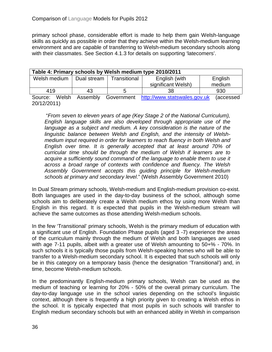primary school phase, considerable effort is made to help them gain Welsh-language skills as quickly as possible in order that they achieve within the Welsh-medium learning environment and are capable of transferring to Welsh-medium secondary schools along with their classmates. See Section 4.1.3 for details on supporting 'latecomers'.

| Table 4: Primary schools by Welsh medium type 2010/2011 |          |                  |                              |           |  |
|---------------------------------------------------------|----------|------------------|------------------------------|-----------|--|
| Welsh medium   Dual stream                              |          | l Transitional l | English (with                | English   |  |
|                                                         |          |                  | significant Welsh)           | medium    |  |
| 419                                                     | 43       | ∽                | 38                           | 930       |  |
| Source:<br>Welsh                                        | Assembly | Government       | http://www.statswales.gov.uk | (accessed |  |

20/12/2011)

"*From seven to eleven years of age (Key Stage 2 of the National Curriculum), English language skills are also developed through appropriate use of the*  language as a subject and medium. A key consideration is the nature of the *linguistic balance between Welsh and English, and the intensity of Welshmedium input required in order for learners to reach fluency in both Welsh and English over time. It is generally accepted that at least around 70% of curricular time should be through the medium of Welsh if learners are to acquire a sufficiently sound command of the language to enable them to use it across a broad range of contexts with confidence and fluency. The Welsh Assembly Government accepts this guiding principle for Welsh-medium schools at primary and secondary level*." (Welsh Assembly Government 2010)

In Dual Stream primary schools, Welsh-medium and English-medium provision co-exist. Both languages are used in the day-to-day business of the school, although some schools aim to deliberately create a Welsh medium ethos by using more Welsh than English in this regard. It is expected that pupils in the Welsh-medium stream will achieve the same outcomes as those attending Welsh-medium schools.

In the few 'Transitional' primary schools, Welsh is the primary medium of education with a significant use of English. Foundation Phase pupils (aged 3 -7) experience the areas of the curriculum mainly through the medium of Welsh and both languages are used with age 7-11 pupils, albeit with a greater use of Welsh amounting to 50+% - 70%. In such schools it is typically those pupils from Welsh-speaking homes who will be able to transfer to a Welsh-medium secondary school. It is expected that such schools will only be in this category on a temporary basis (hence the designation 'Transitional') and, in time, become Welsh-medium schools.

In the predominantly English-medium primary schools, Welsh can be used as the medium of teaching or learning for 20% - 50% of the overall primary curriculum. The day-to-day language use in the school varies depending on the school's linguistic context, although there is frequently a high priority given to creating a Welsh ethos in the school. It is typically expected that most pupils in such schools will transfer to English medium secondary schools but with an enhanced ability in Welsh in comparison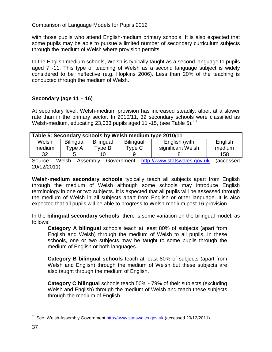with those pupils who attend English-medium primary schools. It is also expected that some pupils may be able to pursue a limited number of secondary curriculum subjects through the medium of Welsh where provision permits.

In the English medium schools, Welsh is typically taught as a second language to pupils aged 7 -11. This type of teaching of Welsh as a second language subject is widely considered to be ineffective (e.g. Hopkins 2006). Less than 20% of the teaching is conducted through the medium of Welsh.

# **Secondary (age 11 – 16)**

At secondary level, Welsh-medium provision has increased steadily, albeit at a slower rate than in the primary sector. In 2010/11, 32 secondary schools were classified as Welsh-medium, educating 23,033 pupils aged 11 -15, (see Table 5). $^{13}$  $^{13}$  $^{13}$ 

| Table 5: Secondary schools by Welsh medium type 2010/11                                      |                  |                  |                  |                   |         |
|----------------------------------------------------------------------------------------------|------------------|------------------|------------------|-------------------|---------|
| Welsh                                                                                        | <b>Bilingual</b> | <b>Bilingual</b> | <b>Bilingual</b> | English (with     | English |
| medium                                                                                       | Type A           | Type B           | Type C           | significant Welsh | medium  |
| 32                                                                                           |                  |                  |                  |                   | 158     |
| http://www.etatewalge.gov.uk<br>Accombly<br>\\lalch<br>Covernment<br>laccossad<br>$S$ $O(1)$ |                  |                  |                  |                   |         |

Source: Weish Assembly Government <u>[http://www.statswales.gov.uk](http://www.statswales.gov.uk/)</u> (accessed 20/12/2011)

**Welsh-medium secondary schools** typically teach all subjects apart from English through the medium of Welsh although some schools may introduce English terminology in one or two subjects. It is expected that all pupils will be assessed through the medium of Welsh in all subjects apart from English or other language. It is also expected that all pupils will be able to progress to Welsh-medium post 16 provision.

In the **bilingual secondary schools**, there is some variation on the bilingual model, as follows:

**Category A bilingual** schools teach at least 80% of subjects (apart from English and Welsh) through the medium of Welsh to all pupils. In these schools, one or two subjects may be taught to some pupils through the medium of English or both languages.

**Category B bilingual schools** teach at least 80% of subjects (apart from Welsh and English) through the medium of Welsh but these subjects are also taught through the medium of English.

**Category C bilingual** schools teach 50% - 79% of their subjects (excluding Welsh and English) through the medium of Welsh and teach these subjects through the medium of English.

<span id="page-36-0"></span><sup>&</sup>lt;sup>13</sup> See: Welsh Assembly Government [http://www.statswales.gov.uk](http://www.statswales.gov.uk/) (accessed 20/12/2011)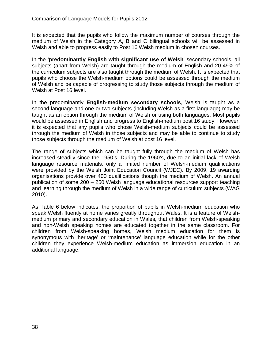It is expected that the pupils who follow the maximum number of courses through the medium of Welsh in the Category A, B and C bilingual schools will be assessed in Welsh and able to progress easily to Post 16 Welsh medium in chosen courses.

In the '**predominantly English with significant use of Welsh**' secondary schools, all subjects (apart from Welsh) are taught through the medium of English and 20-49% of the curriculum subjects are also taught through the medium of Welsh. It is expected that pupils who choose the Welsh-medium options could be assessed through the medium of Welsh and be capable of progressing to study those subjects through the medium of Welsh at Post 16 level.

In the predominantly **English-medium secondary schools**, Welsh is taught as a second language and one or two subjects (including Welsh as a first language) may be taught as an option through the medium of Welsh or using both languages. Most pupils would be assessed in English and progress to English-medium post 16 study. However, it is expected that any pupils who chose Welsh-medium subjects could be assessed through the medium of Welsh in those subjects and may be able to continue to study those subjects through the medium of Welsh at post 16 level.

The range of subjects which can be taught fully through the medium of Welsh has increased steadily since the 1950's. During the 1960's, due to an initial lack of Welsh language resource materials, only a limited number of Welsh-medium qualifications were provided by the Welsh Joint Education Council (WJEC). By 2009, 19 awarding organisations provide over 400 qualifications though the medium of Welsh. An annual publication of some 200 – 250 Welsh language educational resources support teaching and learning through the medium of Welsh in a wide range of curriculum subjects (WAG 2010).

As Table 6 below indicates, the proportion of pupils in Welsh-medium education who speak Welsh fluently at home varies greatly throughout Wales. It is a feature of Welshmedium primary and secondary education in Wales, that children from Welsh-speaking and non-Welsh speaking homes are educated together in the same classroom. For children from Welsh-speaking homes, Welsh medium education for them is synonymous with 'heritage' or 'maintenance' language education while for the other children they experience Welsh-medium education as immersion education in an additional language.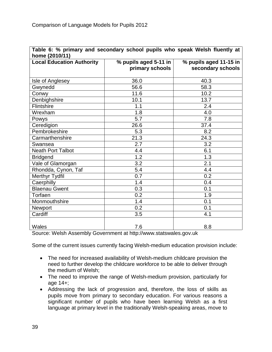| Table 6: % primary and secondary school pupils who speak Welsh fluently at |                       |                        |  |  |
|----------------------------------------------------------------------------|-----------------------|------------------------|--|--|
| home (2010/11)                                                             |                       |                        |  |  |
| <b>Local Education Authority</b>                                           | % pupils aged 5-11 in | % pupils aged 11-15 in |  |  |
|                                                                            | primary schools       | secondary schools      |  |  |
|                                                                            |                       |                        |  |  |
| Isle of Anglesey                                                           | 36.0                  | 40.3                   |  |  |
| Gwynedd                                                                    | 56.6                  | 58.3                   |  |  |
| Conwy                                                                      | 11.6                  | 10.2                   |  |  |
| Denbighshire                                                               | 10.1                  | 13.7                   |  |  |
| Flintshire                                                                 | 1.1                   | 2.4                    |  |  |
| Wrexham                                                                    | 1.8                   | 4.0                    |  |  |
| Powys                                                                      | 5.7                   | 7.8                    |  |  |
| Ceredigion                                                                 | 26.6                  | 37.4                   |  |  |
| Pembrokeshire                                                              | 5.3                   | 8.2                    |  |  |
| Carmarthenshire                                                            | 21.3                  | 24.3                   |  |  |
| Swansea                                                                    | 2.7                   | 3.2                    |  |  |
| <b>Neath Port Talbot</b>                                                   | 4.4                   | 6.1                    |  |  |
| <b>Bridgend</b>                                                            | 1.2                   | 1.3                    |  |  |
| Vale of Glamorgan                                                          | 3.2                   | 2.1                    |  |  |
| Rhondda, Cynon, Taf                                                        | 5.4                   | 4.4                    |  |  |
| Merthyr Tydfil                                                             | 0.7                   | 0.2                    |  |  |
| Caerphilly                                                                 | 1.4                   | 0.4                    |  |  |
| <b>Blaenau Gwent</b>                                                       | 0.3                   | 0.1                    |  |  |
| Torfaen                                                                    | 0.2                   | 1.9                    |  |  |
| Monmouthshire                                                              | 1.4                   | 0.1                    |  |  |
| Newport                                                                    | 0.2                   | 0.1                    |  |  |
| Cardiff                                                                    | 3.5                   | 4.1                    |  |  |
|                                                                            |                       |                        |  |  |
| Wales                                                                      | 7.6                   | 8.8                    |  |  |

Source: Welsh Assembly Government at http://www.statswales.gov.uk

Some of the current issues currently facing Welsh-medium education provision include:

- The need for increased availability of Welsh-medium childcare provision the need to further develop the childcare workforce to be able to deliver through the medium of Welsh;
- The need to improve the range of Welsh-medium provision, particularly for age 14+;
- Addressing the lack of progression and, therefore, the loss of skills as pupils move from primary to secondary education. For various reasons a significant number of pupils who have been learning Welsh as a first language at primary level in the traditionally Welsh-speaking areas, move to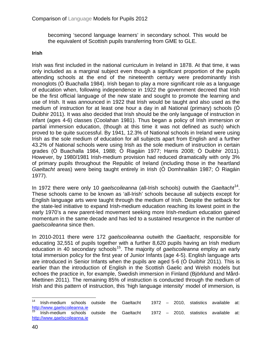becoming 'second language learners' in secondary school. This would be the equivalent of Scottish pupils transferring from GME to GLE.

#### **Irish**

Irish was first included in the national curriculum in Ireland in 1878. At that time, it was only included as a marginal subject even though a significant proportion of the pupils attending schools at the end of the nineteenth century were predominantly Irish monoglots (Ó Buachalla 1984). Irish began to play a more significant role as a language of education when, following independence in 1922 the government decreed that Irish be the first official language of the new state and sought to promote the learning and use of Irish. It was announced in 1922 that Irish would be taught and also used as the medium of instruction for at least one hour a day in all National (primary) schools (Ó Duibhir 2011). It was also decided that Irish should be the only language of instruction in infant (ages 4-6) classes (Coolahan 1981). Thus began a policy of Irish immersion or partial immersion education, (though at this time it was not defined as such) which proved to be quite successful. By 1941, 12.3% of National schools in Ireland were using Irish as the sole medium of education for all subjects apart from English and a further 43.2% of National schools were using Irish as the sole medium of instruction in certain grades (Ó Buachalla 1984, 1988; Ó Riagáin 1977; Harris 2008; Ó Duibhir 2011). However, by 1980/1981 Irish-medium provision had reduced dramatically with only 3% of primary pupils throughout the Republic of Ireland (including those in the heartland *Gaeltacht* areas) were being taught entirely in Irish (Ó Domhnalláin 1987; Ó Riagáin 1977).

In 1972 there were only 10 *gaelscoileanna* (all-Irish schools) outwith the *Gaeltacht* [14.](#page-36-0) These schools came to be known as 'all-Irish' schools because all subjects except for English language arts were taught through the medium of Irish. Despite the setback for the state-led initiative to expand Irish-medium education reaching its lowest point in the early 1970's a new parent-led movement seeking more Irish-medium education gained momentum in the same decade and has led to a sustained resurgence in the number of *gaelscoileanna* since then.

In 2010-2011 there were 172 *gaelscoileanna* outwith the *Gaeltacht*, responsible for educating 32,551 of pupils together with a further 8,620 pupils having an Irish medium education in 40 secondary schools<sup>15</sup>. The majority of *gaelscoileanna* employ an early total immersion policy for the first year of Junior Infants (age 4-5). English language arts are introduced in Senior Infants when the pupils are aged 5-6 (Ó Duibhir 2011). This is earlier than the introduction of English in the Scottish Gaelic and Welsh models but echoes the practice in, for example, Swedish immersion in Finland (Björklund and Mård-Miettinen 2011). The remaining 85% of instruction is conducted through the medium of Irish and this pattern of instruction, this 'high language intensity' model of immersion, is

<span id="page-39-1"></span><span id="page-39-0"></span> <sup>14</sup> Irish-medium schools outside the Gaeltacht 1972 – 2010, statistics available at: [http://www.gaelscoileanna.ie](http://www.gaelscoileanna.ie/)<br><sup>15</sup> Irish-medium schools outside the Gaeltacht 1972 – 2010, statistics available at: [http://www.gaelscoileanna.ie](http://www.gaelscoileanna.ie/)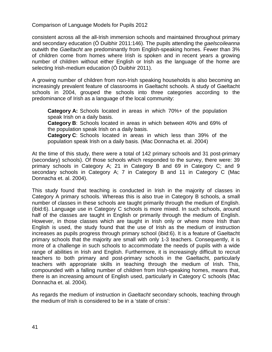consistent across all the all-Irish immersion schools and maintained throughout primary and secondary education (Ó Duibhir 2011:146). The pupils attending the *gaelscoileanna* outwith the *Gaeltacht* are predominantly from English-speaking homes. Fewer than 3% of children come from homes where Irish is spoken and in recent years a growing number of children without either English or Irish as the language of the home are selecting Irish-medium education (Ó Duibhir 2011).

A growing number of children from non-Irish speaking households is also becoming an increasingly prevalent feature of classrooms in Gaeltacht schools. A study of Gaeltacht schools in 2004, grouped the schools into three categories according to the predominance of Irish as a language of the local community:

**Category A:** Schools located in areas in which 70%+ of the population speak Irish on a daily basis.

**Category B**: Schools located in areas in which between 40% and 69% of the population speak Irish on a daily basis.

**Category C**: Schools located in areas in which less than 39% of the population speak Irish on a daily basis. (Mac Donnacha et. al. 2004)

At the time of this study, there were a total of 142 primary schools and 31 post-primary (secondary) schools). Of those schools which responded to the survey, there were: 39 primary schools in Category A; 21 in Category B and 69 in Category C; and 9 secondary schools in Category A; 7 in Category B and 11 in Category C (Mac Donnacha et. al. 2004).

This study found that teaching is conducted in Irish in the majority of classes in Category A primary schools. Whereas this is also true in Category B schools, a small number of classes in these schools are taught primarily through the medium of English. (ibid:6). Language use in Category C schools is more mixed. In such schools, around half of the classes are taught in English or primarily through the medium of English. However, in those classes which are taught in Irish only or where more Irish than English is used, the study found that the use of Irish as the medium of instruction increases as pupils progress through primary school (ibid:6). It is a feature of Gaeltacht primary schools that the majority are small with only 1-3 teachers. Consequently, it is more of a challenge in such schools to accommodate the needs of pupils with a wide range of abilities in Irish and English. Furthermore, it is increasingly difficult to recruit teachers to both primary and post-primary schools in the Gaeltacht, particularly teachers with appropriate skills in teaching through the medium of Irish. This, compounded with a falling number of children from Irish-speaking homes, means that, there is an increasing amount of English used, particularly in Category C schools (Mac Donnacha et. al. 2004).

As regards the medium of instruction in *Gaeltacht* secondary schools, teaching through the medium of Irish is considered to be in a 'state of crisis':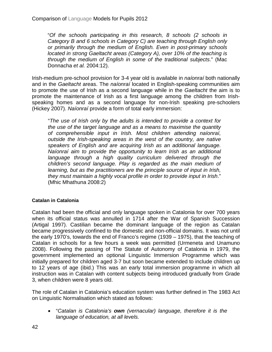"*Of the schools participating in this research, 8 schools (2 schools in Category B and 6 schools in Category C) are teaching through English only or primarily through the medium of English. Even in post-primary schools located in strong Gaeltacht areas (Category A), over 10% of the teaching is through the medium of English in some of the traditional subjects*." (Mac Donnacha *et al.* 2004:12).

Irish-medium pre-school provision for 3-4 year old is available in *naíonraí* both nationally and in the *Gaeltacht* areas. The *naíonraí* located in English-speaking communities aim to promote the use of Irish as a second language while in the *Gaeltacht* the aim is to promote the maintenance of Irish as a first language among the children from Irishspeaking homes and as a second language for non-Irish speaking pre-schoolers (Hickey 2007). *Naíonraí* provide a form of total early immersion:

"*The use of Irish only by the adults is intended to provide a context for the use of the target language and as a means to maximise the quantity of comprehensible input in Irish. Most children attending naíonraí, outside the Irish-speaking areas in the west of the country, are native speakers of English and are acquiring Irish as an additional language. Naíonraí aim to provide the opportunity to learn Irish as an additional*  language through a high quality curriculum delivered through the *children's second language. Play is regarded as the main medium of learning, but as the practitioners are the principle source of input in Irish, they must maintain a highly vocal profile in order to provide input in Irish*." (Mhic Mhathuna 2008:2)

#### **Catalan in Catalonia**

Catalan had been the official and only language spoken in Catalonia for over 700 years when its official status was annulled in 1714 after the War of Spanish Succession (Artigal 1997). Castilian became the dominant language of the region as Catalan became progressively confined to the domestic and non-official domains. It was not until the early 1970's, towards the end of Franco's regime (1939 – 1975), that the teaching of Catalan in schools for a few hours a week was permitted (Urmeneta and Unamuno 2008). Following the passing of The Statute of Autonomy of Catalonia in 1979, the government implemented an optional Linguistic Immersion Programme which was initially prepared for children aged 3-7 but soon became extended to include children up to 12 years of age (ibid.) This was an early total immersion programme in which all instruction was in Catalan with content subjects being introduced gradually from Grade 3, when children were 8 years old.

The role of Catalan in Catalonia's education system was further defined in The 1983 Act on Linguistic Normalisation which stated as follows:

• "*Catalan is Catalonia's own (vernacular) language, therefore it is the language of education, at all levels.*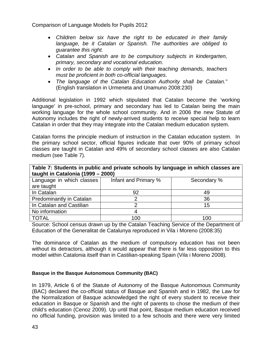- *Children below six have the right to be educated in their family language, be it Catalan or Spanish. The authorities are obliged to guarantee this right.*
- *Catalan and Spanish are to be compulsory subjects in kindergarten, primary, secondary and vocational education.*
- *In order to be able to comply with their teaching demands, teachers must be proficient in both co-official languages*.
- *The language of the Catalan Education Authority shall be Catalan."* (English translation in Urmeneta and Unamuno 2008:230)

Additional legislation in 1992 which stipulated that Catalan become the 'working language' in pre-school, primary and secondary has led to Catalan being the main working language for the whole school community. And in 2006 the new Statute of Autonomy includes the right of newly-arrived students to receive special help to learn Catalan in order that they may integrate into the Catalan medium education system.

Catalan forms the principle medium of instruction in the Catalan education system. In the primary school sector, official figures indicate that over 90% of primary school classes are taught in Catalan and 49% of secondary school classes are also Catalan medium (see Table 7).

| Table 7: Students in public and private schools by language in which classes are |                      |             |  |  |
|----------------------------------------------------------------------------------|----------------------|-------------|--|--|
| taught in Catalonia (1999 - 2000)                                                |                      |             |  |  |
| Language in which classes                                                        | Infant and Primary % | Secondary % |  |  |
| are taught                                                                       |                      |             |  |  |
| In Catalan                                                                       | 92                   | 49          |  |  |
| <b>Predominantly in Catalan</b>                                                  |                      | 36          |  |  |
| In Catalan and Castilian                                                         |                      | 15          |  |  |
| No information                                                                   |                      |             |  |  |
| <b>TOTAL</b>                                                                     | 100                  | 100         |  |  |

Source: School census drawn up by the Catalan Teaching Service of the Department of Education of the Generalitat de Catalunya reproduced in Vila i Moreno (2008:35)

The dominance of Catalan as the medium of compulsory education has not been without its detractors, although it would appear that there is far less opposition to this model within Catalonia itself than in Castilian-speaking Spain (Vila i Moreno 2008).

#### **Basque in the Basque Autonomous Community (BAC)**

In 1979, Article 6 of the Statute of Autonomy of the Basque Autonomous Community (BAC) declared the co-official status of Basque and Spanish and in 1982, the Law for the Normalization of Basque acknowledged the right of every student to receive their education in Basque or Spanish and the right of parents to chose the medium of their child's education (Cenoz 2009). Up until that point, Basque medium education received no official funding, provision was limited to a few schools and there were very limited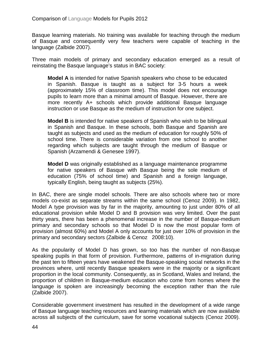Basque learning materials. No training was available for teaching through the medium of Basque and consequently very few teachers were capable of teaching in the language (Zalbide 2007).

Three main models of primary and secondary education emerged as a result of reinstating the Basque language's status in BAC society:

**Model A** is intended for native Spanish speakers who chose to be educated in Spanish. Basque is taught as a subject for 3-5 hours a week (approximately 15% of classroom time). This model does not encourage pupils to learn more than a minimal amount of Basque. However, there are more recently A+ schools which provide additional Basque language instruction or use Basque as the medium of instruction for one subject.

**Model B** is intended for native speakers of Spanish who wish to be bilingual in Spanish and Basque. In these schools, both Basque and Spanish are taught as subjects and used as the medium of education for roughly 50% of school time. There is considerable variation from one school to another regarding which subjects are taught through the medium of Basque or Spanish (Arzamendi & Genesee 1997).

**Model D** was originally established as a language maintenance programme for native speakers of Basque with Basque being the sole medium of education (75% of school time) and Spanish and a foreign language, typically English, being taught as subjects (25%).

In BAC, there are single model schools. There are also schools where two or more models co-exist as separate streams within the same school (Cenoz 2009). In 1982, Model A type provision was by far in the majority, amounting to just under 80% of all educational provision while Model D and B provision was very limited. Over the past thirty years, there has been a phenomenal increase in the number of Basque-medium primary and secondary schools so that Model D is now the most popular form of provision (almost 60%) and Model A only accounts for just over 10% of provision in the primary and secondary sectors (Zalbide & Cenoz 2008:10).

As the popularity of Model D has grown, so too has the number of non-Basque speaking pupils in that form of provision. Furthermore, patterns of in-migration during the past ten to fifteen years have weakened the Basque-speaking social networks in the provinces where, until recently Basque speakers were in the majority or a significant proportion in the local community. Consequently, as in Scotland, Wales and Ireland, the proportion of children in Basque-medium education who come from homes where the language is spoken are increasingly becoming the exception rather than the rule (Zalbide 2007).

Considerable government investment has resulted in the development of a wide range of Basque language teaching resources and learning materials which are now available across all subjects of the curriculum, save for some vocational subjects (Cenoz 2009).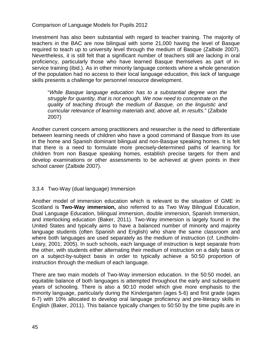Investment has also been substantial with regard to teacher training. The majority of teachers in the BAC are now bilingual with some 21,000 having the level of Basque required to teach up to university level through the medium of Basque (Zalbide 2007). Nevertheless, it is still felt that a significant number of teachers still are lacking in oral proficiency, particularly those who have learned Basque themselves as part of inservice training (ibid.). As in other minority language contexts where a whole generation of the population had no access to their local language education, this lack of language skills presents a challenge for personnel resource development.

"*While Basque language education has to a substantial degree won the struggle for quantity, that is not enough. We now need to concentrate on the quality of teaching through the medium of Basque, on the linguistic and curricular relevance of learning materials and, above all, in results*." (Zalbide 2007)

Another current concern among practitioners and researcher is the need to differentiate between learning needs of children who have a good command of Basque from its use in the home and Spanish dominant bilingual and non-Basque speaking homes. It is felt that there is a need to formulate more precisely-determined paths of learning for children from non Basque speaking homes, establish precise targets for them and develop examinations or other assessments to be achieved at given points in their school career (Zalbide 2007).

#### 3.3.4 Two-Way (dual language) Immersion

Another model of immersion education which is relevant to the situation of GME in Scotland is **Two-Way immersion,** also referred to as Two Way Bilingual Education, Dual Language Education, bilingual immersion, double immersion, Spanish Immersion, and interlocking education (Baker, 2011). Two-Way immersion is largely found in the United States and typically aims to have a balanced number of minority and majority language students (often Spanish and English) who share the same classroom and where both languages are used separately as the medium of instruction (cf. Lindholm-Leary, 2001; 2005). In such schools, each language of instruction is kept separate from the other, with students either alternating their medium of instruction on a daily basis or on a subject-by-subject basis in order to typically achieve a 50:50 proportion of instruction through the medium of each language.

There are two main models of Two-Way immersion education. In the 50:50 model, an equitable balance of both languages is attempted throughout the early and subsequent years of schooling. There is also a 90:10 model which give more emphasis to the minority language, particularly during the Kindergarten (ages 5-6) and first grade (ages 6-7) with 10% allocated to develop oral language proficiency and pre-literacy skills in English (Baker, 2011). This balance typically changes to 50:50 by the time pupils are in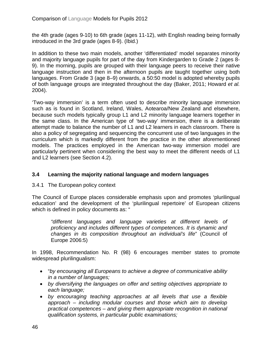the 4th grade (ages 9-10) to 6th grade (ages 11-12), with English reading being formally introduced in the 3rd grade (ages 8-9). (Ibid.)

In addition to these two main models, another 'differentiated' model separates minority and majority language pupils for part of the day from Kindergarden to Grade 2 (ages 8- 9). In the morning, pupils are grouped with their language peers to receive their native language instruction and then in the afternoon pupils are taught together using both languages. From Grade 3 (age 8–9) onwards, a 50:50 model is adopted whereby pupils of both language groups are integrated throughout the day (Baker, 2011; Howard *et al.* 2004).

'Two-way immersion' is a term often used to describe minority language immersion such as is found in Scotland, Ireland, Wales, Aotearoa/New Zealand and elsewhere, because such models typically group L1 and L2 minority language learners together in the same class. In the American type of 'two-way' immersion, there is a deliberate attempt made to balance the number of L1 and L2 learners in each classroom. There is also a policy of segregating and sequencing the concurrent use of two languages in the curriculum which is markedly different from the practice in the other aforementioned models. The practices employed in the American two-way immersion model are particularly pertinent when considering the best way to meet the different needs of L1 and L2 learners (see Section 4.2).

# **3.4 Learning the majority national language and modern languages**

3.4.1 The European policy context

The Council of Europe places considerable emphasis upon and promotes 'plurilingual education' and the development of the 'plurilingual repertoire' of European citizens which is defined in policy documents as: "

*"different languages and language varieties at different levels of proficiency and includes different types of competences. It is dynamic and changes in its composition throughout an individual's life*" (Council of Europe 2006:5)

In 1998, Recommendation No. R (98) 6 encourages member states to promote widespread plurilingualism:

- "*by encouraging all Europeans to achieve a degree of communicative ability in a number of languages;*
- *by diversifying the languages on offer and setting objectives appropriate to each language;*
- *by encouraging teaching approaches at all levels that use a flexible approach – including modular courses and those which aim to develop practical competences – and giving them appropriate recognition in national qualification systems, in particular public examinations;*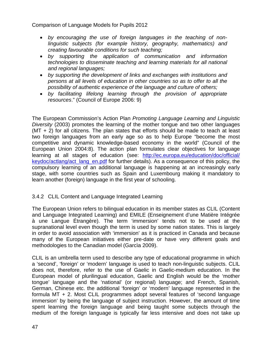- *by encouraging the use of foreign languages in the teaching of nonlinguistic subjects (for example history, geography, mathematics) and creating favourable conditions for such teaching;*
- *by supporting the application of communication and information technologies to disseminate teaching and learning materials for all national and regional languages;*
- *by supporting the development of links and exchanges with institutions and persons at all levels of education in other countries so as to offer to all the possibility of authentic experience of the language and culture of others;*
- *by facilitating lifelong learning through the provision of appropriate resources*." (Council of Europe 2006: 9)

The European Commission's Action Plan *Promoting Language Learning and Linguistic Diversity* (2003) promotes the learning of the mother tongue and two other languages (MT + 2) for all citizens. The plan states that efforts should be made to teach at least two foreign languages from an early age so as to help Europe "become the most competitive and dynamic knowledge-based economy in the world" (Council of the European Union 2004:8). The action plan formulates clear objectives for language learning at all stages of education (see: [http://ec.europa.eu/education/doc/official/](http://ec.europa.eu/education/doc/official/%20keydoc/actlang/act_lang_en.pdf)  [keydoc/actlang/act\\_lang\\_en.pdf](http://ec.europa.eu/education/doc/official/%20keydoc/actlang/act_lang_en.pdf) for further details). As a consequence of this policy, the compulsory learning of an additional language is happening at an increasingly early stage, with some countries such as Spain and Luxembourg making it mandatory to learn another (foreign) language in the first year of schooling.

# 3.4.2 CLIL Content and Language Integrated Learning

The European Union refers to bilingual education in its member states as CLIL (Content and Language Integrated Learning) and EMILE (Enseignement d'une Matière Intégrée à une Langue Étrangère). The term 'immersion' tends not to be used at the supranational level even though the term is used by some nation states. This is largely in order to avoid association with 'immersion' as it is practiced in Canada and because many of the European initiatives either pre-date or have very different goals and methodologies to the Canadian model (Garcìa 2009).

CLIL is an umbrella term used to describe any type of educational programme in which a 'second', 'foreign' or 'modern' language is used to teach non-linguistic subjects. CLIL does not, therefore, refer to the use of Gaelic in Gaelic-medium education. In the European model of plurilingual education, Gaelic and English would be the 'mother tongue' language and the 'national' (or regional) language; and French, Spanish, German, Chinese etc. the additional 'foreign' or 'modern' language represented in the formula MT + 2. Most CLIL programmes adopt several features of 'second language immersion' by being the language of subject instruction. However, the amount of time spent learning the foreign language and being taught some subjects through the medium of the foreign language is typically far less intensive and does not take up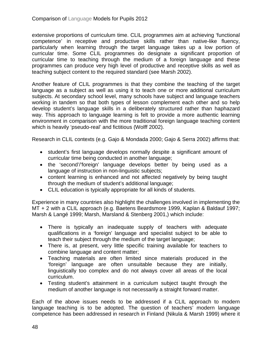extensive proportions of curriculum time. CLIL programmes aim at achieving 'functional competence' in receptive and productive skills rather than native-like fluency, particularly when learning through the target language takes up a low portion of curricular time. Some CLIL programmes do designate a significant proportion of curricular time to teaching through the medium of a foreign language and these programmes can produce very high level of productive and receptive skills as well as teaching subject content to the required standard (see Marsh 2002).

Another feature of CLIL programmes is that they combine the teaching of the target language as a subject as well as using it to teach one or more additional curriculum subjects. At secondary school level, many schools have subject and language teachers working in tandem so that both types of lesson complement each other and so help develop student's language skills in a deliberately structured rather than haphazard way. This approach to language learning is felt to provide a more authentic learning environment in comparison with the more traditional foreign language teaching content which is heavily 'pseudo-real' and fictitious (Wolff 2002).

Research in CLIL contexts (e.g. Gajo & Mondada 2000; Gajo & Serra 2002) affirms that:

- student's first language develops normally despite a significant amount of curricular time being conducted in another language;
- the 'second'/'foreign' language develops better by being used as a language of instruction in non-linguistic subjects;
- content learning is enhanced and not affected negatively by being taught through the medium of student's additional language;
- CLIL education is typically appropriate for all kinds of students.

Experience in many countries also highlight the challenges involved in implementing the MT + 2 with a CLIL approach (e.g. Baetens Beardsmore 1999, Kaplan & Baldauf 1997; Marsh & Langé 1999; Marsh, Marsland & Stenberg 2001,) which include:

- There is typically an inadequate supply of teachers with adequate qualifications in a 'foreign' language and specialist subject to be able to teach their subject through the medium of the target language;
- There is, at present, very little specific training available for teachers to combine language and content matter;
- Teaching materials are often limited since materials produced in the 'foreign' language are often unsuitable because they are initially, linguistically too complex and do not always cover all areas of the local curriculum.
- Testing student's attainment in a curriculum subject taught through the medium of another language is not necessarily a straight forward matter.

Each of the above issues needs to be addressed if a CLIL approach to modern language teaching is to be adopted. The question of teachers' modern language competence has been addressed in research in Finland (Nikula & Marsh 1999) where it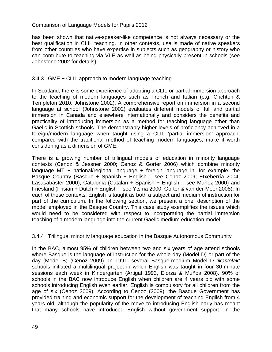has been shown that native-speaker-like competence is not always necessary or the best qualification in CLIL teaching. In other contexts, use is made of native speakers from other countries who have expertise in subjects such as geography or history who can contribute to teaching via VLE as well as being physically present in schools (see Johnstone 2002 for details).

## 3.4.3 GME + CLIL approach to modern language teaching

In Scotland, there is some experience of adopting a CLIL or partial immersion approach to the teaching of modern languages such as French and Italian (e.g. Crichton & Templeton 2010, Johnstone 2002). A comprehensive report on immersion in a second language at school (Johnstone 2002) evaluates different models of full and partial immersion in Canada and elsewhere internationally and considers the benefits and practicality of introducing immersion as a method for teaching language other than Gaelic in Scottish schools. The demonstrably higher levels of proficiency achieved in a foreign/modern language when taught using a CLIL 'partial immersion' approach, compared with the traditional method of teaching modern languages, make it worth considering as a dimension of GME.

There is a growing number of trilingual models of education in minority language contexts (Cenoz & Jessner 2000; Cenoz & Gorter 2006) which combine minority language MT  $+$  national/regional language  $+$  foreign language in, for example, the Basque Country (Basque + Spanish + English – see Cenoz 2009; Etxeberría 2004; Lasasabaster 2000); Catalonia (Catalan + Spanish + English – see Muñoz 2000) and Friesland (Frisian + Dutch + English – see Ytsma 2000; Gorter & van der Meer 2008). In each of these contexts, English is taught as both a subject and medium of instruction for part of the curriculum. In the following section, we present a brief description of the model employed in the Basque Country. This case study exemplifies the issues which would need to be considered with respect to incorporating the partial immersion teaching of a modern language into the current Gaelic medium education model.

#### 3.4.4 Trilingual minority language education in the Basque Autonomous Community

In the BAC, almost 95% of children between two and six years of age attend schools where Basque is the language of instruction for the whole day (Model D) or part of the day (Model B) (Cenoz 2009). In 1991, several Basque-medium Model D '*ikastolak'*  schools initiated a multilingual project in which English was taught in four 30-minute sessions each week in Kindergarten (Artigal 1993, Elorza & Muñoa 2008). 90% of schools in the BAC now introduce English when children are 4 years old with some schools introducing English even earlier. English is compulsory for all children from the age of six (Cenoz 2009). According to Cenoz (2009), the Basque Government has provided training and economic support for the development of teaching English from 4 years old, although the popularity of the move to introducing English early has meant that many schools have introduced English without government support. In the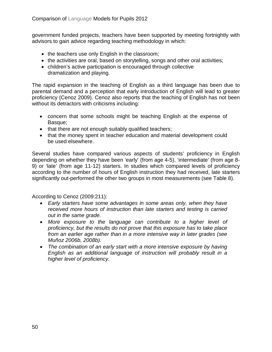government funded projects, teachers have been supported by meeting fortnightly with advisors to gain advice regarding teaching methodology in which:

- the teachers use only English in the classroom;
- the activities are oral, based on storytelling, songs and other oral activities;
- children's active participation is encouraged through collective dramatization and playing.

The rapid expansion in the teaching of English as a third language has been due to parental demand and a perception that early introduction of English will lead to greater proficiency (Cenoz 2009). Cenoz also reports that the teaching of English has not been without its detractors with criticisms including:

- concern that some schools might be teaching English at the expense of Basque;
- that there are not enough suitably qualified teachers;
- that the money spent in teacher education and material development could be used elsewhere.

Several studies have compared various aspects of students' proficiency in English depending on whether they have been 'early' (from age 4-5), 'intermediate' (from age 8- 9) or 'late' (from age 11-12) starters. In studies which compared levels of proficiency according to the number of hours of English instruction they had received, late starters significantly out-performed the other two groups in most measurements (see Table 8).

According to Cenoz (2009:211):

- *Early starters have some advantages in some areas only, when they have received more hours of instruction than late starters and testing is carried out in the same grade.*
- *More exposure to the language can contribute to a higher level of proficiency, but the results do not prove that this exposure has to take place from an earlier age rather than in a more intensive way in later grades (see Muñoz 2006b, 2008b).*
- *The combination of an early start with a more intensive exposure by having English as an additional language of instruction will probably result in a higher level of proficiency*.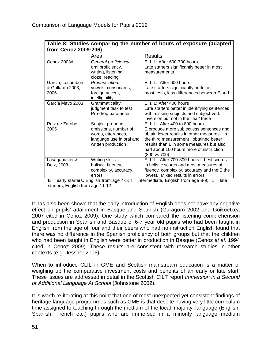| Table 8: Studies comparing the number of hours of exposure (adapted<br>from Cenoz 2009:206) |                                                                                                                 |                                                                                                                                                                                                                                                                                |  |
|---------------------------------------------------------------------------------------------|-----------------------------------------------------------------------------------------------------------------|--------------------------------------------------------------------------------------------------------------------------------------------------------------------------------------------------------------------------------------------------------------------------------|--|
|                                                                                             | Area                                                                                                            | <b>Results</b>                                                                                                                                                                                                                                                                 |  |
| Cenoz 2003d                                                                                 | General proficiency:<br>oral proficiency,<br>writing, listening,<br>cloze, reading                              | E, I, L: After 600-700 hours<br>Late starters significantly better in most<br>measurements                                                                                                                                                                                     |  |
| García, Lecumberri<br>& Gallardo 2003,<br>2006                                              | Pronunciation:<br>vowels, consonants,<br>foreign accent,<br>intelligibility                                     | $E, I, L:$ After 600 hours<br>Late starters significantly better in<br>most tests, less differences between E and                                                                                                                                                              |  |
| García Mayo 2003                                                                            | Grammaticality<br>judgment task to test<br>Pro-drop parameter                                                   | E, I, L: After 400 hours<br>Late starters better in identifying sentences<br>with missing subjects and subject-verb<br>inversion but not in the 'that' trace                                                                                                                   |  |
| Ruiz de Zarobe,<br>2005                                                                     | Subject pronoun<br>omissions, number of<br>words, utterances,<br>language use in oral and<br>written production | $E, I, L:$ After 400 to 800 hours<br>E produce more subjectless sentences and<br>obtain lower results in other measures. In<br>the third measurement I obtained better<br>results than L in some measures but also<br>had about 100 hours more of instruction<br>(800 vs 700). |  |
| Lasagabaster &<br>Doiz, 2003                                                                | Writing skills:<br>holistic, fluency,<br>complexity, accuracy,<br>errors                                        | E, I, L: After 700-800 hours L best scores<br>in holistic scores and most measures of<br>fluency, complexity, accuracy and the E the<br>lowest. Mixed results in errors.                                                                                                       |  |

 $E =$  early starters, English from age 4-5; I = intermediate, English from age 8-9; L = late starters, English from age 11-12.

It has also been shown that the early introduction of English does not have any negative effect on pupils' attainment in Basque and Spanish (Garagorri 2002 and Goikoetxea 2007 cited in Cenoz 2009). One study which compared the listening comprehension and production in Spanish and Basque of 6-7 year old pupils who had been taught in English from the age of four and their peers who had no instruction English found that there was no difference in the Spanish proficiency of both groups but that the children who had been taught in English were better in production in Basque (Cenoz *et al.* 1994 cited in Cenoz 2009). These results are consistent with research studies in other contexts (e.g. Jessner 2006).

When to introduce CLIL in GME and Scottish mainstream education is a matter of weighing up the comparative investment costs and benefits of an early or late start. These issues are addressed in detail in the Scottish CILT report *Immersion in a Second or Additional Language At School* (Johnstone 2002).

It is worth re-iterating at this point that one of most unexpected yet consistent findings of heritage language programmes such as GME is that despite having very little curriculum time assigned to teaching through the medium of the local 'majority' language (English, Spanish, French etc.) pupils who are immersed in a minority language medium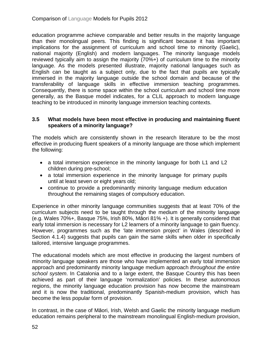education programme achieve comparable and better results in the majority language than their monolingual peers. This finding is significant because it has important implications for the assignment of curriculum and school time to minority (Gaelic), national majority (English) and modern languages. The minority language models reviewed typically aim to assign the majority (70%+) of curriculum time to the minority language. As the models presented illustrate, majority national languages such as English can be taught as a subject only, due to the fact that pupils are typically immersed in the majority language outside the school domain and because of the transferability of language skills in effective immersion teaching programmes. Consequently, there is some space within the school curriculum and school time more generally, as the Basque model indicates, for a CLIL approach to modern language teaching to be introduced in minority language immersion teaching contexts.

# **3.5 What models have been most effective in producing and maintaining fluent speakers of a minority language?**

The models which are consistently shown in the research literature to be the most effective in producing fluent speakers of a minority language are those which implement the following:

- a total immersion experience in the minority language for both L1 and L2 children during pre-school;
- a total immersion experience in the minority language for primary pupils until at least seven or eight years old;
- continue to provide a predominantly minority language medium education throughout the remaining stages of compulsory education.

Experience in other minority language communities suggests that at least 70% of the curriculum subjects need to be taught through the medium of the minority language (e.g. Wales 70%+, Basque 75%, Irish 80%, Māori 81% +). It is generally considered that early total immersion is necessary for L2 learners of a minority language to gain fluency. However, programmes such as the 'late immersion project' in Wales (described in Section 4.1.4) suggests that pupils can gain the same skills when older in specifically tailored, intensive language programmes.

The educational models which are most effective in producing the largest numbers of minority language speakers are those who have implemented an early total immersion approach and predominantly minority language medium approach *throughout the entire school system*. In Catalonia and to a large extent, the Basque Country this has been achieved as part of their language 'normalization' policies. In these autonomous regions, the minority language education provision has now become the mainstream and it is now the traditional, predominantly Spanish-medium provision, which has become the less popular form of provision.

In contrast, in the case of Māori, Irish, Welsh and Gaelic the minority language medium education remains peripheral to the mainstream monolingual English-medium provision,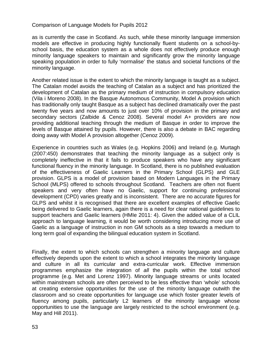as is currently the case in Scotland. As such, while these minority language immersion models are effective in producing highly functionally fluent students on a school-byschool basis, the education system as a whole does not effectively produce enough minority language speakers to maintain and significantly grow the minority language speaking population in order to fully 'normalise' the status and societal functions of the minority language.

Another related issue is the extent to which the minority language is taught as a subject. The Catalan model avoids the teaching of Catalan as a subject and has prioritized the development of Catalan as the primary medium of instruction in compulsory education (Vila i Moreno 2008). In the Basque Autonomous Community, Model A provision which has traditionally only taught Basque as a subject has declined dramatically over the past twenty five years and now amounts to just over 10% of provision in the primary and secondary sectors (Zalbide & Cenoz 2008). Several model A+ providers are now providing additional teaching through the medium of Basque in order to improve the levels of Basque attained by pupils. However, there is also a debate in BAC regarding doing away with Model A provision altogether (Cenoz 2009).

Experience in countries such as Wales (e.g. Hopkins 2006) and Ireland (e.g. Murtagh (2007:450) demonstrates that teaching the minority language as a subject only is completely ineffective in that it fails to produce speakers who have any significant functional fluency in the minority language. In Scotland, there is no published evaluation of the effectiveness of Gaelic Learners in the Primary School (GLPS) and GLE provision. GLPS is a model of provision based on Modern Languages in the Primary School (MLPS) offered to schools throughout Scotland. Teachers are often not fluent speakers and very often have no Gaelic, support for continuing professional development (CPD) varies greatly and is inconsistent. There are no accurate figures for GLPS and whilst it is recognised that there are excellent examples of effective Gaelic being delivered to Gaelic learners, again there is a need for clear national guidelines to support teachers and Gaelic learners (HMIe 2011: 4). Given the added value of a CLIL approach to language learning, it would be worth considering introducing more use of Gaelic as a language of instruction in non GM schools as a step towards a medium to long term goal of expanding the bilingual education system in Scotland.

Finally, the extent to which schools can strengthen a minority language and culture effectively depends upon the extent to which a school integrates the minority language and culture in all its curricular and extra-curricular work. Effective immersion programmes emphasize the integration of *all* the pupils within the total school programme (e.g. Met and Lorenz 1997). Minority language streams or units located within mainstream schools are often perceived to be less effective than 'whole' schools at creating extensive opportunities for the use of the minority language outwith the classroom and so create opportunities for language use which foster greater levels of fluency among pupils, particularly L2 learners of the minority language whose opportunities to use the language are largely restricted to the school environment (e.g. May and Hill 2011).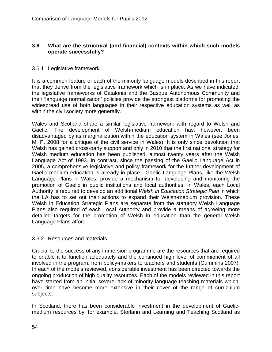# **3.6 What are the structural (and financial) contexts within which such models operate successfully?**

## 3.6.1 Legislative framework

It is a common feature of each of the minority language models described in this report that they derive from the legislative framework which is in place. As we have indicated, the legislative frameworks of Catalonia and the Basque Autonomous Community and their 'language normalization' policies provide the strongest platforms for promoting the widespread use of both languages in their respective education systems as well as within the civil society more generally.

Wales and Scotland share a similar legislative framework with regard to Welsh and Gaelic. The development of Welsh-medium education has, however, been disadvantaged by its marginalization within the education system in Wales (see Jones, M. P. 2008 for a critique of the civil service in Wales). It is only since devolution that Welsh has gained cross-party support and only in 2010 that the first national strategy for Welsh medium education has been published, almost twenty years after the Welsh Language Act of 1993. In contrast, since the passing of the Gaelic Language Act in 2005, a comprehensive legislative and policy framework for the further development of Gaelic medium education is already in place. Gaelic Language Plans, like the Welsh Language Plans in Wales, provide a mechanism for developing and monitoring the promotion of Gaelic in public institutions and local authorities. In Wales, each Local Authority is required to develop an additional *Welsh in Education Strategic Plan* in which the LA has to set out their actions to expand their Welsh-medium provision. These Welsh in Education Strategic Plans are separate from the statutory Welsh Language Plans also required of each Local Authority and provide a means of agreeing more detailed targets for the promotion of Welsh in education than the general Welsh Language Plans afford.

#### 3.6.2 Resources and materials

Crucial to the success of any immersion programme are the resources that are required to enable it to function adequately and the continued high level of commitment of all involved in the program, from policy-makers to teachers and students (Cummins 2007). In each of the models reviewed, considerable investment has been directed towards the ongoing production of high quality resources. Each of the models reviewed in this report have started from an initial severe lack of minority language teaching materials which, over time have become more extensive in their cover of the range of curriculum subjects.

In Scotland, there has been considerable investment in the development of Gaelicmedium resources by, for example, Stòrlann and Learning and Teaching Scotland as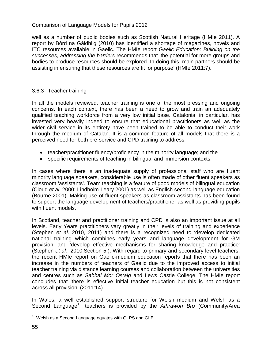well as a number of public bodies such as Scottish Natural Heritage (HMIe 2011). A report by Bòrd na Gàidhlig (2010) has identified a shortage of magazines, novels and ITC resources available in Gaelic. The HMIe report *Gaelic Education: Building on the successes, addressing the barriers* recommends that 'the potential for more groups and bodies to produce resources should be explored. In doing this, main partners should be assisting in ensuring that these resources are fit for purpose' (HMIe 2011:7).

# 3.6.3 Teacher training

In all the models reviewed, teacher training is one of the most pressing and ongoing concerns. In each context, there has been a need to grow and train an adequately qualified teaching workforce from a very low initial base. Catalonia, in particular, has invested very heavily indeed to ensure that educational practitioners as well as the wider civil service in its entirety have been trained to be able to conduct their work through the medium of Catalan. It is a common feature of all models that there is a perceived need for both pre-service and CPD training to address:

- teacher/practitioner fluency/proficiency in the minority language; and the
- specific requirements of teaching in bilingual and immersion contexts.

In cases where there is an inadequate supply of professional staff who are fluent minority language speakers, considerable use is often made of other fluent speakers as classroom 'assistants'. Team teaching is a feature of good models of bilingual education (Cloud *et al.* 2000; Lindholm-Leary 2001) as well as English second-language education (Bourne 2001). Making use of fluent speakers as classroom assistants has been found to support the language development of teachers/practitioner as well as providing pupils with fluent models.

In Scotland, teacher and practitioner training and CPD is also an important issue at all levels. Early Years practitioners vary greatly in their levels of training and experience (Stephen *et al.* 2010, 2011) and there is a recognized need to 'develop dedicated national training which combines early years and language development for GM provision' and 'develop effective mechanisms for sharing knowledge and practice' (Stephen *et al.*. 2010:Section 5.). With regard to primary and secondary level teachers, the recent HMIe report on Gaelic-medium education reports that there has been an increase in the numbers of teachers of Gaelic due to the improved access to initial teacher training via distance learning courses and collaboration between the universities and centres such as *Sabhal Mòr Ostaig* and Lews Castle College. The HMIe report concludes that 'there is effective initial teacher education but this is not consistent across all provision' (2011:14).

In Wales, a well established support structure for Welsh medium and Welsh as a Second Language<sup>[16](#page-39-1)</sup> teachers is provided by the *Athrawon Bro* (Community/Area

<span id="page-54-0"></span> $16$  Welsh as a Second Language equates with GLPS and GLE.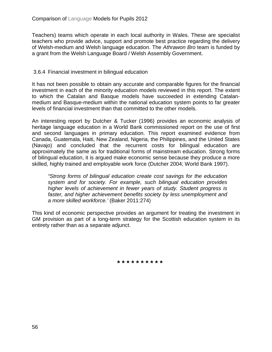Teachers) teams which operate in each local authority in Wales. These are specialist teachers who provide advice, support and promote best practice regarding the delivery of Welsh-medium and Welsh language education. The *Athrawon Bro* team is funded by a grant from the Welsh Language Board / Welsh Assembly Government.

## 3.6.4 Financial investment in bilingual education

It has not been possible to obtain any accurate and comparable figures for the financial investment in each of the minority education models reviewed in this report. The extent to which the Catalan and Basque models have succeeded in extending Catalanmedium and Basque-medium within the national education system points to far greater levels of financial investment than that committed to the other models.

An interesting report by Dutcher & Tucker (1996) provides an economic analysis of heritage language education in a World Bank commissioned report on the use of first and second languages in primary education. This report examined evidence from Canada, Guatemala, Haiti, New Zealand, Nigeria, the Philippines, and the United States (Navajo) and concluded that the recurrent costs for bilingual education are approximately the same as for traditional forms of mainstream education. Strong forms of bilingual education, it is argued make economic sense because they produce a more skilled, highly trained and employable work force (Dutcher 2004; World Bank 1997).

*"Strong forms of bilingual education create cost savings for the education system and for society. For example, such bilingual education provides higher levels of achievement in fewer years of study. Student progress is faster, and higher achievement benefits society by less unemployment and a more skilled workforce.'* (Baker 2011:274)

This kind of economic perspective provides an argument for treating the investment in GM provision as part of a long-term strategy for the Scottish education system in its entirety rather than as a separate adjunct.

**\* \* \* \* \* \* \* \* \* \***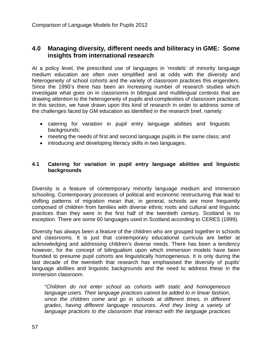# **4.0 Managing diversity, different needs and biliteracy in GME: Some insights from international research**

At a policy level, the prescribed use of languages in 'models' of minority language medium education are often over simplified and at odds with the diversity and heterogeneity of school cohorts and the variety of classroom practices this engenders. Since the 1990's there has been an increasing number of research studies which investigate what goes on in classrooms in bilingual and multilingual contexts that are drawing attention to the heterogeneity of pupils and complexities of classroom practices. In this section, we have drawn upon this kind of research in order to address some of the challenges faced by GM education as identified in the research brief, namely:

- catering for variation in pupil entry language abilities and linguistic backgrounds;
- meeting the needs of first and second language pupils in the same class; and
- introducing and developing literacy skills in two languages.

## **4.1 Catering for variation in pupil entry language abilities and linguistic backgrounds**

Diversity is a feature of contemporary minority language medium and immersion schooling. Contemporary processes of political and economic restructuring that lead to shifting patterns of migration mean that, in general, schools are more frequently composed of children from families with diverse ethnic roots and cultural and linguistic practices than they were in the first half of the twentieth century. Scotland is no exception. There are some 60 languages used in Scotland according to CERES (1999).

Diversity has always been a feature of the children who are grouped together in schools and classrooms. It is just that contemporary educational curricula are better at acknowledging and addressing children's diverse needs. There has been a tendency however, for the concept of bilingualism upon which immersion models have been founded to presume pupil cohorts are linguistically homogeneous. It is only during the last decade of the twentieth that research has emphasised the diversity of pupils' language abilities and linguistic backgrounds and the need to address these in the immersion classroom.

"*Children do not enter school as cohorts with static and homogeneous language users. Their language practices cannot be added to in linear fashion, since the children come and go in schools at different times, in different grades, having different language resources. And they bring a variety of language practices to the classroom that interact with the language practices*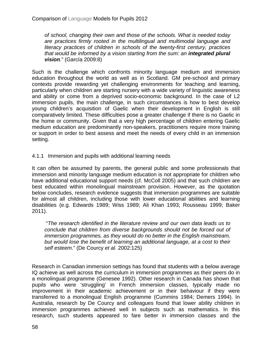*of school, changing their own and those of the schools. What is needed today are practices firmly rooted in the multilingual and multimodal language and literacy practices of children in schools of the twenty-first century, practices that would be informed by a vision starting from the sum: an integrated plural vision*." (García 2009:8)

Such is the challenge which confronts minority language medium and immersion education throughout the world as well as in Scotland. GM pre-school and primary contexts provide rewarding yet challenging environments for teaching and learning, particularly when children are starting nursery with a wide variety of linguistic awareness and ability or come from a deprived socio-economic background. In the case of L2 immersion pupils, the main challenge, in such circumstances is how to best develop young children's acquisition of Gaelic when their development in English is still comparatively limited. These difficulties pose a greater challenge if there is no Gaelic in the home or community. Given that a very high percentage of children entering Gaelic medium education are predominantly non-speakers, practitioners require more training or support in order to best assess and meet the needs of every child in an immersion setting.

4.1.1 Immersion and pupils with additional learning needs

It can often be assumed by parents, the general public and some professionals that immersion and minority language medium education is not appropriate for children who have additional educational support needs (cf. McColl 2005) and that such children are best educated within monolingual mainstream provision. However, as the quotation below concludes, research evidence suggests that immersion programmes are suitable for almost all children, including those with lower educational abilities and learning disabilities (e.g. Edwards 1989; Wiss 1989; Ali Khan 1993; Rousseau 1999; Baker 2011).

"*The research identified in the literature review and our own data leads us to conclude that children from diverse backgrounds should not be forced out of immersion programmes, as they would do no better in the English mainstream, but would lose the benefit of learning an additional language, at a cost to their self esteem*." (De Courcy *et al.* 2002:125)

Research in Canadian immersion settings has found that students with a below average IQ achieve as well across the curriculum in immersion programmes as their peers do in a monolingual programme (Genesee 1992). Other research in Canada has shown that pupils who were 'struggling' in French immersion classes, typically made no improvement in their academic achievement or in their behaviour if they were transferred to a monolingual English programme (Cummins 1984; Demers 1994). In Australia, research by De Courcy and colleagues found that lower ability children in immersion programmes achieved well in subjects such as mathematics. In this research, such students appeared to fare better in immersion classes and the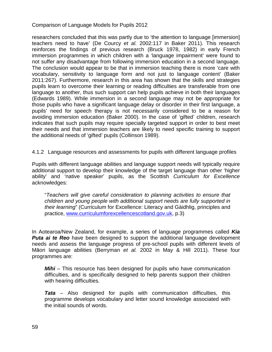researchers concluded that this was partly due to 'the attention to language [immersion] teachers need to have' (De Courcy *et al.* 2002:117 in Baker 2011). This research reinforces the findings of previous research (Bruck 1978, 1982) in early French immersion programmes in which children with a 'language impairment' were found to not suffer any disadvantage from following immersion education in a second language. The conclusion would appear to be that in immersion teaching there is more 'care with vocabulary, sensitivity to language form and not just to language content' (Baker 2011:267). Furthermore, research in this area has shown that the skills and strategies pupils learn to overcome their learning or reading difficulties are transferable from one language to another, thus such support can help pupils achieve in both their languages (Edwards 1989). While immersion in a second language may not be appropriate for those pupils who have a significant language delay or disorder in their first language, a pupils' need for speech therapy is not necessarily considered to be a reason for avoiding immersion education (Baker 2000). In the case of 'gifted' children, research indicates that such pupils may require specially targeted support in order to best meet their needs and that immersion teachers are likely to need specific training to support the additional needs of 'gifted' pupils (Collinson 1989).

4.1.2 Language resources and assessments for pupils with different language profiles

Pupils with different language abilities and language support needs will typically require additional support to develop their knowledge of the target language than other 'higher ability' and 'native speaker' pupils, as the Scottish *Curriculum for Excellence*  acknowledges:

"*Teachers will give careful consideration to planning activities to ensure that children and young people with additional support needs are fully supported in their learning*" (Curriculum for Excellence: Literacy and Gàidhlig, principles and practice, [www.curriculumforexcellencescotland.gov.uk,](http://www.curriculumforexcellencescotland.gov.uk/) p.3)

In Aotearoa/New Zealand, for example, a series of language programmes called *Kia*  **Puta ai te Reo** have been designed to support the additional language development needs and assess the language progress of pre-school pupils with different levels of Māori language abilities (Berryman *et al.* 2002 in May & Hill 2011). These four programmes are:

*Mihi* – This resource has been designed for pupils who have communication difficulties, and is specifically designed to help parents support their children with hearing difficulties.

*Tata* – Also designed for pupils with communication difficulties, this programme develops vocabulary and letter sound knowledge associated with the initial sounds of words.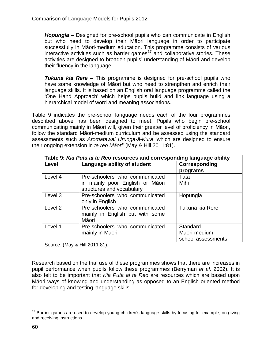*Hopungia* – Designed for pre-school pupils who can communicate in English but who need to develop their Māori language in order to participate successfully in Māori-medium education. This programme consists of various interactive activities such as barrier games<sup>[17](#page-54-0)</sup> and collaborative stories. These activities are designed to broaden pupils' understanding of Māori and develop their fluency in the language.

*Tukuna kia Rere* – This programme is designed for pre-school pupils who have some knowledge of Māori but who need to strengthen and enrich their language skills. It is based on an English oral language programme called the 'One Hand Approach' which helps pupils build and link language using a hierarchical model of word and meaning associations.

Table 9 indicates the pre-school language needs each of the four programmes described above has been designed to meet. Pupils who begin pre-school communicating mainly in Māori will, given their greater level of proficiency in Māori, follow the standard Māori-medium curriculum and be assessed using the standard assessments such as *Aromatawai Urunga-ā-Kura* 'which are designed to ensure their ongoing extension in *te reo Māori*' (May & Hill 2011:81).

| Table 9: Kia Puta ai te Reo resources and corresponding language ability |                                 |                    |  |
|--------------------------------------------------------------------------|---------------------------------|--------------------|--|
| Level                                                                    | Language ability of student     | Corresponding      |  |
|                                                                          |                                 | programs           |  |
| Level 4                                                                  | Pre-schoolers who communicated  | Tata               |  |
|                                                                          | in mainly poor English or Māori | Mihi               |  |
|                                                                          | structures and vocabulary       |                    |  |
| Level 3                                                                  | Pre-schoolers who communicated  | Hopungia           |  |
|                                                                          | only in English                 |                    |  |
| Level <sub>2</sub>                                                       | Pre-schoolers who communicated  | Tukuna kia Rere    |  |
|                                                                          | mainly in English but with some |                    |  |
|                                                                          | Māori                           |                    |  |
| Level 1                                                                  | Pre-schoolers who communicated  | Standard           |  |
|                                                                          | mainly in Māori                 | Māori-medium       |  |
|                                                                          |                                 | school assessments |  |

Source: (May & Hill 2011:81).

Research based on the trial use of these programmes shows that there are increases in pupil performance when pupils follow these programmes (Berryman *et al.* 2002). It is also felt to be important that *Kia Puta ai te Reo* are resources which are based upon Māori ways of knowing and understanding as opposed to an English oriented method for developing and testing language skills.

<span id="page-59-0"></span><sup>&</sup>lt;sup>17</sup> Barrier games are used to develop young children's language skills by focusing, for example, on giving and receiving instructions.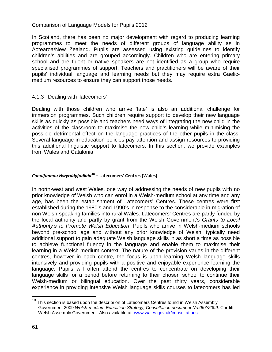In Scotland, there has been no major development with regard to producing learning programmes to meet the needs of different groups of language ability as in Aotearoa/New Zealand. Pupils are assessed using existing guidelines to identify children's abilities and are grouped accordingly. Children who are entering primary school and are fluent or native speakers are not identified as a group who require specialised programmes of support. Teachers and practitioners will be aware of their pupils' individual language and learning needs but they may require extra Gaelicmedium resources to ensure they can support those needs.

#### 4.1.3 Dealing with 'latecomers'

Dealing with those children who arrive 'late' is also an additional challenge for immersion programmes. Such children require support to develop their new language skills as quickly as possible and teachers need ways of integrating the new child in the activities of the classroom to maximise the new child's learning while minimising the possible detrimental effect on the language practices of the other pupils in the class. Several language-in-education policies pay attention and assign resources to providing this additional linguistic support to latecomers. In this section, we provide examples from Wales and Catalonia.

#### *Canolfannau Hwyrddyfodiaid***[18](#page-59-0) – Latecomers' Centres (Wales)**

In north-west and west Wales, one way of addressing the needs of new pupils with no prior knowledge of Welsh who can enrol in a Welsh-medium school at any time and any age, has been the establishment of Latecomers' Centres. These centres were first established during the 1980's and 1990's in response to the considerable in-migration of non Welsh-speaking families into rural Wales. Latecomers' Centres are partly funded by the local authority and partly by grant from the Welsh Government's *Grants to Local Authority's to Promote Welsh Education*. Pupils who arrive in Welsh-medium schools beyond pre-school age and without any prior knowledge of Welsh, typically need additional support to gain adequate Welsh language skills in as short a time as possible to achieve functional fluency in the language and enable them to maximise their learning in a Welsh-medium context. The nature of the provision varies in the different centres, however in each centre, the focus is upon learning Welsh language skills intensively and providing pupils with a positive and enjoyable experience learning the language. Pupils will often attend the centres to concentrate on developing their language skills for a period before returning to their chosen school to continue their Welsh-medium or bilingual education. Over the past thirty years, considerable experience in providing intensive Welsh language skills courses to latecomers has led

<span id="page-60-0"></span><sup>&</sup>lt;sup>18</sup> This section is based upon the descriprion of Latecomers Centres found in Welsh Assembly Government 2009 *Welsh-medium Education Strategy, Consultation document No:067/2009*. Cardiff: Welsh Assembly Government. Also available at: [www.wales.gov.uk/consultations](http://www.wales.gov.uk/consultations)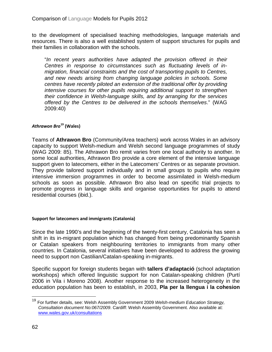to the development of specialised teaching methodologies, language materials and resources. There is also a well established system of support structures for pupils and their families in collaboration with the schools.

"*In recent years authorities have adapted the provision offered in their Centres in response to circumstances such as fluctuating levels of inmigration, financial constraints and the cost of transporting pupils to Centres, and new needs arising from changing language policies in schools. Some centres have recently piloted an extension of the traditional offer by providing intensive courses for other pupils requiring additional support to strengthen their confidence in Welsh-language skills, and by arranging for the services offered by the Centres to be delivered in the schools themselves*." (WAG 2009:40)

#### *Athrawon Bro***[19](#page-60-0) (Wales)**

Teams of **Athrawon Bro** (Community/Area teachers) work across Wales in an advisory capacity to support Welsh-medium and Welsh second language programmes of study (WAG 2009: 85). The Athrawon Bro remit varies from one local authority to another. In some local authorities, Athrawon Bro provide a core element of the intensive language support given to latecomers, either in the Latecomers' Centres or as separate provision. They provide tailored support individually and in small groups to pupils who require intensive immersion programmes in order to become assimilated in Welsh-medium schools as soon as possible. Athrawon Bro also lead on specific trial projects to promote progress in language skills and organise opportunities for pupils to attend residential courses (ibid.).

#### **Support for latecomers and immigrants (Catalonia)**

Since the late 1990's and the beginning of the twenty-first century, Catalonia has seen a shift in its in-migrant population which has changed from being predominantly Spanish or Catalan speakers from neighbouring territories to immigrants from many other countries. In Catalonia, several initiatives have been developed to address the growing need to support non Castilian/Catalan-speaking in-migrants.

Specific support for foreign students began with **tallers d'adaptació** (school adaptation workshops) which offered linguistic support for non Catalan-speaking children (Purtí 2006 in Vila i Moreno 2008). Another response to the increased heterogeneity in the education population has been to establish, in 2003, **Pla per la llengua i la cohesion** 

<span id="page-61-0"></span> <sup>19</sup> For further details, see: Welsh Assembly Government 2009 *Welsh-medium Education Strategy, Consultation document No:067/2009*. Cardiff: Welsh Assembly Government. Also available at: [www.wales.gov.uk/consultations](http://www.wales.gov.uk/consultations)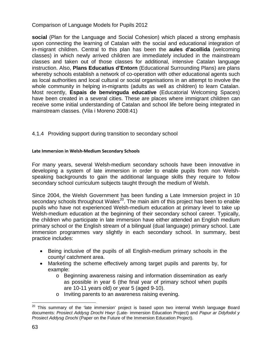**social** (Plan for the Language and Social Cohesion) which placed a strong emphasis upon connecting the learning of Catalan with the social and educational integration of in-migrant children. Central to this plan has been the **aules d'acollida** (welcoming classes) in which newly arrived children are immediately included in the mainstream classes and taken out of those classes for additional, intensive Catalan language instruction. Also, **Plans Educatius d'Entorn** (Educational Surrounding Plans) are plans whereby schools establish a network of co-operation with other educational agents such as local authorities and local cultural or social organisations in an attempt to involve the whole community in helping in-migrants (adults as well as children) to learn Catalan. Most recently, **Espais de benvinguda educative** (Educatorial Welcoming Spaces) have been created in a several cities. These are places where immigrant children can receive some initial understanding of Catalan and school life before being integrated in mainstream classes. (Vila i Moreno 2008:41)

# 4.1.4 Providing support during transition to secondary school

#### **Late Immersion in Welsh-Medium Secondary Schools**

For many years, several Welsh-medium secondary schools have been innovative in developing a system of late immersion in order to enable pupils from non Welshspeaking backgrounds to gain the additional language skills they require to follow secondary school curriculum subjects taught through the medium of Welsh.

Since 2004, the Welsh Government has been funding a Late Immersion project in 10 secondary schools throughout Wales<sup>20</sup>. The main aim of this project has been to enable pupils who have not experienced Welsh-medium education at primary level to take up Welsh-medium education at the beginning of their secondary school career. Typically, the children who participate in late immersion have either attended an English medium primary school or the English stream of a bilingual (dual language) primary school. Late immersion programmes vary slightly in each secondary school. In summary, best practice includes:

- Being inclusive of the pupils of all English-medium primary schools in the county/ catchment area.
- Marketing the scheme effectively among target pupils and parents by, for example:
	- o Beginning awareness raising and information dissemination as early as possible in year 6 (the final year of primary school when pupils are 10-11 years old) or year 5 (aged 9-10).
	- o Inviting parents to an awareness raising evening.

<span id="page-62-0"></span> $20$  This summary of the 'late immersion' project is based upon two internal Welsh language Board documents: *Prosiect Addysg Drochi Hwyr* (Late- immersion Education Project) and *Papur ar Ddyfodol y Prosiect Addysg Drochi* (Paper on the Future of the Immersion Education Project).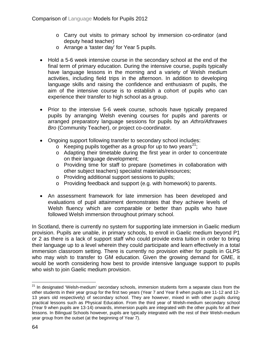- o Carry out visits to primary school by immersion co-ordinator (and deputy head teacher)
- o Arrange a 'taster day' for Year 5 pupils.
- Hold a 5-6 week intensive course in the secondary school at the end of the final term of primary education. During the intensive course, pupils typically have language lessons in the morning and a variety of Welsh medium activities, including field trips in the afternoon. In addition to developing language skills and raising the confidence and enthusiasm of pupils, the aim of the intensive course is to establish a cohort of pupils who can experience their transfer to high school as a group.
- Prior to the intensive 5-6 week course, schools have typically prepared pupils by arranging Welsh evening courses for pupils and parents or arranged preparatory language sessions for pupils by an *Athro/Athrawes Bro* (Community Teacher), or project co-coordinator.
- Ongoing support following transfer to secondary school includes:
	- $\circ$  Keeping pupils together as a group for up to two years<sup>21</sup>;
	- o Adapting their timetable during the first year in order to concentrate on their language development;
	- o Providing time for staff to prepare (sometimes in collaboration with other subject teachers) specialist materials/resources;
	- o Providing additional support sessions to pupils;
	- o Providing feedback and support (e.g. with homework) to parents.
- An assessment framework for late immersion has been developed and evaluations of pupil attainment demonstrates that they achieve levels of Welsh fluency which are comparable or better than pupils who have followed Welsh immersion throughout primary school.

In Scotland, there is currently no system for supporting late immersion in Gaelic medium provision. Pupils are unable, in primary schools, to enroll in Gaelic medium beyond P1 or 2 as there is a lack of support staff who could provide extra tuition in order to bring their language up to a level wherein they could participate and learn effectively in a total immersion classroom setting. There is currently no provision either for pupils in GLPS who may wish to transfer to GM education. Given the growing demand for GME, it would be worth considering how best to provide intensive language support to pupils who wish to join Gaelic medium provision.

<span id="page-63-0"></span> $21$  In designated 'Welsh-medium' secondary schools, immersion students form a separate class from the other students in their year group for the first two years (Year 7 and Year 8 when pupils are 11-12 and 12- 13 years old respectively) of secondary school. They are however, mixed in with other pupils during practical lessons such as Physical Education. From the third year of Welsh-medium secondary school (Year 9 when pupils are 13-14) onwards, immersion pupils are integrated with the other pupils for all their lessons. In Bilingual Schools however, pupils are typically integrated with the rest of their Welsh-medium year group from the outset (at the beginning of Year 7).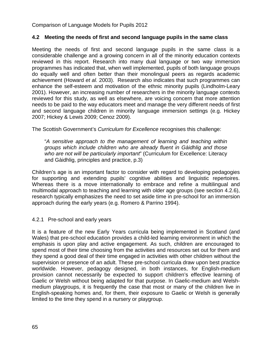# **4.2 Meeting the needs of first and second language pupils in the same class**

Meeting the needs of first and second language pupils in the same class is a considerable challenge and a growing concern in all of the minority education contexts reviewed in this report. Research into many dual language or two way immersion programmes has indicated that, when well implemented, pupils of both language groups do equally well and often better than their monolingual peers as regards academic achievement (Howard *et al.* 2003). Research also indicates that such programmes can enhance the self-esteem and motivation of the ethnic minority pupils (Lindholm-Leary 2001). However, an increasing number of researchers in the minority language contexts reviewed for this study, as well as elsewhere, are voicing concern that more attention needs to be paid to the way educators meet and manage the very different needs of first and second language children in minority language immersion settings (e.g. Hickey 2007; Hickey & Lewis 2009; Cenoz 2009).

The Scottish Government's *Curriculum for Excellence* recognises this challenge:

"*A sensitive approach to the management of learning and teaching within groups which include children who are already fluent in Gàidhlig and those who are not will be particularly important*" (Curriculum for Excellence: Literacy and Gàidhlig, principles and practice, p.3)

Children's age is an important factor to consider with regard to developing pedagogies for supporting and extending pupils' cognitive abilities and linguistic repertoires. Whereas there is a move internationally to embrace and refine a multilingual and multimodal approach to teaching and learning with older age groups (see section 4.2.6), research typically emphasizes the need to set aside time in pre-school for an immersion approach during the early years (e.g. Romero & Parrino 1994).

#### 4.2.1 Pre-school and early years

It is a feature of the new Early Years curricula being implemented in Scotland (and Wales) that pre-school education provides a child-led learning environment in which the emphasis is upon play and active engagement. As such, children are encouraged to spend most of their time choosing from the activities and resources set out for them and they spend a good deal of their time engaged in activities with other children without the supervision or presence of an adult. These pre-school curricula draw upon best practice worldwide. However, pedagogy designed, in both instances, for English-medium provision cannot necessarily be expected to support children's effective learning of Gaelic or Welsh without being adapted for that purpose. In Gaelic-medium and Welshmedium playgroups, it is frequently the case that most or many of the children live in English-speaking homes and, for them, their exposure to Gaelic or Welsh is generally limited to the time they spend in a nursery or playgroup.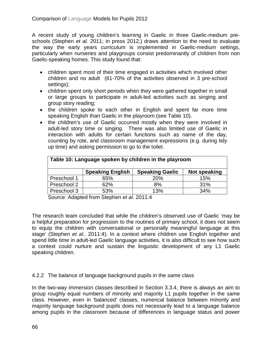A recent study of young children's learning in Gaelic in three Gaelic-medium preschools (Stephen *et al.* 2011; in press 2012,) draws attention to the need to evaluate the way the early years curriculum is implemented in Gaelic-medium settings, particularly when nurseries and playgroups consist predominantly of children from non Gaelic-speaking homes. This study found that:

- children spent most of their time engaged in activities which involved other children and no adult (61-70% of the activities observed in 3 pre-school settings);
- children spent only short periods when they were gathered together in small or large groups to participate in adult-led activities such as singing and group story reading;
- the children spoke to each other in English and spent far more time speaking English than Gaelic in the playroom (see Table 10).
- the children's use of Gaelic occurred mostly when they were involved in adult-led story time or singing. There was also limited use of Gaelic in interaction with adults for certain functions such as name of the day, counting by rote, and classroom management expressions (e.g. during tidy up time) and asking permission to go to the toilet.

| Table 10: Language spoken by children in the playroom |                         |                        |              |
|-------------------------------------------------------|-------------------------|------------------------|--------------|
|                                                       | <b>Speaking English</b> | <b>Speaking Gaelic</b> | Not speaking |
| Preschool 1                                           | 65%                     | 20%                    | 15%          |
| Preschool 2                                           | 62%                     | 8%                     | 31%          |
| Preschool 3                                           | 53%                     | 13%                    | 34%          |

Source: Adapted from Stephen *et al.* 2011:4

The research team concluded that while the children's observed use of Gaelic 'may be a helpful preparation for progression to the routines of primary school, it does not seem to equip the children with conversational or personally meaningful language at this stage' (Stephen *et al.*. 2011:4). In a context where children use English together and spend little time in adult-led Gaelic language activities, it is also difficult to see how such a context could nurture and sustain the linguistic development of any L1 Gaelic speaking children.

4.2.2 The balance of language background pupils in the same class

In the two-way immersion classes described in Section 3.3.4, there is always an aim to group roughly equal numbers of minority and majority L1 pupils together in the same class. However, even in 'balanced' classes, numerical balance between minority and majority language background pupils does not necessarily lead to a language balance among pupils in the classroom because of differences in language status and power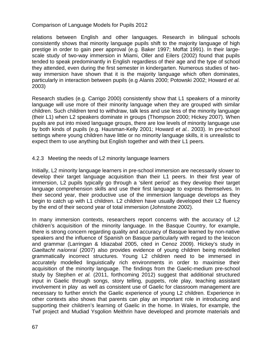relations between English and other languages. Research in bilingual schools consistently shows that minority language pupils shift to the majority language of high prestige in order to gain peer approval (e.g. Baker 1997; Moffat 1991). In their largescale study of two-way immersion in Miami, Oller and Eilers (2002) found that pupils tended to speak predominantly in English regardless of their age and the type of school they attended, even during the first semester in kindergarten. Numerous studies of twoway immersion have shown that it is the majority language which often dominates, particularly in interaction between pupils (e.g Alanis 2000; Potowski 2002; Howard *et al.* 2003)

Research studies (e.g. Carrigo 2000) consistently show that L1 speakers of a minority language will use more of their minority language when they are grouped with similar children. Such children tend to withdraw, talk less and use less of the minority language (their L1) when L2 speakers dominate in groups (Thompson 2000; Hickey 2007). When pupils are put into mixed language groups, there are low levels of minority language use by both kinds of pupils (e.g. Hausman-Kelly 2001; Howard *et al.*. 2003). In pre-school settings where young children have little or no minority language skills, it is unrealistic to expect them to use anything but English together and with their L1 peers.

# 4.2.3 Meeting the needs of L2 minority language learners

Initially, L2 minority language learners in pre-school immersion are necessarily slower to develop their target language acquisition than their L1 peers. In their first year of immersion, L2 pupils typically go through a 'silent period' as they develop their target language comprehension skills and use their first language to express themselves. In their second year, their productive use of the immersion language develops as they begin to catch up with L1 children. L2 children have usually developed their L2 fluency by the end of their second year of total immersion (Johnstone 2002).

In many immersion contexts, researchers report concerns with the accuracy of L2 children's acquisition of the minority language. In the Basque Country, for example, there is strong concern regarding quality and accuracy of Basque learned by non-native speakers and the influence of Spanish on Basque particularly with regard to the lexicon and grammar (Larringan & Idiazabal 2005, cited in Cenoz 2009). Hickey's study in *Gaeltacht naíonraí* (2007) also provides evidence of young children being modelled grammatically incorrect structures. Young L2 children need to be immersed in accurately modelled linguistically rich environments in order to maximise their acquisition of the minority language. The findings from the Gaelic-medium pre-school study by Stephen *et al.* (2011, forthcoming 2012) suggest that additional structured input in Gaelic through songs, story telling, puppets, role play, teaching assistant involvement in play as well as consistent use of Gaelic for classroom management are necessary to further enrich the Gaelic experience of young L2 children. Experience in other contexts also shows that parents can play an important role in introducing and supporting their children's learning of Gaelic in the home. In Wales, for example, the Twf project and Mudiad Ysgolion Meithrin have developed and promote materials and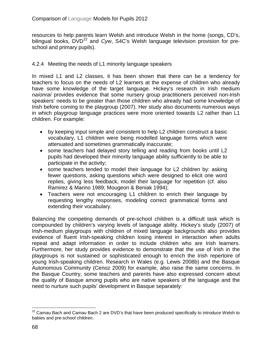resources to help parents learn Welsh and introduce Welsh in the home (songs, CD's, bilingual books, DVD<sup>[22](#page-63-0)</sup> and *Cyw*, S4C's Welsh language television provision for preschool and primary pupils).

#### 4.2.4 Meeting the needs of L1 minority language speakers

In mixed L1 and L2 classes, it has been shown that there can be a tendency for teachers to focus on the needs of L2 learners at the expense of children who already have some knowledge of the target language. Hickey's research in Irish medium *naíonraí* provides evidence that some nursery group practitioners perceived non-Irish speakers' needs to be greater than those children who already had some knowledge of Irish before coming to the playgroup (2007). Her study also documents numerous ways in which playgroup language practices were more oriented towards L2 rather than L1 children. For example:

- by keeping input simple and consistent to help L2 children construct a basic vocabulary, L1 children were being modelled language forms which were attenuated and sometimes grammatically inaccurate;
- some teachers had delayed story telling and reading from books until L2 pupils had developed their minority language ability sufficiently to be able to participate in the activity;
- some teachers tended to model their language for L2 children by: asking fewer questions, asking questions which were designed to elicit one word replies, giving less feedback, model their language for repetition (cf. also Ramirez & Marino 1989; Mougeon & Beniak 1994);
- Teachers were not encouraging L1 children to enrich their language by requesting lengthy responses, modeling correct grammatical forms and extending their vocabulary.

Balancing the competing demands of pre-school children is a difficult task which is compounded by children's varying levels of language ability. Hickey's study (2007) of Irish-medium playgroups with children of mixed language backgrounds also provides evidence of fluent Irish-speaking children losing interest in interaction when adults repeat and adapt information in order to include children who are Irish learners. Furthermore, her study provides evidence to demonstrate that the use of Irish in the playgroups is not sustained or sophisticated enough to enrich the Irish repertoire of young Irish-speaking children. Research in Wales (e.g. Lewis 2008b) and the Basque Autonomous Community (Cenoz 2009) for example, also raise the same concerns. In the Basque Country, some teachers and parents have also expressed concern about the quality of Basque among pupils who are native speakers of the language and the need to nurture such pupils' development in Basque separately:

<sup>&</sup>lt;sup>22</sup> Camau Bach and Camau Bach 2 are DVD's that have been produced specifically to introduce Welsh to babies and pre-school children.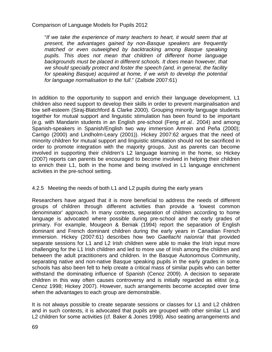"*If we take the experience of many teachers to heart, it would seem that at present, the advantages gained by non-Basque speakers are frequently matched or even outweighed by backtracking among Basque speaking pupils. This does not mean that children of different home language backgrounds must be placed in different schools. It does mean however, that we should specially protect and foster the speech (and, in general, the facility for speaking Basque) acquired at home, if we wish to develop the potential for language normalisation to the full*." (Zalbide 2007:61)

In addition to the opportunity to support and enrich their language development, L1 children also need support to develop their skills in order to prevent marginalisation and low self-esteem (Siraj-Blatchford & Clarke 2000). Grouping minority language students together for mutual support and linguistic stimulation has been found to be important (e.g. with Mandarin students in an English pre-school (Feng *et al.*. 2004) and among Spanish-speakers in Spanish/English two way immersion Amrein and Peña (2000); Carrigo (2000) and Lindholm-Leary (2001)). Hickey 2007:62 argues that the need of minority children for mutual support and linguistic stimulation should not be sacrificed in order to promote integration with the majority groups. Just as parents can become involved in supporting their children's L2 language learning in the home, so Hickey (2007) reports can parents be encouraged to become involved in helping their children to enrich their L1, both in the home and being involved in L1 language enrichment activities in the pre-school setting.

# 4.2.5 Meeting the needs of both L1 and L2 pupils during the early years

Researchers have argued that it is more beneficial to address the needs of different groups of children through different activities than provide a 'lowest common denominator' approach. In many contexts, separation of children according to home language is advocated where possible during pre-school and the early grades of primary. For example, Mougeon & Beniak (1994) report the separation of English dominant and French dominant children during the early years in Canadian French immersion. Hickey (2007:61) describes how two *Gaeltacht naíonraí* that provided separate sessions for L1 and L2 Irish children were able to make the Irish input more challenging for the L1 Irish children and led to more use of Irish among the children and between the adult practitioners and children. In the Basque Autonomous Community, separating native and non-native Basque speaking pupils in the early grades in some schools has also been felt to help create a critical mass of similar pupils who can better withstand the dominating influence of Spanish (Cenoz 2009). A decision to separate children in this way often causes controversy and is initially regarded as elitist (e.g. Cenoz 1998; Hickey 2007). However, such arrangements become accepted over time when the advantages to each group are demonstrable.

It is not always possible to create separate sessions or classes for L1 and L2 children and in such contexts, it is advocated that pupils are grouped with other similar L1 and L2 children for some activities (cf. Baker & Jones 1998). Also seating arrangements and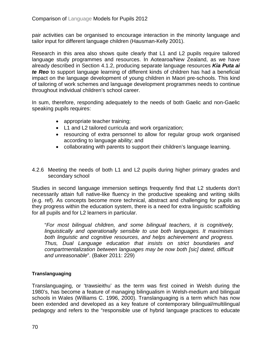pair activities can be organised to encourage interaction in the minority language and tailor input for different language children (Hausman-Kelly 2001).

Research in this area also shows quite clearly that L1 and L2 pupils require tailored language study programmes and resources. In Aotearoa/New Zealand, as we have already described in Section 4.1.2, producing separate language resources *Kia Puta ai te Reo* to support language learning of different kinds of children has had a beneficial impact on the language development of young children in Maori pre-schools. This kind of tailoring of work schemes and language development programmes needs to continue throughout individual children's school career.

In sum, therefore, responding adequately to the needs of both Gaelic and non-Gaelic speaking pupils requires:

- appropriate teacher training;
- L1 and L2 tailored curricula and work organization;
- resourcing of extra personnel to allow for regular group work organised according to language ability; and
- collaborating with parents to support their children's language learning.
- 4.2.6 Meeting the needs of both L1 and L2 pupils during higher primary grades and secondary school

Studies in second language immersion settings frequently find that L2 students don't necessarily attain full native-like fluency in the productive speaking and writing skills (e.g. ref). As concepts become more technical, abstract and challenging for pupils as they progress within the education system, there is a need for extra linguistic scaffolding for all pupils and for L2 learners in particular.

"*For most bilingual children, and some bilingual teachers, it is cognitively, linguistically and operationally sensible to use both languages. It maximises both linguistic and cognitive resources, and helps achievement and progress. Thus, Dual Language education that insists on strict boundaries and compartmentalization between languages may be now both [sic] dated, difficult and unreasonable*". (Baker 2011: 229)

# **Translanguaging**

Translanguaging, or 'trawsieithu' as the term was first coined in Welsh during the 1980's, has become a feature of managing bilingualism in Welsh-medium and bilingual schools in Wales (Williams C. 1996, 2000). Translanguaging is a term which has now been extended and developed as a key feature of contemporary bilingual/multilingual pedagogy and refers to the "responsible use of hybrid language practices to educate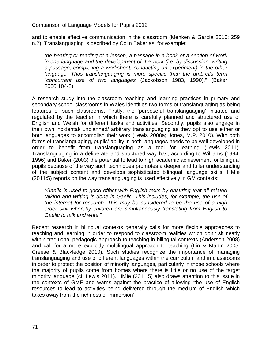and to enable effective communication in the classroom (Menken & García 2010: 259 n.2). Translanguaging is decribed by Colin Baker as, for example:

*the hearing or reading of a lesson, a passage in a book or a section of work in one language and the development of the work (i.e. by discussion, writing a passage, completing a worksheet, conducting an experiment) in the other language. Thus translanguaging is more specific than the umbrella term "concurrent use of two languages* (Jackobson 1983, 1990)." (Baker 2000:104-5)

A research study into the classroom teaching and learning practices in primary and secondary school classrooms in Wales identifies two forms of translanguaging as being features of such classrooms. Firstly, the 'purposeful translanguaging' initiated and regulated by the teacher in which there is carefully planned and structured use of English and Welsh for different tasks and activities. Secondly, pupils also engage in their own incidental/ unplanned/ arbitrary translanguaging as they opt to use either or both languages to accomplish their work (Lewis 2008a; Jones, M.P. 2010). With both forms of translanguaging, pupils' ability in both languages needs to be well developed in order to benefit from translanguaging as a tool for learning (Lewis 2011). Translanguaging in a deliberate and structured way has, according to Williams (1994, 1996) and Baker (2003) the potential to lead to high academic achievement for bilingual pupils because of the way such techniques promotes a deeper and fuller understanding of the subject content and develops sophisticated bilingual language skills. HMIe (2011:5) reports on the way translanguaging is used effectively in GM contexts:

"*Gaelic is used to good effect with English texts by ensuring that all related talking and writing is done in Gaelic. This includes, for example, the use of the internet for research. This may be considered to be the use of a high order skill whereby children are simultaneously translating from English to Gaelic to talk and write*."

Recent research in bilingual contexts generally calls for more flexible approaches to teaching and learning in order to respond to classroom realities which don't sit neatly within traditional pedagogic approach to teaching in bilingual contexts (Anderson 2008) and call for a more explicitly multilingual approach to teaching (Lin & Martin 2005; Creese & Blackledge 2010). Such studies recognize the importance of managing translanguaging and use of different languages within the curriculum and in classrooms in order to protect the position of minority languages, particularly in those schools where the majority of pupils come from homes where there is little or no use of the target minority language (cf. Lewis 2011). HMIe (2011:5) also draws attention to this issue in the contexts of GME and warns against the practice of allowing 'the use of English resources to lead to activities being delivered through the medium of English which takes away from the richness of immersion'.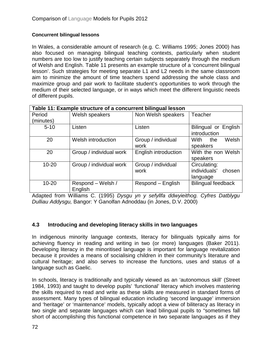# **Concurrent bilingual lessons**

In Wales, a considerable amount of research (e.g. C. Williams 1995; Jones 2000) has also focused on managing bilingual teaching contexts, particularly when student numbers are too low to justify teaching certain subjects separately through the medium of Welsh and English. Table 11 presents an example structure of a 'concurrent bilingual lesson'. Such strategies for meeting separate L1 and L2 needs in the same classroom aim to minimize the amount of time teachers spend addressing the whole class and maximize group and pair work to facilitate student's opportunities to work through the medium of their selected language, or in ways which meet the different linguistic needs of different pupils.

| Table 11: Example structure of a concurrent bilingual lesson |                              |                            |                                                    |
|--------------------------------------------------------------|------------------------------|----------------------------|----------------------------------------------------|
| Period                                                       | Welsh speakers               | Non Welsh speakers         | Teacher                                            |
| (minutes)                                                    |                              |                            |                                                    |
| $5 - 10$                                                     | Listen                       | Listen                     | Bilingual or English<br>introduction               |
| 20                                                           | Welsh introduction           | Group / individual         | Welsh<br>With<br>the                               |
|                                                              |                              | work                       | speakers                                           |
| 20                                                           | Group / individual work      | English introduction       | With the non Welsh<br>speakers                     |
| $10 - 20$                                                    | Group / individual work      | Group / individual<br>work | Circulating:<br>individuals'<br>chosen<br>language |
| $10 - 20$                                                    | Respond - Welsh /<br>English | Respond – English          | <b>Bilingual feedback</b>                          |

Adapted from Williams C. (1995) *Dysgu yn y sefyllfa ddwyieithog. Cyfres Datblygu Dulliau Addysgu,* Bangor: Y Ganolfan Adnoddau (in Jones, D.V. 2000)

# **4.3 Introducing and developing literacy skills in two languages**

In indigenous minority language contexts, literacy for bilinguals typically aims for achieving fluency in reading and writing in two (or more) languages (Baker 2011). Developing literacy in the minoritised language is important for language revitalization because it provides a means of socialising children in their community's literature and cultural heritage; and also serves to increase the functions, uses and status of a language such as Gaelic.

In schools, literacy is traditionally and typically viewed as an 'autonomous skill' (Street 1984, 1993) and taught to develop pupils' 'functional' literacy which involves mastering the skills required to read and write as these skills are measured in standard forms of assessment. Many types of bilingual education including 'second language' immersion and 'heritage' or 'maintenance' models, typically adopt a view of biliteracy as literacy in two single and separate languages which can lead bilingual pupils to "sometimes fall short of accomplishing this functional competence in two separate languages as if they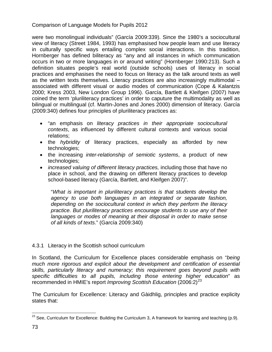were two monolingual individuals" (García 2009:339). Since the 1980's a sociocultural view of literacy (Street 1984, 1993) has emphasised how people learn and use literacy in culturally specific ways entailing complex social interactions. In this tradition, Hornberger has defined biliteracy as "any and all instances in which communication occurs in two or more languages in or around writing" (Hornberger 1990:213). Such a definition situates people's real world (outside schools) uses of literacy in social practices and emphasises the need to focus on literacy as the talk around texts as well as the written texts themselves. Literacy practices are also increasingly multimodal – associated with different visual or audio modes of communication (Cope & Kalantzis 2000; Kress 2003, New London Group 1996). García, Bartlett & Kleifgen (2007) have coined the term 'pluriliteracy practices' in order to caputure the multimodality as well as bilingual or multilingual (cf. Martin-Jones and Jones 2000) dimension of literacy. García (2009:340) defines four principles of pluriliteracy practices as:

- "an emphasis on *literacy practices in their appropriate sociocultural contexts*, as influenced by different cultural contexts and various social relations;
- the *hybridity* of literacy practices, especially as afforded by new technologies;
- the increasing *inter-relationship of semiotic systems*, a product of new technologies;
- *increased valuing of different literacy practices,* including those that have no place in school, and the drawing on different literacy practices to develop school-based literacy (García, Bartlett, and Kleifgen 2007)".

"*What is important in pluriliteracy practices is that students develop the agency to use both languages in an integrated or separate fashion, depending on the sociocultural context in which they perform the literacy practice. But pluriliteracy practices encourage students to use any of their languages or modes of meaning at their disposal in order to make sense of all kinds of texts*." (García 2009:340)

### 4.3.1 Literacy in the Scottish school curriculum

In Scotland, the Curriculum for Excellence places considerable emphasis on "*being much more rigorous and explicit about the development and certification of essential skills, particularly literacy and numeracy; this requirement goes beyond pupils with specific difficulties to all pupils, including those entering higher education*" as recommended in HMIE's report *Improving Scottish Education* (2006:2)<sup>[23](#page-67-0)</sup>

The Curriculum for Excellence: Literacy and Gàidhlig, principles and practice explicity states that:

<span id="page-72-0"></span><sup>&</sup>lt;sup>23</sup> See, Curriculum for Excellence: Building the Curriculum 3, A framework for learning and teaching (p.9).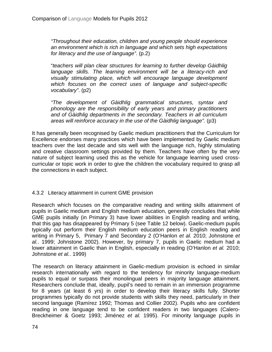*"Throughout their education, children and young people should experience an environment which is rich in language and which sets high expectations for literacy and the use of language"*. (p.2)

"*teachers will plan clear structures for learning to further develop Gàidhlig language skills. The learning environment will be a literacy-rich and visually stimulating place, which will encourage language development which focuses on the correct uses of language and subject-specific vocabulary"*. (p2)

*"The development of Gàidhlig grammatical structures, syntax and phonology are the responsibility of early years and primary practitioners and of Gàidhlig departments in the secondary. Teachers in all curriculum areas will reinforce accuracy in the use of the Gàidhlig language".* (p3)

It has generally been recognised by Gaelic medium practitioners that the Curriculum for Excellence endorses many practices which have been implemented by Gaelic medium teachers over the last decade and sits well with the language rich, highly stimulating and creative classroom settings provided by them. Teachers have often by the very nature of subject learning used this as the vehicle for language learning used crosscurricular or topic work in order to give the children the vocabulary required to grasp all the connections in each subject.

#### 4.3.2 Literacy attainment in current GME provision

Research which focuses on the comparative reading and writing skills attainment of pupils in Gaelic medium and English medium education, generally concludes that while GME pupils initially (in Primary 3) have lower abilities in English reading and writing, that this gap has disappeared by Primary 5 (see Table 12 below). Gaelic-medium pupils typically out perform their English medium education peers in English reading and writing in Primary 5, Primary 7 and Secondary 2 (O'Hanlon *et al.* 2010; Johnstone *et al.*. 1999; Johnstone 2002). However, by primary 7, pupils in Gaelic medium had a lower attainment in Gaelic than in English, especially in reading (O'Hanlon *et al.* 2010; Johnstone *et al.*. 1999)

The research on literacy attainment in Gaelic-medium provision is echoed in similar research internationally with regard to the tendency for minority language-medium pupils to equal or surpass their monolingual peers in majority language attainment. Researchers conclude that, ideally, pupil's need to remain in an immersion programme for 8 years (at least 6 yrs) in order to develop their literacy skills fully. Shorter programmes typically do not provide students with skills they need, particularly in their second language (Ramírez 1992; Thomas and Collier 2002). Pupils who are confident reading in one language tend to be confident readers in two languages (Calero-Breckheimer & Goetz 1993; Jiménez *et al.* 1995). For minority language pupils in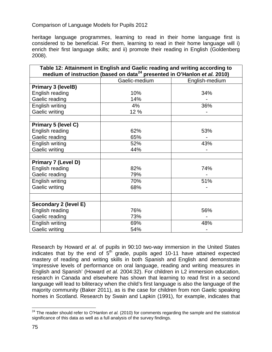heritage language programmes, learning to read in their home language first is considered to be beneficial. For them, learning to read in their home language will i) enrich their first language skills; and ii) promote their reading in English (Goldenberg 2008).

| Table 12: Attainment in English and Gaelic reading and writing according to<br>medium of instruction (based on data <sup>24</sup> presented in O'Hanlon et al. 2010) |               |                |
|----------------------------------------------------------------------------------------------------------------------------------------------------------------------|---------------|----------------|
|                                                                                                                                                                      | Gaelic-medium | English-medium |
| Primary 3 (levelB)                                                                                                                                                   |               |                |
| English reading                                                                                                                                                      | 10%           | 34%            |
| Gaelic reading                                                                                                                                                       | 14%           |                |
| English writing                                                                                                                                                      | 4%            | 36%            |
| Gaelic writing                                                                                                                                                       | 12 %          |                |
|                                                                                                                                                                      |               |                |
| Primary 5 (level C)                                                                                                                                                  |               |                |
| English reading                                                                                                                                                      | 62%           | 53%            |
| Gaelic reading                                                                                                                                                       | 65%           |                |
| English writing                                                                                                                                                      | 52%           | 43%            |
| Gaelic writing                                                                                                                                                       | 44%           |                |
|                                                                                                                                                                      |               |                |
| Primary 7 (Level D)                                                                                                                                                  |               |                |
| English reading                                                                                                                                                      | 82%           | 74%            |
| Gaelic reading                                                                                                                                                       | 79%           |                |
| English writing                                                                                                                                                      | 70%           | 51%            |
| Gaelic writing                                                                                                                                                       | 68%           |                |
|                                                                                                                                                                      |               |                |
| Secondary 2 (level E)                                                                                                                                                |               |                |
| English reading                                                                                                                                                      | 76%           | 56%            |
| Gaelic reading                                                                                                                                                       | 73%           |                |
| English writing                                                                                                                                                      | 69%           | 48%            |
| <b>Gaelic writing</b>                                                                                                                                                | 54%           |                |

Research by Howard *et al.* of pupils in 90:10 two-way immersion in the United States indicates that by the end of  $5<sup>th</sup>$  grade, pupils aged 10-11 have attained expected mastery of reading and writing skills in both Spanish and English and demonstrate 'impressive levels of performance on oral language, reading and writing measures in English and Spanish' (Howard *et al.* 2004:32). For children in L2 immersion education, research in Canada and elsewhere has shown that learning to read first in a second language will lead to biliteracy when the child's first language is also the language of the majority community (Baker 2011), as is the case for children from non Gaelic speaking homes in Scotland. Research by Swain and Lapkin (1991), for example, indicates that

 <sup>24</sup> The reader should refer to O'Hanlon *et al.* (2010) for comments regarding the sample and the statistical significance of this data as well as a full analysis of the survey findings.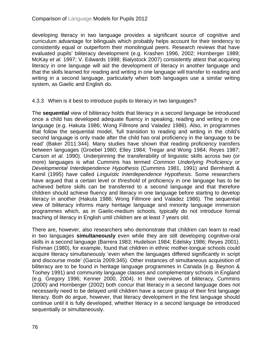developing literacy in two language provides a significant source of cognitive and curriculum advantage for bilinguals which probably helps account for their tendency to consistently equal or outperform their monolingual peers. Research reviews that have evaluated pupils' biliteracy development (e.g. Krashen 1996, 2002; Hornberger 1989; McKay *et al.* 1997; V. Edwards 1998; Bialystock 2007) consistently attest that acquiring literacy in one language will aid the development of literacy in another language and that the skills learned for reading and writing in one language will transfer to reading and writing in a second language, particularly when both languages use a similar writing system, as Gaelic and English do.

### 4.3.3 When is it best to introduce pupils to literacy in two languages?

The **sequential** view of biliteracy holds that literacy in a second language be introduced once a child has developed adequate fluency in speaking, reading and writing in one language (e.g. Hakuta 1986; Wong Fillmore and Valadez 1986). Also, in programmes that follow the sequential model, 'full transition to reading and writing in the child's second language is only made after the child has oral proficiency in the language to be read' (Baker 2011:344). Many studies have shown that reading proficiency transfers between languages (Groebel 1980; Elley 1984; Tregar and Wong 1984; Reyes 1987; Carson *et al.* 1990). Underpinning the transferability of linguistic skills across two (or more) languages is what Cummins has termed *Common Underlying Proficiency* or *Developmental Interdependence Hypothesis* (Cummins 1981, 1991) and Bernhardt & Kamil (1995) have called *Linguistic Interdependence Hypothesis*. Some researchers have argued that a certain level or *threshold* of proficiency in one language has to be achieved before skills can be transferred to a second language and that therefore children should achieve fluency and literacy in one language before starting to develop literacy in another (Hakuta 1986; Wong Fillmore and Valadez 1986). The sequential view of biliteracy informs many heritage language and minority language immersion programmes which, as in Gaelic-medium schools, typically do not introduce formal teaching of literacy in English until children are at least 7 years old.

There are, however, also researchers who demonstrate that children can learn to read in two languages **simultaneously** even while they are still developing cognitive-oral skills in a second language (Barrera 1983; Hudelson 1984; Edelsky 1986; Reyes 2001). Fishman (1980), for example, found that children in ethnic mother-tongue schools could acquire literacy simultaneously 'even when the languages differed significantly in script and discourse mode' (García 2009:345). Other instances of simultaneous acquisition of biliteracy are to be found in heritage language programmes in Canada (e.g. Beynon & Toohey 1991) and community language classes and complementary schools in England (e.g. Gregory 1996; Kenner 2000, 2004). In their overviews of biliteracy, Cummins (2000) and Hornberger (2002) both concur that literacy in a second language does not necessarily need to be delayed until children have a secure grasp of their first language literacy. Both do argue, however, that literacy development in the first language should continue until it is fully developed, whether literacy in a second language be introduced sequentially or simultaneously.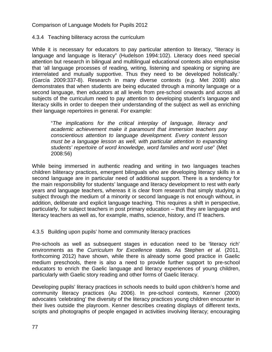4.3.4 Teaching biliteracy across the curriculum

While it is necessary for educators to pay particular attention to literacy, "literacy is language and language is literacy" (Hudelson 1994:102). Literacy does need special attention but research in bilingual and multilingual educational contexts also emphasise that 'all language processes of reading, writing, listening and speaking or signing are interrelated and mutually supportive. Thus they need to be developed holistically.' (García 2009:337-8). Research in many diverse contexts (e.g. Met 2008) also demonstrates that when students are being educated through a minority language or a second language, then educators at all levels from pre-school onwards and across all subjects of the curriculum need to pay attention to developing student's language and literacy skills in order to deepen their understanding of the subject as well as enriching their language repertoires in general. For example:

"*The implications for the critical interplay of language, literacy and academic achievement make it paramount that immersion teachers pay conscientious attention to language development. Every content lesson must be a language lesson as well, with particular attention to expanding students' repertoire of word knowledge, word families and word use*" (Met 2008:56)

While being immersed in authentic reading and writing in two languages teaches children biliteracy practices, emergent bilinguals who are developing literacy skills in a second language are in particular need of additional support. There is a tendency for the main responsibility for students' language and literacy development to rest with early years and language teachers, whereas it is clear from research that simply studying a subject through the medium of a minority or second language is not enough without, in addition, deliberate and explicit language teaching. This requires a shift in perspective, particularly, for subject teachers in post primary education – that they are language and literacy teachers as well as, for example, maths, science, history, and IT teachers.

4.3.5 Building upon pupils' home and community literacy practices

Pre-schools as well as subsequent stages in education need to be 'literacy rich' environments as the *Curriculum for Excellence* states. As Stephen *et al.* (2011, forthcoming 2012) have shown, while there is already some good practice in Gaelic medium preschools, there is also a need to provide further support to pre-school educators to enrich the Gaelic language and literacy experiences of young children, particularly with Gaelic story reading and other forms of Gaelic literacy.

Developing pupils' literacy practices in schools needs to build upon children's home and community literacy practices (Au 2006). In pre-school contexts, Kenner (2000) advocates 'celebrating' the diversity of the literacy practices young children encounter in their lives outside the playroom. Kenner describes creating displays of different texts, scripts and photographs of people engaged in activities involving literacy; encouraging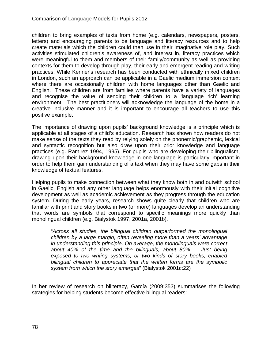children to bring examples of texts from home (e.g. calendars, newspapers, posters, letters) and encouraging parents to be language and literacy resources and to help create materials which the children could then use in their imaginative role play. Such activities stimulated children's awareness of, and interest in, literacy practices which were meaningful to them and members of their family/community as well as providing contexts for them to develop through play, their early and emergent reading and writing practices. While Kenner's research has been conducted with ethnically mixed children in London, such an approach can be applicable in a Gaelic medium immersion context where there are occasionally children with home languages other than Gaelic and English. These children are from families where parents have a variety of languages and recognise the value of sending their children to a 'language rich' learning environment. The best practitioners will acknowledge the language of the home in a creative inclusive manner and it is important to encourage all teachers to use this positive example.

The importance of drawing upon pupils' background knowledge is a principle which is applicable at all stages of a child's education. Research has shown how readers do not make sense of the texts they read by relying solely on the phonemic/graphemic, lexical and syntactic recognition but also draw upon their prior knowledge and language practices (e.g. Ramirez 1994, 1995). For pupils who are developing their bilingualism, drawing upon their background knowledge in one language is particularly important in order to help them gain understanding of a text when they may have some gaps in their knowledge of textual features.

Helping pupils to make connection between what they know both in and outwith school in Gaelic, English and any other language helps enormously with their initial cognitive development as well as academic achievement as they progress through the education system. During the early years, research shows quite clearly that children who are familiar with print and story books in two (or more) languages develop an understanding that words are symbols that correspond to specific meanings more quickly than monolingual children (e.g. Bialystok 1997, 2001a, 2001b).

"*Across all studies, the bilingual children outperformed the monolingual children by a large margin, often revealing more than a years' advantage in understanding this principle. On average, the monolinguals were correct about 40% of the time and the bilinguals, about 80% ... Just being exposed to two writing systems, or two kinds of story books, enabled bilingual children to appreciate that the written forms are the symbolic system from which the story emerges*" (Bialystok 2001c:22)

In her review of research on biliteracy, García (2009:353) summarises the following strategies for helping students become effective bilingual readers: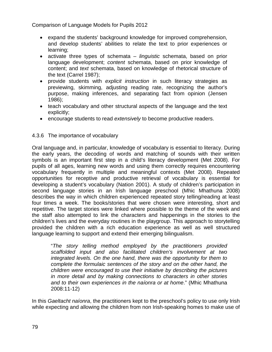- expand the students' background knowledge for improved comprehension, and develop students' abilities to relate the text to prior experiences or learning;
- activate three types of schemata *linguistic* schemata, based on prior language development; *content* schemata, based on prior knowledge of content; and *text* schemata, based on knowledge of rhetorical structure of the text (Carrel 1987);
- provide students with *explicit instruction* in such literacy strategies as previewing, skimming, adjusting reading rate, recognizing the author's purpose, making inferences, and separating fact from opinion (Jensen 1986);
- teach vocabulary and other structural aspects of the language and the text explicitly;
- encourage students to read *extensively* to become productive readers.

### 4.3.6 The importance of vocabulary

Oral language and, in particular, knowledge of vocabulary is essential to literacy. During the early years, the decoding of words and matching of sounds with their written symbols is an important first step in a child's literacy development (Met 2008). For pupils of all ages, learning new words and using them correctly requires encountering vocabulary frequently in multiple and meaningful contexts (Met 2008). Repeated opportunities for receptive and productive retrieval of vocabulary is essential for developing a student's vocabulary (Nation 2001). A study of children's participation in second language stories in an Irish language preschool (Mhic Mhathuna 2008) describes the way in which children experienced repeated story telling/reading at least four times a week. The books/stories that were chosen were interesting, short and repetitive. The target stories were linked where possible to the theme of the week and the staff also attempted to link the characters and happenings in the stories to the children's lives and the everyday routines in the playgroup. This approach to storytelling provided the children with a rich education experience as well as well structured language learning to support and extend their emerging bilingualism.

"*The story telling method employed by the practitioners provided scaffolded input and also facilitated children's involvement at two integrated levels. On the one hand, there was the opportunity for them to complete the formulaic sentences of the story and on the other hand, the children were encouraged to use their initiative by describing the pictures in more detail and by making connections to characters in other stories and to their own experiences in the naíonra or at home*." (Mhic Mhathuna 2008:11-12)

In this *Gaeltacht naíonra*, the practitioners kept to the preschool's policy to use only Irish while expecting and allowing the children from non Irish-speaking homes to make use of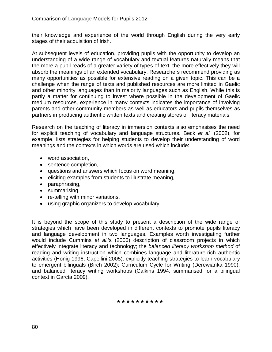their knowledge and experience of the world through English during the very early stages of their acquisition of Irish.

At subsequent levels of education, providing pupils with the opportunity to develop an understanding of a wide range of vocabulary and textual features naturally means that the more a pupil reads of a greater variety of types of text, the more effectively they will absorb the meanings of an extended vocabulary. Researchers recommend providing as many opportunities as possible for extensive reading on a given topic. This can be a challenge when the range of texts and published resources are more limited in Gaelic and other minority languages than in majority languages such as English. While this is partly a matter for continuing to invest where possible in the development of Gaelic medium resources, experience in many contexts indicates the importance of involving parents and other community members as well as educators and pupils themselves as partners in producing authentic written texts and creating stores of literacy materials.

Research on the teaching of literacy in immersion contexts also emphasises the need for explicit teaching of vocabulary and language structures. Beck *et al.* (2002), for example, lists strategies for helping students to develop their understanding of word meanings and the contexts in which words are used which include:

- word association,
- sentence completion,
- questions and answers which focus on word meaning,
- eliciting examples from students to illustrate meaning,
- paraphrasing,
- summarising,
- re-telling with minor variations,
- using graphic organizers to develop vocabulary

It is beyond the scope of this study to present a description of the wide range of strategies which have been developed in different contexts to promote pupils literacy and language development in two languages. Examples worth investigating further would include Cummins *et al.*'s (2006) description of classroom projects in which effectively integrate literacy and technology; the *balanced literacy workshop method* of reading and writing instruction which combines language and literature-rich authentic activities (Honig 1996; Capellini 2005); explicitly teaching strategies to learn vocabulary to emergent bilinguals (Birch 2002); Curriculum Cycle for Writing (Derewianka 1990); and balanced literacy writing workshops (Calkins 1994, summarised for a bilingual context in García 2009).

**\* \* \* \* \* \* \* \* \* \***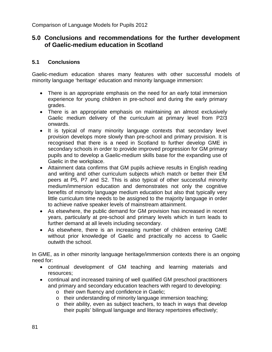## **5.0 Conclusions and recommendations for the further development of Gaelic-medium education in Scotland**

#### **5.1 Conclusions**

Gaelic-medium education shares many features with other successful models of minority language 'heritage' education and minority language immersion:

- There is an appropriate emphasis on the need for an early total immersion experience for young children in pre-school and during the early primary grades.
- There is an appropriate emphasis on maintaining an almost exclusively Gaelic medium delivery of the curriculum at primary level from P2/3 onwards.
- It is typical of many minority language contexts that secondary level provision develops more slowly than pre-school and primary provision. It is recognised that there is a need in Scotland to further develop GME in secondary schools in order to provide improved progression for GM primary pupils and to develop a Gaelic-medium skills base for the expanding use of Gaelic in the workplace.
- Attainment data confirms that GM pupils achieve results in English reading and writing and other curriculum subjects which match or better their EM peers at P5, P7 and S2. This is also typical of other successful minority medium/immersion education and demonstrates not only the cognitive benefits of minority language medium education but also that typically very little curriculum time needs to be assigned to the majority language in order to achieve native speaker levels of mainstream attainment.
- As elsewhere, the public demand for GM provision has increased in recent years, particularly at pre-school and primary levels which in turn leads to further demand at all levels including secondary.
- As elsewhere, there is an increasing number of children entering GME without prior knowledge of Gaelic and practically no access to Gaelic outwith the school.

In GME, as in other minority language heritage/immersion contexts there is an ongoing need for:

- continual development of GM teaching and learning materials and resources;
- continual and increased training of well qualified GM preschool practitioners and primary and secondary education teachers with regard to developing:
	- o their own fluency and confidence in Gaelic;
	- o their understanding of minority language immersion teaching;
	- o their ability, even as subject teachers, to teach in ways that develop their pupils' bilingual language and literacy repertoires effectively;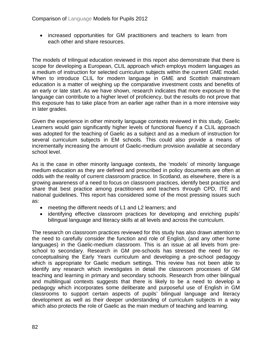• increased opportunities for GM practitioners and teachers to learn from each other and share resources.

The models of trilingual education reviewed in this report also demonstrate that there is scope for developing a European, CLIL approach which employs modern languages as a medium of instruction for selected curriculum subjects within the current GME model. When to introduce CLIL for modern language in GME and Scottish mainstream education is a matter of weighing up the comparative investment costs and benefits of an early or late start. As we have shown, research indicates that more exposure to the language can contribute to a higher level of proficiency, but the results do not prove that this exposure has to take place from an earlier age rather than in a more intensive way in later grades.

Given the experience in other minority language contexts reviewed in this study, Gaelic Learners would gain significantly higher levels of functional fluency if a CLIL approach was adopted for the teaching of Gaelic as a subject and as a medium of instruction for several curriculum subjects in EM schools. This could also provide a means of incrementally increasing the amount of Gaelic-medium provision available at secondary school level.

As is the case in other minority language contexts, the 'models' of minority language medium education as they are defined and prescribed in policy documents are often at odds with the reality of current classroom practice. In Scotland, as elsewhere, there is a growing awareness of a need to focus on classroom practices, identify best practice and share that best practice among practitioners and teachers through CPD, ITE and national guidelines. This report has considered some of the most pressing issues such as:

- meeting the different needs of L1 and L2 learners; and
- identifying effective classroom practices for developing and enriching pupils' bilingual language and literacy skills at all levels and across the curriculum.

The research on classroom practices reviewed for this study has also drawn attention to the need to carefully consider the function and role of English, (and any other home languages) in the Gaelic-medium classroom. This is an issue at all levels from preschool to secondary. Research in GM pre-schools has stressed the need for reconceptualising the Early Years curriculum and developing a pre-school pedagogy which is appropriate for Gaelic medium settings. This review has not been able to identify any research which investigates in detail the classroom processes of GM teaching and learning in primary and secondary schools. Research from other bilingual and multilingual contexts suggests that there is likely to be a need to develop a pedagogy which incorporates some deliberate and purposeful use of English in GM classrooms to support certain aspects of pupils' bilingual language and literacy development as well as their deeper understanding of curriculum subjects in a way which also protects the role of Gaelic as the main medium of teaching and learning.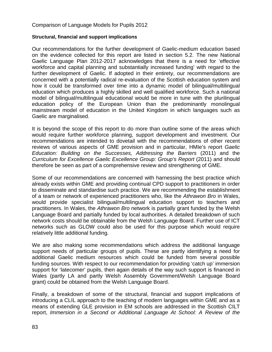#### **Structural, financial and support implications**

Our recommendations for the further development of Gaelic-medium education based on the evidence collected for this report are listed in section 5.2. The new National Gaelic Language Plan 2012-2017 acknowledges that there is a need for 'effective workforce and capital planning and substantially increased funding' with regard to the further development of Gaelic. If adopted in their entirety, our recommendations are concerned with a potentially radical re-evaluation of the Scottish education system and how it could be transformed over time into a dynamic model of bilingual/multilingual education which produces a highly skilled and well qualified workforce. Such a national model of bilingual/multilingual educational would be more in tune with the plurilingual education policy of the European Union than the predominantly monolingual mainstream model of education in the United Kingdom in which languages such as Gaelic are marginalised.

It is beyond the scope of this report to do more than outline some of the areas which would require further workforce planning, support development and investment. Our recommendations are intended to dovetail with the recommendations of other recent reviews of various aspects of GME provision and in particular, HMIe's report *Gaelic Education: Building on the Successes, Addressing the Barriers* (2011) and the *Curriculum for Excellence Gaelic Excellence Group: Group's Report (2011) and should* therefore be seen as part of a comprehensive review and strengthening of GME.

Some of our recommendations are concerned with harnessing the best practice which already exists within GME and providing continual CPD support to practitioners in order to disseminate and standardise such practice. We are recommending the establishment of a team or network of experienced practitioners who, like the *Athrawon Bro* in Wales, would provide specialist bilingual/multilingual education support to teachers and practitioners. In Wales, the *Athrawon Bro* network is partially grant funded by the Welsh Language Board and partially funded by local authorities. A detailed breakdown of such network costs should be obtainable from the Welsh Language Board. Further use of ICT networks such as GLOW could also be used for this purpose which would require relatively little additional funding.

We are also making some recommendations which address the additional language support needs of particular groups of pupils. These are partly identifying a need for additional Gaelic medium resources which could be funded from several possible funding sources. With respect to our recommendation for providing 'catch up' immersion support for 'latecomer' pupils, then again details of the way such support is financed in Wales (partly LA and partly Welsh Assembly Government/Welsh Language Board grant) could be obtained from the Welsh Language Board.

Finally, a breakdown of some of the structural, financial and support implications of introducing a CLIL approach to the teaching of modern languages within GME and as a means of extending GLE provision in EM schools are addressed in the Scottish CILT report, *Immersion in a Second or Additional Language At School: A Review of the*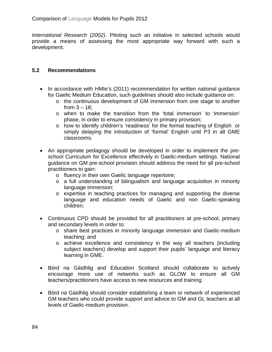*International Research (2002)*. Piloting such an initiative in selected schools would provide a means of assessing the most appropriate way forward with such a development.

#### **5.2 Recommendations**

- In accordance with HMIe's (2011) recommendation for written national quidance for Gaelic Medium Education, such guidelines should also include guidance on:
	- o the continuous development of GM immersion from one stage to another from  $3 - 18$ ;
	- o when to make the transition from the 'total immersion' to 'immersion' phase, in order to ensure consistency in primary provision;
	- o how to identify children's 'readiness' for the formal teaching of English or simply delaying the introduction of 'formal' English until P3 in all GME classrooms.
- An appropriate pedagogy should be developed in order to implement the preschool Curriculum for Excellence effectively in Gaelic-medium settings. National guidance on GM pre-school provision should address the need for all pre-school practitioners to gain:
	- o fluency in their own Gaelic language repertoire;
	- o a full understanding of bilingualism and language acquisition in minority language immersion;
	- o expertise in teaching practices for managing and supporting the diverse language and education needs of Gaelic and non Gaelic-speaking children;
- Continuous CPD should be provided for all practitioners at pre-school, primary and secondary levels in order to:
	- o share best practices in minority language immersion and Gaelic-medium teaching; and
	- o achieve excellence and consistency in the way all teachers (including subject teachers) develop and support their pupils' language and literacy learning in GME.
- Bòrd na Gàidhlig and Education Scotland should collaborate to actively encourage more use of networks such as GLOW to ensure all GM teachers/practitioners have access to new resources and training.
- Bòrd na Gàidhlig should consider establishing a team or network of experienced GM teachers who could provide support and advice to GM and GL teachers at all levels of Gaelic-medium provision.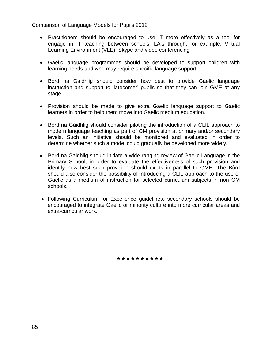- Practitioners should be encouraged to use IT more effectively as a tool for engage in IT teaching between schools, LA's through, for example, Virtual Learning Environment (VLE), Skype and video conferencing
- Gaelic language programmes should be developed to support children with learning needs and who may require specific language support.
- Bòrd na Gàidhlig should consider how best to provide Gaelic language instruction and support to 'latecomer' pupils so that they can join GME at any stage.
- Provision should be made to give extra Gaelic language support to Gaelic learners in order to help them move into Gaelic medium education.
- Bòrd na Gàidhlig should consider piloting the introduction of a CLIL approach to modern language teaching as part of GM provision at primary and/or secondary levels. Such an initiative should be monitored and evaluated in order to determine whether such a model could gradually be developed more widely.
- Bòrd na Gàidhlig should initiate a wide ranging review of Gaelic Language in the Primary School, in order to evaluate the effectiveness of such provision and identify how best such provision should exists in parallel to GME. The Bòrd should also consider the possibility of introducing a CLIL approach to the use of Gaelic as a medium of instruction for selected curriculum subjects in non GM schools.
- Following Curriculum for Excellence guidelines, secondary schools should be encouraged to integrate Gaelic or minority culture into more curricular areas and extra-curricular work.

**\* \* \* \* \* \* \* \* \* \***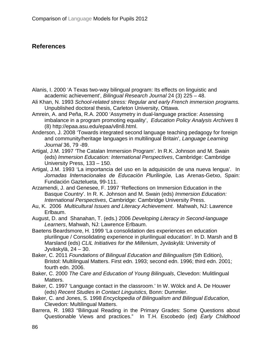# **References**

- Alanis, I. 2000 'A Texas two-way bilingual program: Its effects on linguistic and academic achievement', *Bilingual Research Journal* 24 (3) 225 – 48.
- Ali Khan, N. 1993 *School-related stress: Regular and early French immersion programs.*  Unpublished doctoral thesis, Carleton University, Ottawa.
- Amrein, A. and Peña, R.A. 2000 'Assymetry in dual-language practice: Assessing imbalance in a program promoting equality', *Education Policy Analysis Archives* 8 (8) http://epaa.asu.edu/epaa/v8n8.html.
- Anderson, J. 2008 'Towards integrated second language teaching pedagogy for foreign and community/heritage languages in multilingual Britain', *Language Learning Journal* 36, 79 -89.
- Artigal, J.M. 1997 'The Catalan Immersion Program'. In R.K. Johnson and M. Swain (eds) *Immersion Education: International Perspectives*, Cambridge: Cambridge University Press, 133 – 150.
- Artigal, J.M. 1993 'La importancia del uso en la adquisición de una nueva lengua'. In *Jornadas Internacionales de Educación Plurilingϋe,* Las Arenas-Getxo, Spain: Fundación Gaztelueta, 99-111.
- Arzamendi, J. and Genesee, F. 1997 'Reflections on Immersion Education in the Basque Country'. In R. K. Johnson and M. Swain (eds) *Immersion Education: International Perspectives*, Cambridge: Cambridge University Press.
- Au, K. 2006 *Multicultural Issues and Literacy Achievement*. Mahwah, NJ: Lawrence Erlbaum.
- August, D. and Shanahan, T. (eds.) 2006 *Developing Literacy in Second-language Learners*, Mahwah, NJ: Lawrence Erlbaum.
- Baetens Beardsmore, H. 1999 'La consolidation des experiences en education plurilingue / Consolidating experience in plurilingual education'. In D. Marsh and B Marsland (eds) *CLIL Initiatives for the Millenium*, Jyväskylä: University of Jyväskylä, 24 – 30.
- Baker, C. 2011 *Foundations of Bilingual Education and Bilingualism* (5th Edition), Bristol: Multilingual Matters. First edn. 1993; second edn. 1996; third edn. 2001; fourth edn. 2006.
- Baker, C. 2000 *The Care and Education of Young Bilinguals*, Clevedon: Mulitlingual Matters.
- Baker, C. 1997 'Language contact in the classroom.' In W. Wölck and A. De Houwer (eds) *Recent Studies in Contact Linguistics,* Bonn: Dummler.
- Baker, C. and Jones, S. 1998 *Encyclopedia of Bilingualism and Bilingual Education*, Clevedon: Multilingual Matters.
- Barrera, R. 1983 "Bilingual Reading in the Primary Grades: Some Questions about Questionable Views and practices." In T.H. Escobedo (ed) *Early Childhood*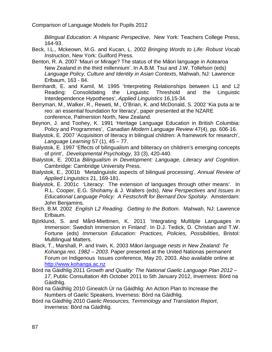*Bilingual Education: A Hispanic Perspective*, New York: Teachers College Press, 164-93.

- Beck, I.L., Mckeown, M.G. and Kucan, L. 2002 *Bringing Words to Life: Robust Vocab Instruction*, New York: Guilford Press.
- Benton, R. A. 2007 'Mauri or Mirage? The status of the Māori language in Aotearoa New Zealand in the third millennium'. In A.B.M. Tsui and J.W. Tollefson (eds) *Language Policy, Culture and Identity in Asian Contexts*, Mahwah, NJ: Lawrence Erlbaum, 163 - 84.
- Bernhardt, E. and Kamil, M. 1995 'Interpreting Relationships between L1 and L2 Reading: Consolidating the Linguistic Threshold and the Linguistic Interdependence Hypotheses', *Applied Linguistics* 16,15-34.
- Berryman, M., Walker, R., Reweti, M., O'Brian, K. and McDonald, S. 2002 'Kia puta ai te reo: an essential foundation for literacy', paper presented at the NZARE conference, Palmerston North, New Zealand.
- Beynon, J. and Toohey, K. 1991 'Heritage Language Education in British Columbia: Policy and Programmes', *Canadian Modern Language Review* 47(4), pp. 606-16.
- Bialystok, E. 2007 'Acquisition of literacy in bilingual children: A framework for research', *Language Learning* 57 (1), 45 – 77.
- Bialystok, E. 1997 'Effects of bilingualism and biliteracy on children's emerging concepts of print', *Developmental Psychology*, 33 (3), 420-440.
- Bialystok, E. 2001a *Bilingualism in Development: Language, Literacy and Cognition*. Cambridge: Cambridge University Press.
- Bialystok, E., 2001b 'Metalinguistic aspects of bilingual processing', *Annual Review of Applied Linguistics* 21, 169-181.
- Bialystok, E. 2001c 'Literacy: The extension of languages through other means'. In R.L. Cooper, E.G. Shohamy & J. Walters (eds), *New Perspectives and Issues in Educational Language Policy: A Festschrift for Bernard Dov Spolsky*. Amsterdam: John Benjamins.
- Birch, B.M. 2002 *English L2 Reading. Getting to the Bottom*. Mahwah, NJ: Lawrence Erlbaum.
- Björklund, S. and Mård-Miettinen, K. 2011 'Integrating Multilple Languages in Immersion: Swedish Immersion in Finland'. In D.J. Tedick, D. Christian and T.W. Fortune (eds) *Immersion Education: Practices, Policies, Possibilities*, Bristol: Multilingual Matters.
- Black, T., Marshall, P. and Irwin, K. 2003 *Māori language nests in New Zealand: Te Kohanga reo, 1982 – 2003*. Paper presented at the United Nationas permanent Forum on Indigenous Issues conference, May 20, 2003. Also available online at [http://www.kohanga.ac.nz](http://www.kohanga.ac.nz/)
- Bòrd na Gàidhlig 2011 *Growth and Quality: The National Gaelic Language Plan 2012 – 17*, Public Consultation 4th October 2011 to 5th January 2012, Inverness: Bòrd na Gàidhlig.
- Bòrd na Gàidhlig 2010 Ginealch Ùr na Gàidhlig: An Action Plan to Increase the Numbers of Gaelic Speakers, Inverness: Bòrd na Gàidhlig.
- Bòrd na Gàidhlig 2010 *Gaelic Resources, Terminology and Translation Report*, Inverness: Bòrd na Gàidhlig.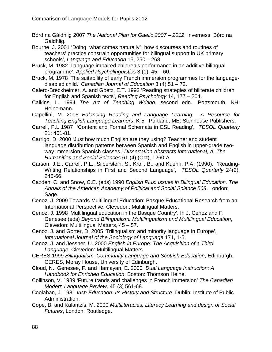Bòrd na Gàidhlig 2007 *The National Plan for Gaelic 2007 – 2012*, Inverness: Bòrd na Gàidhlig.

Bourne, J. 2001 'Doing "what comes naturally": how discourses and routines of teachers' practice constrain opportunities for bilingual support in UK primary schools', *Language and Education* 15, 250 – 268.

- Bruck, M. 1982 'Language impaired children's performance in an additive bilingual programme', *Applied Psycholinguistics* 3 (1), 45 – 60.
- Bruck, M. 1978 'The suitability of early French immersion programmes for the languagedisabled child.' *Canadian Journal of Education* 3 (4) 51 – 72.
- Calero-Breckheimer, A. and Goetz, E.T. 1993 'Reading strategies of biliterate children for English and Spanish texts', *Reading Psychology* 14, 177 – 204.
- Calkins, L. 1994 *The Art of Teaching Writing*, second edn., Portsmouth, NH: Heinemann.
- Capellini, M. 2005 *Balancing Reading and Language Learning. A Resource for Teaching English Language Learners*, K-5. Portland, ME: Stenhouse Publishers.
- Carrell, P.L 1987 'Content and Formal Schemata in ESL Reading', *TESOL Quarterly* 21: 461-81.
- Carrigo, D. 2000 'Just how much English are they using? Teacher and student language distribution patterns between Spanish and English in upper-grade twoway immersion Spanish classes.' *Dissertation Abstracts International, A, The Humanities and Social Sciences* 61 (4) (Oct), 1260-A.
- Carson, J.E., Carrell, P.L., Silberstein, S., Kroll, B., and Kuehn, P.A. (1990). 'Reading-Writing Relationships in First and Second Language', *TESOL Quarterly* 24(2), 245-66.
- Cazden, C. and Snow, C.E. (eds) 1990 *English Plus: Issues in Bilingual Education. The Annals of the American Academy of Political and Social Science 508*, London: Sage.
- Cenoz, J. 2009 Towards Multilingual Education: Basque Educational Research from an International Perspective, Clevedon: Multilingual Matters.
- Cenoz, J. 1998 'Multilingual education in the Basque Country'. In J. Cenoz and F. Genesee (eds) *Beyond Bilingualism: Multilingualism and Multilingual Education*, Clevedon: Multilingual Matters, 45 – 57.
- Cenoz, J. and Gorter, D. 2005 'Trilingualism and minority language in Europe', *International Journal of the Sociology of Language* 171, 1-5.
- Cenoz, J. and Jessner, U. 2000 *English in Europe: The Acquisition of a Third Language*, Clevedon: Multilingual Matters.
- CERES 1999 *Bilingualism, Community Language and Scottish Education*, Edinburgh, CERES, Moray House, University of Edinburgh.
- Cloud, N., Genesee, F. and Hamayan, E. 2000 *Dual Language Instruction: A Handbook for Enriched Education*, Boston: Thomson Heine.
- Collinson, V. 1989 'Future trands and challenges in French immersion' *The Canadian Modern Language Review,* 45 (3) 561-68.
- Coolahan, J. 1981 *Irish Education: Its History and Structure*, Dublin: Institute of Public Administration.
- Cope, B. and Kalantzis, M. 2000 *Multiliteracies, Literacy Learning and design of Social Futures*, London: Routledge.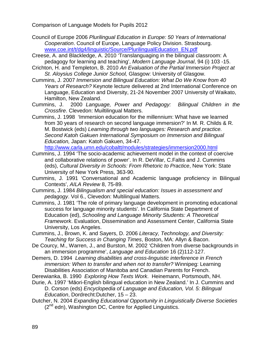- Council of Europe 2006 *Plurilingual Education in Europe: 50 Years of International Cooperation*. Council of Europe, Language Policy Division. Strasbourg. [www.coe.int/t/dg4/linguistic/Source/PlurilingualEducation\\_EN.pdf](http://www.coe.int/t/dg4/linguistic/Source/PlurilingualEducation_EN.pdf)
- Creese, A. and Blackledge, A. 2010 'Translanguaging in the bilingual classroom: A pedagogy for learning and teaching', *Modern Language Journal*, 94 (i) 103 -15.
- Crichton, H. and Templeton, B. 2010 *An Evaluation of the Partial Immersion Project at St. Aloysius College Junior School,* Glasgow: University of Glasgow.
- Cummins, J. 2007 *Immersion and Bilingual Education: What Do We Know from 40 Years of Research?* Keynote lecture delivered at 2nd International Conference on Language, Education and Diversity, 21-24 November 2007 University of Waikato, Hamilton, New Zealand.
- Cummins, J. 2000 *Language, Power and Pedagogy: Bilingual Children in the Crossfire*. Clevedon: Muiltilingual Matters.
- Cummins, J. 1998 'Immersion education for the millennium: What have we learned from 30 years of research on second language immersion?' In M. R. Childs & R. M. Bostwick (eds) *Learning through two languages: Research and practice. Second Katoh Gakuen International Symposium on Immersion and Bilingual Education,* Japan: Katoh Gakuen, 34-47.

<http://www.carla.umn.edu/cobaltt/modules/strategies/immersion2000.html>

- Cummins, J. 1994 'The socio-academic achievement model in the context of coercive and collaborative relations of power'. In R. DeVillar, C.Faltis and J. Cummins (eds), *Cultural Diversity in Schools: From Rhetoric to Practice*, New York: State University of New York Press, 363-90.
- Cummins, J. 1991 'Conversational and Academic language proficiency in Bilingual Contexts', *AILA Review* 8, 75-89.
- Cummins, J. 1984 *Bilingualism and special education: Issues in assessment and pedagogy*. Vol 6., Clevedon: Multilingual Matters.
- Cummins, J. 1981 'The role of primary language development in promoting educational success for language minority students'. In California State Department of Education (ed), *Schooling and Language Minority Students: A Theoretical Framework*. Evaluation, Dissemination and Assessment Center, California State University, Los Angeles.
- Cummins, J., Brown, K. and Sayers, D. 2006 *Literacy, Technology, and Diversity: Teaching for Success in Changing Times*, Boston, MA: Allyn & Bacon.
- De Courcy, M., Warren, J., and Burston, M. 2002 'Children from diverse backgrounds in an immersion programme', *Language and Education* 16 (2)112-127.
- Demers, D. 1994 *Learning disabilities and cross-linguistic interference in French immersion: When to transfer and when not to transfer?* Winnipeg: Learning Disabilities Association of Manitoba and Canadian Parents for French.
- Derewianka, B. 1990 *Exploring How Texts Work*. Heinemann, Portsmouth, NH.
- Durie, A. 1997 'Māori-English bilingual education in New Zealand.' In J. Cummins and D. Corson (eds) *Encyclopedia of Language and Education, Vol. 5: Bilingual Education*, Dordrecht:Dutcher, 15 – 23.
- Dutcher, N. 2004 *Expanding Educational Opportunity in Linguistically Diverse Societies*   $(2^{nd}$  edn), Washington DC, Centre for Applied Linguistics.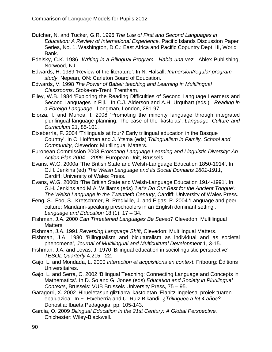- Dutcher, N. and Tucker, G.R. 1996 *The Use of First and Second Languages in Education: A Review of International Experience,* Pacific Islands Discussion Paper Series, No. 1. Washington, D.C.: East Africa and Pacific Copuntry Dept. III, World Bank.
- Edelsky, C.K. 1986 *Writing in a Bilingual Program. Habia una vez*. Ablex Publishing, Norwood, NJ.
- Edwards, H. 1989 'Review of the literature'. In N. Halsall, *Immersion/regular program study*. Nepean, ON: Carleton Board of Education.
- Edwards, V. 1998 *The Power of Babel: teaching and Learning in Multilingual Classrooms*. Stoke-on-Trent: Trentham.
- Elley, W.B. 1984 'Exploring the Reading Difficulties of Second Language Learners and Second Languages in Fiji.' In C.J. Alderson and A.H. Urquhart (eds.). *Reading in a Foreign Language.* Longman, London, 281-97.
- Elorza, I. and Muňoa, I. 2008 'Promoting the minority language through integrated plurilingual language planning: The case of the ikastolas'. *Language, Culture and Curriculum* 21, 85-101.
- Etxeberría, F. 2004 'Trilinguals at four? Early trilingual education in the Basque Country'. In C. Hoffman and J. Ytsma (eds) *Trilingualism in Family, School and Community*, Clevedon: Multilingual Matters.
- European Commission 2003 *Promoting Language Learning and Linguistic Diversity: An Action Plan 2004 – 2006*. European Unit, Brussels.
- Evans, W.G. 2000a 'The British State and Welsh-Language Education 1850-1914'. In G.H. Jenkins (ed) *The Welsh Language and its Social Domains 1801-1911*, Cardiff: University of Wales Press.
- Evans, W.G. 2000b 'The British State and Welsh-Language Education 1914-1991'. In G.H. Jenkins and M.A. Williams (eds) *'Let's Do Our Best for the Ancient Tongue': The Welsh Language in the Twentieth Century*, Cardiff: University of Wales Press.
- Feng, S., Foo, S., Kretschmer, R. Prediville, J. and Elgas, P. 2004 'Language and peer culture: Mandarin-speaking preschoolers in an English dominant setting', *Language and Education* 18 (1), 17 – 34.
- Fishman, J.A. 2000 *Can Threatened Languages Be Saved?* Clevedon: Multilingual Matters.
- Fishman, J.A. 1991 *Reversing Language Shift*, Clevedon: Multilingual Matters.
- Fishman, J.A. 1980 'Bilingualism and biculturalism as individual and as societal phenomena', *Journal of Multilingual and Multicultural Development* 1, 3-15.
- Fishman, J.A. and Lovas, J. 1970 'Bilingual education in sociolinguistic perspective'. *TESOL Quarterly* 4:215 - 22.
- Gajo, L. and Mondada, L. 2000 *Interaction et acquisitions en context*. Fribourg: Éditions Universitaires.
- Gajo, L. and Serra, C. 2002 'Bilingual Teaching: Connecting Language and Concepts in Mathematics'. In D. So and G. Jones (eds) *Education and Society in Plurilingual Contexts*, Brussels: VUB Brussels University Press, 75 – 95.
- Garagorri, X. 2002 'Hirueletasun gliztiarra ikastoletan 'Elanitz-Ingelesa' proiek-tuaren ebaluazioa'. In F. Etxeberria and U. Ruiz Bikandi, *¿Trilingϋes a lot 4 aňos?* Donostia: Ibaeta Pedagogia, pp. 105-143.
- García, O. 2009 *Bilingual Education in the 21st Century: A Global Perspective,* Chichester: Wiley-Blackwell.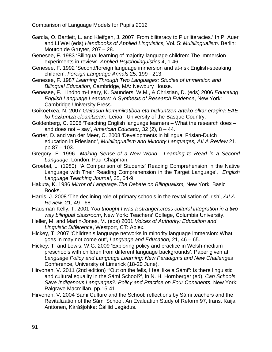- García, O. Bartlett, L. and Kleifgen, J. 2007 'From biliteracy to Pluriliteracies.' In P. Auer and Li Wei (eds) *Handbooks of Applied Linguistics,* Vol. 5: *Multilingualism*. Berlin: Mouton de Gruyter, 207 – 28.
- Genesee, F. 1983 'Bilingual learning of majority-language children: The immersion experiments in review'. *Applied Psycholinguistics* 4, 1-46.
- Genesee, F. 1992 'Second/foreign language immersion and at-risk English-speaking children', *Foreign Language Annals* 25, 199 - 213.
- Genesee, F. 1987 *Learning Through Two Languages: Studies of Immersion and Bilingual Education*, Cambridge, MA: Newbury House.
- Genesee, F., Lindholm-Leary, K. Saunders, W.M., & Christian, D. (eds) 2006 *Educating English Language Learners: A Synthesis of Research Evidence*, New York: Cambridge University Press.
- Goikoetxea, N. 2007 *Gaitasun komunikatiboa eta hizkuntzen arteko elkar eragina EAEko hezkuntza eleanitzean*. Leioa: University of the Basque Country.
- Goldenberg, C. 2008 'Teaching English language learners What the research does and does not – say', *American Educator,* 32 (2), 8 – 44.
- Gorter, D. and van der Meer, C. 2008 'Developments in bilingual Frisian-Dutch education in Friesland', *Multilingualism and Minority Languages, AILA Review* 21, pp.87 – 103.
- Gregory, E. 1996 *Making Sense of a New World. Learning to Read in a Second Language*, London: Paul Chapman.
- Groebel, L. (1980). 'A Comparison of Students' Reading Comprehension in the Native Language with Their Reading Comprehension in the Target Language', *English Language Teaching Journal*, 35, 54-9.
- Hakuta, K. 1986 *Mirror of Language.The Debate on Bilingualism,* New York: Basic Books.
- Harris, J. 2008 'The declining role of primary schools in the revitalisation of Irish', *AILA Review*, 21, 49 - 68.
- Hausman-Kelly, T. 2001 *You thought I was a stranger:cross cultural integration in a twoway bilingual classroom*, New York: Teachers' College, Columbia University.
- Heller, M. and Martin-Jones, M. (eds) 2001 *Voices of Authority: Education and Linguistic Difference*, Westport, CT: Ablex.
- Hickey, T. 2007 'Children's language networks in minority language immersion: What goes in may not come out', *Language and Education,* 21, 46 – 65.
- Hickey, T. and Lewis, W.G. 2009 'Exploring policy and practice in Welsh-medium preschools with children from different language backgrounds'. Paper given at *Language Policy and Language Learning: New Paradigms and New Challenges*  Conference, University of Limerick (18-20 June).
- Hirvonen, V. 2011 (2nd edition) '"Out on the fells, I feel like a Sámi": Is there linguistic and cultural equality in the Sámi School?', in N. H. Hornberger (ed), *Can Schools Save Indigenous Languages?: Policy and Practice on Four Continents*, New York: Palgrave Macmillan, pp.15-41.
- Hirvonen, V. 2004 Sámi Culture and the School: reflections by Sámi teachers and the Revitalization of the Sámi School. An Evaluation Study of Reform 97, trans. Kaija Anttonen, Kárášjohka: Čálliid Lágádus.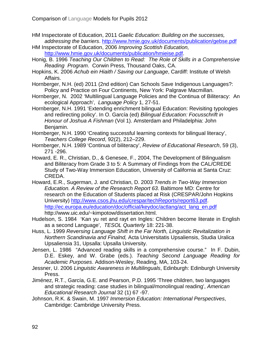- HM Inspectorate of Education, 2011 *Gaelic Education: Building on the successes, addressing the barriers*.<http://www.hmie.gov.uk/documents/publication/gebse.pdf>
- HM Inspectorate of Education, 2006 *Improving Scottish Education,*  [http://www.hmie.gov.uk/documents/publication/hmieise.pdf.](http://www.hmie.gov.uk/documents/publication/hmieise.pdf)
- Honig, B. 1996 *Teaching Our Children to Read: The Role of Skills in a Comprehensive Reading Program*. Corwin Press, Thousand Oaks, CA.
- Hopkins, K. 2006 *Achub ein Hiaith / Saving our Language*, Cardiff: Institute of Welsh Affairs.
- Hornberger, N.H. (ed) 2011 (2nd edition) Can Schools Save Indigenous Languages?: Policy and Practice on Four Continents, New York: Palgrave Macmillan.
- Hornberger, N. 2002 'Multilingual Language Policies and the Continua of Biliteracy: An ecological Approach', *Language Policy* 1, 27-51.
- Hornberger, N.H. 1991 'Extending enrichment bilingual Education: Revisiting typologies and redirecting policy'. In O. García (ed) *Bilingual Education: Focusschrift in Honour of Joshua A Fishman* (Vol 1). Amsterdam and Philadelphia: John Benjamin.
- Hornberger, N.H. 1990 'Creating successful learning contexts for bilingual literacy', *Teachers College Record*, 92(2), 212–229.
- Hornberger, N.H. 1989 'Continua of biliteracy', *Review of Educational Research*, 59 (3), 271 -296.
- Howard, E. R., Christian, D., & Genesee, F., 2004, The Development of Bilingualism and Biliteracy from Grade 3 to 5: A Summary of Findings from the CAL/CREDE Study of Two-Way Immersion Education, University of California at Santa Cruz: CREDA.
- Howard, E.R., Sugerman, J. and Christian, D. 2003 *Trends in Two-Way Immersion Education. A Review of the Research Report 63*. Baltimore MD: Centre for research on the Education of Students placed at Risk (CRESPAR/John Hopkins University) [http://www.csos.jhu.edu/crespar/techReports/report63.pdf.](http://www.csos.jhu.edu/crespar/techReports/report63.pdf) http://ec.europa.eu/education/doc/official/keydoc/actlang/act\_lang\_en.pdf http://www.uic.edu/~kimpotow/dissertation.html.
- Hudelson, S. 1984 'Kan yu ret and rayt en Ingles: Children become literate in English as a second Language', *TESOL Quarterly* 18: 221-38.
- Huss, L. 1999 *Reversing Language Shift in the Far North, Linguistic Revitalization in Northern Scandinavia and Finalnd,* Acta Universitatis Upsaliensis, Studia Uralica Upsaliensia 31, Upsalla: Upsalla University.
- Jensen, L. 1986 "Advanced reading skills in a comprehensive course." In F. Dubin, D.E. Eskey, and W. Grabe (eds.). *Teaching Second Language Reading for Academic Purposes*. Addison-Wesley, Reading, MA, 103-24.
- Jessner, U. 2006 *Linguistic Awareness in Multilinguals*, Edinburgh: Edinburgh University Press.
- Jiménez, R.T., García, G.E. and Pearson, P.D. 1995 'Three children, two languages and strategic reading: case studies in bilingual/monolingual reading', *American Educational Research Journal* 32 (1) 67 -97.
- Johnson, R.K. & Swain, M. 1997 *Immersion Education: International Perspectives*, Cambridge: Cambridge University Press.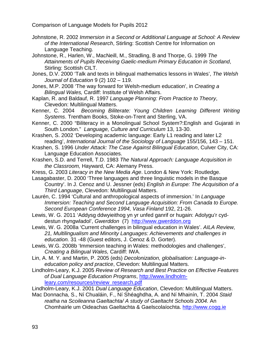- Johnstone, R. 2002 *Immersion in a Second or Additional Language at School: A Review of the International Research*, Stirling: Scottish Centre for Information on Language Teaching.
- Johnstone, R., Harlen, W., MacNeill, M., Stradling, B and Thorpe, G. 1999 *The Attainments of Pupils Receiving Gaelic-medium Primary Education in Scotland*, Stirling: Scottish CILT.
- Jones, D.V. 2000 'Talk and texts in bilingual mathematics lessons in Wales', *The Welsh Journal of Education* 9 (2) 102 – 119.
- Jones, M.P. 2008 'The way forward for Welsh-medium education', in *Creating a Bilingual Wales,* Cardiff: Institute of Welsh Affairs.
- Kaplan, R. and Baldauf, R. 1997 *Language Planning: From Practice to Theory*, Clevedon: Multilingual Matters.
- Kenner, C. 2004 *Becoming Biliterate: Young Children Learning Different Writing Systems*. Trentham Books, Stoke-on-Trent and Sterling, VA.
- Kenner, C. 2000 "Biliteracy in a Monolingual School System?:English and Gujarati in South London." *Language, Culture and Curriculum* 13, 13-30.
- Krashen, S. 2002 'Developing academic language: Early L1 reading and later L2 reading', *International Journal of the Sociology of Language* 155/156, 143 – 151.
- Krashen, S. 1996 *Under Attack: The Case Against Bilingual Education*, Culver City, CA: Language Education Associates.
- Krashen, S.D. and Terrell, T.D. 1983 *The Natural Approach: Language Acquisition in the Classroom,* Hayward, CA: Alemany Press.
- Kress, G. 2003 *Literacy in the New Media Age*. London & New York: Routledge.
- Lasagabaster, D. 2000 'Three languages and three linguistic models in the Basque Country'. In J. Cenoz and U. Jessner (eds) *English in Europe: The Acquisition of a Third Language*, Clevedon: Multilingual Matters.
- Laurén, C. 1994 'Cultural and anthropological aspects of immersion.' In *Language Immersion: Teaching and Second Language Acquisition: From Canada to Europe. Second European Conference 1994, Vasa Finland* 192, 21-26.
- Lewis, W. G. 2011 'Addysg ddwyieithog yn yr unfed ganrif or hugain: Adolygu'r cyddestun rhyngwladol', *Gwerddon* (7) [http://www.gwerddon.org](http://www.gwerddon.org/)
- Lewis, W. G. 2008a 'Current challenges in bilingual education in Wales'. *AILA Review, 21, Multilingualism and Minority Languages: Achievements and challenges in education.* 31 -48 (Guest editors, J. Cenoz & D. Gorter).
- Lewis, W.G. 2008b 'Immersion teaching in Wales: methodologies and challenges', *Creating a Bilingual Wales,* Cardiff: IWA.
- Lin, A. M. Y. and Martin, P. 2005 (eds) *Decolonization, globalisation: Language-ineducation policy and practice*, Clevedon: Multilingual Matters.
- Lindholm-Leary, K.J. 2005 *Review of Research and Best Practice on Effective Features of Dual Language Education Programs*, [http://www.lindholm](http://www.lindholm-leary.com/resources/review_research.pdf)[leary.com/resources/review\\_research.pdf](http://www.lindholm-leary.com/resources/review_research.pdf)
- Lindholm-Leary, K.J. 2001 *Dual Language Education*, Clevedon: Multilingual Matters.
- Mac Donnacha, S., Ní Chualáin, F., Ní Shéaghdha, A. and Ní Mhainín, T. 2004 *Staid reatha na Scoileanna Gaeltachta/ A study of Gaeltacht Schools 2004.* An Chomhairle um Oideachas Gaeltachta & Gaelscolaíochta. [http://www.cogg.ie](http://www.cogg.ie/)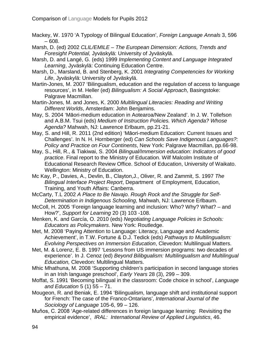Mackey, W. 1970 'A Typology of Bilingual Education', *Foreign Language Annals* 3, 596 – 608.

- Marsh, D. (ed) 2002 *CLIL/EMILE – The European Dimension: Actions, Trends and Foresight Potential,* Jyväskylä: University of Jyväskylä.
- Marsh, D. and Langé, G. (eds) 1999 *Implementing Content and Language Integrated Learning*, Jyväskylä: Continuing Education Centre.
- Marsh, D., Marsland, B. and Stenberg, K. 2001 *Integrating Competencies for Working Life*, Jyväskylä: University of Jyväskylä.
- Martin-Jones, M. 2007 'Bilingualism, education and the regulation of access to language resources', in M. Heller (ed) *Bilingualism: A Social Approach*, Basingstoke: Palgrave Macmillan.
- Martin-Jones, M. and Jones, K. 2000 *Multilingual Literacies: Reading and Writing Different Worlds*, Amsterdam: John Benjamins.
- May, S. 2004 'Māori-medium education in Aotearoa/New Zealand'. In J. W. Tollefson and A.B.M. Tsui (eds) *Medium of Instruction Policies. Which Agenda? Whose Agenda?* Mahwah, NJ: Lawrence Erlbaum, pp.21-21.
- May, S. and Hill, R. 2011 (2nd edition) 'Māori-medium Education: Current Issues and Challenges'. In N. H. Hornberger (ed) *Can Schools Save Indigenous Languages?: Policy and Practice on Four Continents*, New York: Palgrave Macmillan, pp.66-98.
- May, S., Hill, R., & Tiakiwai, S. 2004 *[Bilingual/Immersion education: Indicators of good](http://www.educationcounts.govt.nz/publications/schooling/5079)  [practice](http://www.educationcounts.govt.nz/publications/schooling/5079)*. Final report to the Ministry of Education. Wilf Malcolm Institute of Educational Research Review Office. School of Education, University of Waikato. Wellington: Ministry of Education.
- Mc Kay, P., Davies, A., Devlin, B., Clayton,J., Oliver, R. and Zammit, S. 1997 *The Bilingual Interface Project Report*, Department of Employment, Education, Training, and Youth Affairs: Canberra.
- McCarty, T.L 2002 *A Place to Be Navajo. Rough Rock and the Struggle for Self-Determination in Indigenous Schooling*, Mahwah, NJ: Lawrence Erlbaum.
- McColl, H. 2005 'Foreign language learning and inclusion: Who? Why? What? and How?', *Support for Learning* 20 (3) 103 -108.
- Menken, K. and García, O. 2010 (eds) *Negotiating Language Policies in Schools: Educators as Policymakers*. New York: Routledge.
- Met, M. 2008 'Paying Attention to Language: Literacy, Language and Academic Achievement', in T.W. Fortune & D.J. Tedick (eds) *Pathways to Multilingualism: Evolving Perspectives on Immersion Education*, Clevedon: Multilingual Matters.
- Met, M. & Lorenz, E. B. 1997 'Lessons from US immersion programs: two decades of experience'. In J. Cenoz (ed) *Beyond Bilibgualism: Multilingualism and Multilingual Education,* Clevedon: Multilingual Matters.
- Mhic Mhathuna, M. 2008 'Supporting children's participation in second language stories in an Irish language preschool', *Early Years* 28 (3), 299 – 309.
- Moffat, S. 1991 'Becoming bilingual in the classroom: Code choice in school', *Language and Education* 5 (1) 55 – 71.
- Mougeon, R. and Beniak, E. 1994 'Bilingualism, language shift and institutional support for French: The case of the Franco-Ontarians', *International Journal of the Sociology of Language* 105-6, 99 – 126.
- Muňos, C. 2008 'Age-related differences in foreign language learning: Revisiting the empirical evidence', *IRAL: International Review of Applied Linguistics*, 46.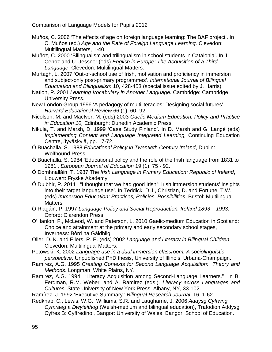- Muňos, C. 2006 'The effects of age on foreign language learning: The BAF project'. In C. Muňos (ed.) *Age and the Rate of Foreign Language Learning,* Clevedon: Multilingual Matters, 1-40.
- Muñoz, C. 2000 'Bilingualism and trilingualism in school students in Catalonia'. In J. Cenoz and U. Jessner (eds) *English in Europe: The Acquisition of a Third Language*. Clevedon: Multilingual Matters.
- Murtagh, L. 2007 'Out-of-school use of Irish, motivation and proficiency in immersion and subject-only post-primary programmes'. *International Journal of Bilingual Educuation and Bilingualism* 10, 428-453 (special issue edited by J. Harris).
- Nation, P. 2001 *Learning Vocabulary in Another Language.* Cambridge: Cambridge University Press.
- New London Group 1996 'A pedagogy of multiliteracies: Designing social futures', *Harvard Educational Review* 66 (1), 60 -92.
- Nicolson, M. and MacIver, M. (eds) 2003 *Gaelic Medium Education: Policy and Practice in Education 10,* Edinburgh: Dunedin Academic Press.
- Nikula, T. and Marsh, D. 1999 'Case Study Finland'. In D. Marsh and G. Langé (eds) *Implementing Content and Language Integrated Learning,* Continuing Education Centre, Jyväskylä, pp. 17-72.
- Ó Buachalla, S. 1988 *Educational Policy in Twentieth Century Ireland*, Dublin: Wolfhound Press.
- Ó Buachalla, S. 1984 'Educational policy and the role of the Irish language from 1831 to 1981', *European Journal of Education* 19 (1): 75 - 92.
- Ó Domhnalláin, T. 1987 The *Irish Language in Primary Education: Republic of Ireland*, Ljouwert: Fryske Akademy.
- Ó Duibhir, P. 2011 ' "I thought that we had good Irish": Irish immersion students' insights into their target language use'. In Teddick, D.J., Christian, D. and Fortune, T.W. (eds) *Immersion Education: Practices, Policies, Possibilities*, Bristol: Multilingual Matters.
- Ó Riagáin, P. 1997 *Language Policy and Social Reproduction: Ireland 1893 – 1993*. Oxford: Clarendon Press.
- O'Hanlon, F., McLeod, W. and Paterson, L. 2010 Gaelic-medium Education in Scotland: Choice and attainment at the primary and early secondary school stages, Inverness: Bòrd na Gàidhlig.
- Oller, D. K. and Eilers, R. E. (eds) 2002 *Language and Literacy in Bilingual Children*, Clevedon: Multilingual Matters.
- Potowski, K. 2002 *Language use in a dual immersion classroom: A sociolinguistic perspective*. Unpublished PhD thesis, University of Illinois, Urbana-Champaign.
- Ramirez, A.G. 1995 *Creating Contexts for Second Language Acquisition: Theory and Methods*. Longman, White Plains, NY.
- Ramirez, A.G. 1994 "Literacy Acquisition among Second-Language Learners." In B. Ferdman, R.M. Weber, and A. Ramirez (eds.). *Literacy across Languages and Cultures*. State University of New York Press, Albany, NY, 33-102.
- Ramírez, J. 1992 'Executive Summary.' *Bilingual Research Journal*, 16, 1-62.
- Redknap, C., Lewis, W.G., Williams, S.R. and Laugharne, J. 2006 *Addysg Cyfrwng Cymraeg a Dwyieithog* (Welsh-medium and bilingual education), Trafodion Addysg Cyfres B: Cyffredinol, Bangor: University of Wales, Bangor, School of Education.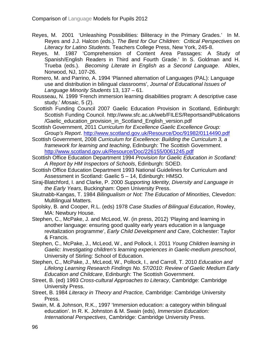- Reyes, M. 2001 'Unleashing Possibilities: Biliteracy in the Primary Grades.' In M. Reyes and J.J. Halcon (eds.). *The Best for Our Children: Critical Perspectives on Literacy for Latino Students.* Teachers College Press, New York, 245-8.
- Reyes, M. 1987 'Comprehension of Content Area Passages: A Study of Spanish/English Readers in Third and Fourth Grade.' In S. Goldman and H. Trueba (eds.). *Becoming Literate in English as a Second Language*. Ablex, Norwood, NJ, 107-26.
- Romero, M. and Parrino, A. 1994 'Planned alternation of Languages (PAL): Language use and distribution in bilingual classrooms', *Journal of Educational Issues of Language Minority Students* 13, 137 – 61.
- Rousseau, N. 1999 'French immersion learning disabilities program: A descriptive case study.' *Mosaic*, 5 (2).
- Scottish Funding Council 2007 Gaelic Education Provision in Scotland, Edinburgh: Scottish Funding Council. http://www.sfc.ac.uk/web/FILES/ReportsandPublications /Gaelic\_education\_provision\_in\_Scotland\_English\_version.pdf
- Scottish Government, 2011 *Curriculum for Excellence Gaelic Excellence Group: Group's Report*.<http://www.scotland.gov.uk/Resource/Doc/91982/0114490.pdf>
- Scottish Government, 2008 *Curriculum for Excellence: Building the Curriculum 3, a framework for learning and teaching*, Edinburgh: The Scottish Government. <http://www.scotland.gov.uk/Resource/Doc/226155/0061245.pdf>
- Scottish Office Education Department 1994 *Provision for Gaelic Education in Scotland: A Report by HM Inspectors of Schools*, Edinburgh: SOED.
- Scottish Office Education Department 1993 National Guidelines for Curriculum and Assessment in Scotland: Gaelic 5 – 14, Edinburgh: HMSO.
- Siraj-Blatchford, I. and Clarke, P. 2000 *Supporting Identity, Diversity and Language in the Early Years*, Buckingham: Open University Press.
- Skutnabb-Kangas, T. 1984 *Bilingualism or Not: The Education of Minorities*, Clevedon: Multilingual Matters.
- Spolsky, B. and Cooper, R.L. (eds) 1978 *Case Studies of Bilingual Education*, Rowley, MA: Newbury House.
- Stephen, C., McPake, J. and McLeod, W. (in press, 2012) 'Playing and learning in another language: ensuring good quality early years education in a language revitalization programme', *Early Child Development and Care*, Colchester: Taylor & Francis.
- Stephen, C., McPake, J., McLeod, W., and Pollock, I. 2011 *Young Children learning in Gaelic: Investigating children's learning experiences in Gaelic-medium preschool*, University of Stirling: School of Education.
- Stephen, C., McPake, J., McLeod, W., Pollock, I., and Carroll, T. 2010 *Education and Lifelong Learning Research Findings No. 57/2010: Review of Gaelic Medium Early Education and Childcare*, Edinburgh: The Scottish Government.
- Street, B. (ed) 1993 *Cross-cultural Approaches to Literacy*, Cambridge: Cambridge University Press.
- Street, B. 1984 *Literacy in Theory and Practice,* Cambridge: Cambridge University Press.
- Swain, M. & Johnson, R.K., 1997 'Immersion education: a category within bilingual education'. In R. K. Johnston & M. Swain (eds), *Immersion Education: International Perspectives*, Cambridge: Cambridge University Press.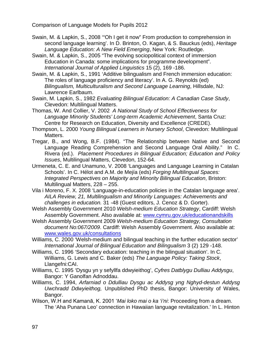- Swain, M. & Lapkin, S., 2008 '"Oh I get it now" From production to comprehension in second language learning'. In D. Brinton, O. Kagan, & S. Bauckus (eds), *Heritage Language Education: A New Field Emerging*, New York: Routledge.
- Swain, M. & Lapkin, S., 2005 "The evolving sociopolitical context of immersion Education in Canada: some implications for programme development". *International Journal of Applied Linguistics* 15 (2), 169 -186.
- Swain, M. & Lapkin, S., 1991 'Additive bilingualism and French immersion education: The roles of language proficiency and literacy'. In A. G. Reynolds (ed) *Bilingualism, Multiculturalism and Second Language Learning*, Hillsdale, NJ: Lawrence Earlbaum.
- Swain, M. Lapkin, S., 1982 *Evaluating Bilingual Education: A Canadian Case Study*, Clevedon: Multilingual Matters.
- Thomas, W. And Collier, V. 2002 *A National Study of School Effectiveness for Language Minority Students' Long-term Academic Achievement*, Santa Cruz: Centre for Research on Education, Diversity and Excellence (CREDE).
- Thompson, L. 2000 *Young Bilingual Learners in Nursery School*, Clevedon: Multilingual Matters.
- Tregar, B., and Wong, B.F. (1984). "The Relationship between Native and Second Language Reading Comprehension and Second Language Oral Ability." In C. Rivera (ed.). *Placement Procedures in Bilingual Education; Education and Policy Issues*, Multilingual Matters, Clevedon, 152-64.
- Urmeneta, C. E. and Unamuno, V. 2008 'Languages and Language Learning in Catalan Schools'. In C. Hélot and A.M. de Mejía (eds) *Forging Multilingual Spaces: Integrated Perspectives on Majority and Minority Bilingual Education*, Briston: Multilingual Matters, 228 – 255.
- Vila i Moreno, F. X. 2008 'Language-in-education policies in the Catalan language area'. *AILA Review, 21, Multilingualism and Minority Languages: Achievements and challenges in education.* 31 -48 (Guest editors, J. Cenoz & D. Gorter).
- Welsh Assembly Government 2010 *Welsh-medium Education Strategy*, Cardiff: Welsh Assembly Government. Also available at: [www.cymru.gov.uk/educationandskills](http://www.cymru.gov.uk/educationandskills)
- Welsh Assembly Government 2009 *Welsh-medium Education Strategy, Consultation document No:067/2009*. Cardiff: Welsh Assembly Government. Also available at: [www.wales.gov.uk/consultations](http://www.wales.gov.uk/consultations)
- Williams, C. 2000 'Welsh-medium and bilingual teaching in the further education sector' *International Journal of Bilingual Education and Bilingualism* 3 (2) 129 -148.
- Williams, C. 1996 'Secondary education: teaching in the bilingual situation'. In C. Williams, G. Lewis and C. Baker (eds) *The Language Policy: Taking Stock*, Llangefni:CAI.
- Williams, C. 1995 'Dysgu yn y sefyllfa ddwyieithog', *Cyfres Datblygu Dulliau Addysgu*, Bangor: Y Ganolfan Adnoddau.
- Williams, C. 1994, *Arfarniad o Ddulliau Dysgu ac Addysg yng Nghyd-destun Addysg Uwchradd Ddwyieithog,* Unpublished PhD thesis, Bangor: University of Wales, Bangor.
- Wilson, W.H and Kamanā, K. 2001 '*Mai loko mai o ka 'i'ni*: Proceeding from a dream. The 'Aha Punana Leo' connection in Hawaiian language revitalization.' In L. Hinton